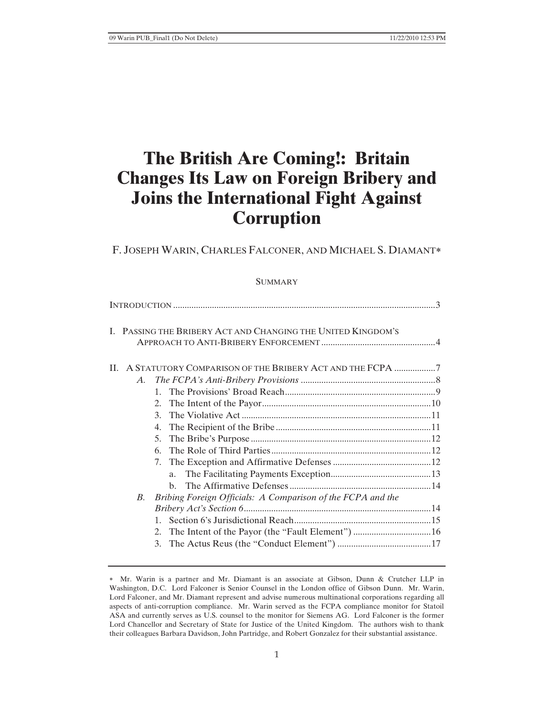# **The British Are Coming!: Britain Changes Its Law on Foreign Bribery and Joins the International Fight Against Corruption**

# F. JOSEPH WARIN, CHARLES FALCONER, AND MICHAEL S. DIAMANT

#### **SUMMARY**

| I. PASSING THE BRIBERY ACT AND CHANGING THE UNITED KINGDOM'S             |  |
|--------------------------------------------------------------------------|--|
| A STATUTORY COMPARISON OF THE BRIBERY ACT AND THE FCPA 7<br>$\mathbf{H}$ |  |
| A.                                                                       |  |
|                                                                          |  |
|                                                                          |  |
| $\mathcal{F}$                                                            |  |
| 4.                                                                       |  |
|                                                                          |  |
| 6                                                                        |  |
|                                                                          |  |
| a.                                                                       |  |
|                                                                          |  |
| Bribing Foreign Officials: A Comparison of the FCPA and the<br>B.        |  |
|                                                                          |  |
|                                                                          |  |
|                                                                          |  |
|                                                                          |  |

 Mr. Warin is a partner and Mr. Diamant is an associate at Gibson, Dunn & Crutcher LLP in Washington, D.C. Lord Falconer is Senior Counsel in the London office of Gibson Dunn. Mr. Warin, Lord Falconer, and Mr. Diamant represent and advise numerous multinational corporations regarding all aspects of anti-corruption compliance. Mr. Warin served as the FCPA compliance monitor for Statoil ASA and currently serves as U.S. counsel to the monitor for Siemens AG. Lord Falconer is the former Lord Chancellor and Secretary of State for Justice of the United Kingdom. The authors wish to thank their colleagues Barbara Davidson, John Partridge, and Robert Gonzalez for their substantial assistance.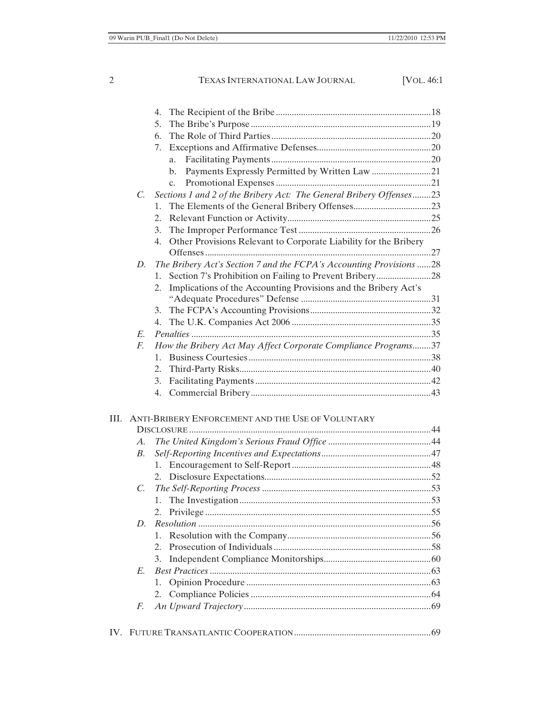|    |             | 4.                                                                     |  |
|----|-------------|------------------------------------------------------------------------|--|
|    |             | 5.                                                                     |  |
|    |             | 6.                                                                     |  |
|    |             | 7.                                                                     |  |
|    |             | a.                                                                     |  |
|    |             | Payments Expressly Permitted by Written Law 21<br>b.                   |  |
|    |             | C <sub>1</sub>                                                         |  |
|    | $C_{\cdot}$ | Sections 1 and 2 of the Bribery Act: The General Bribery Offenses23    |  |
|    |             | $1_{-}$                                                                |  |
|    |             | 2.                                                                     |  |
|    |             | 3.                                                                     |  |
|    |             | Other Provisions Relevant to Corporate Liability for the Bribery<br>4. |  |
|    |             |                                                                        |  |
|    | D.          | The Bribery Act's Section 7 and the FCPA's Accounting Provisions 28    |  |
|    |             | 1.                                                                     |  |
|    |             | Implications of the Accounting Provisions and the Bribery Act's<br>2.  |  |
|    |             |                                                                        |  |
|    |             | 3.                                                                     |  |
|    |             | 4.                                                                     |  |
|    | E.          |                                                                        |  |
|    | F.          | How the Bribery Act May Affect Corporate Compliance Programs37         |  |
|    |             | $1_{-}$                                                                |  |
|    |             | 2.                                                                     |  |
|    |             | 3.                                                                     |  |
|    |             | 4.                                                                     |  |
|    |             |                                                                        |  |
| Ш. |             | ANTI-BRIBERY ENFORCEMENT AND THE USE OF VOLUNTARY                      |  |
|    |             |                                                                        |  |
|    | А.          |                                                                        |  |
|    | B.          |                                                                        |  |
|    |             |                                                                        |  |
|    |             |                                                                        |  |
|    | C.          |                                                                        |  |
|    |             | 1.                                                                     |  |
|    |             | 2.                                                                     |  |
|    | D.          |                                                                        |  |
|    |             | 1.                                                                     |  |
|    |             | $2_{1}$                                                                |  |
|    |             | 3.                                                                     |  |
|    | E.          |                                                                        |  |
|    |             | 1.                                                                     |  |
|    |             | 2.                                                                     |  |
|    | F.          |                                                                        |  |
|    |             |                                                                        |  |
|    |             |                                                                        |  |
|    |             |                                                                        |  |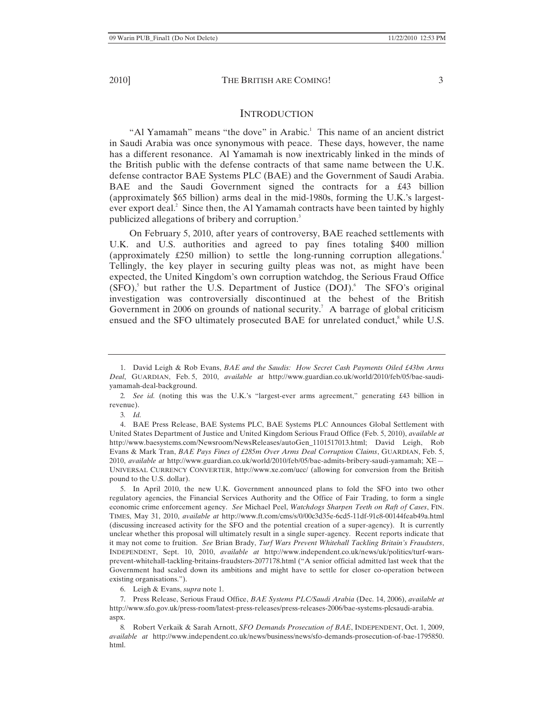# **INTRODUCTION**

"Al Yamamah" means "the dove" in Arabic.<sup>1</sup> This name of an ancient district in Saudi Arabia was once synonymous with peace. These days, however, the name has a different resonance. Al Yamamah is now inextricably linked in the minds of the British public with the defense contracts of that same name between the U.K. defense contractor BAE Systems PLC (BAE) and the Government of Saudi Arabia. BAE and the Saudi Government signed the contracts for a £43 billion (approximately \$65 billion) arms deal in the mid-1980s, forming the U.K.'s largestever export deal. $2$  Since then, the Al Yamamah contracts have been tainted by highly publicized allegations of bribery and corruption.<sup>3</sup>

On February 5, 2010, after years of controversy, BAE reached settlements with U.K. and U.S. authorities and agreed to pay fines totaling \$400 million (approximately  $\pounds 250$  million) to settle the long-running corruption allegations.<sup>4</sup> Tellingly, the key player in securing guilty pleas was not, as might have been expected, the United Kingdom's own corruption watchdog, the Serious Fraud Office  $(SFO)$ ,<sup>5</sup> but rather the U.S. Department of Justice  $(DOI)$ .<sup>6</sup> The SFO's original investigation was controversially discontinued at the behest of the British Government in 2006 on grounds of national security.<sup>7</sup> A barrage of global criticism ensued and the SFO ultimately prosecuted BAE for unrelated conduct,<sup>8</sup> while U.S.

6. Leigh & Evans, *supra* note 1.

7. Press Release, Serious Fraud Office, *BAE Systems PLC/Saudi Arabia* (Dec. 14, 2006), *available at* http://www.sfo.gov.uk/press-room/latest-press-releases/press-releases-2006/bae-systems-plcsaudi-arabia. aspx.

8*.* Robert Verkaik & Sarah Arnott, *SFO Demands Prosecution of BAE*, INDEPENDENT, Oct. 1, 2009, *available at* http://www.independent.co.uk/news/business/news/sfo-demands-prosecution-of-bae-1795850. html.

<sup>1.</sup> David Leigh & Rob Evans, *BAE and the Saudis: How Secret Cash Payments Oiled £43bn Arms Deal*, GUARDIAN, Feb. 5, 2010, *available at* http://www.guardian.co.uk/world/2010/feb/05/bae-saudiyamamah-deal-background.

<sup>2</sup>*. See id.* (noting this was the U.K.'s "largest-ever arms agreement," generating £43 billion in revenue).

<sup>3</sup>*. Id.*

<sup>4.</sup> BAE Press Release, BAE Systems PLC, BAE Systems PLC Announces Global Settlement with United States Department of Justice and United Kingdom Serious Fraud Office (Feb. 5, 2010), *available at* http://www.baesystems.com/Newsroom/NewsReleases/autoGen\_1101517013.html; David Leigh, Rob Evans & Mark Tran, *BAE Pays Fines of £285m Over Arms Deal Corruption Claims*, GUARDIAN, Feb. 5, 2010, *available at* http://www.guardian.co.uk/world/2010/feb/05/bae-admits-bribery-saudi-yamamah; XE— UNIVERSAL CURRENCY CONVERTER, http://www.xe.com/ucc/ (allowing for conversion from the British pound to the U.S. dollar).

<sup>5.</sup> In April 2010, the new U.K. Government announced plans to fold the SFO into two other regulatory agencies, the Financial Services Authority and the Office of Fair Trading, to form a single economic crime enforcement agency. *See* Michael Peel, *Watchdogs Sharpen Teeth on Raft of Cases*, FIN. TIMES, May 31, 2010, *available at* http://www.ft.com/cms/s/0/00c3d35e-6cd5-11df-91c8-00144feab49a.html (discussing increased activity for the SFO and the potential creation of a super-agency). It is currently unclear whether this proposal will ultimately result in a single super-agency. Recent reports indicate that it may not come to fruition. *See* Brian Brady, *Turf Wars Prevent Whitehall Tackling Britain's Fraudsters*, INDEPENDENT, Sept. 10, 2010, *available at* http://www.independent.co.uk/news/uk/politics/turf-warsprevent-whitehall-tackling-britains-fraudsters-2077178.html ("A senior official admitted last week that the Government had scaled down its ambitions and might have to settle for closer co-operation between existing organisations.").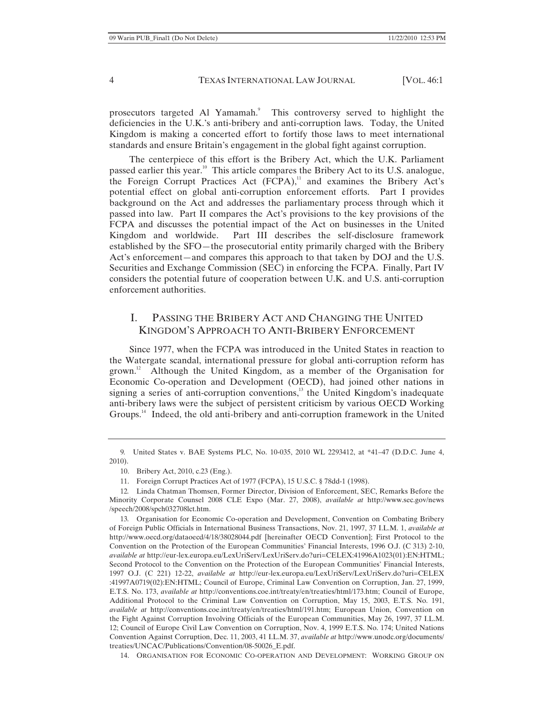prosecutors targeted Al Yamamah.<sup>9</sup> This controversy served to highlight the deficiencies in the U.K.'s anti-bribery and anti-corruption laws. Today, the United Kingdom is making a concerted effort to fortify those laws to meet international standards and ensure Britain's engagement in the global fight against corruption.

The centerpiece of this effort is the Bribery Act, which the U.K. Parliament passed earlier this year.10 This article compares the Bribery Act to its U.S. analogue, the Foreign Corrupt Practices Act  $(FCPA)$ ,<sup>11</sup> and examines the Bribery Act's potential effect on global anti-corruption enforcement efforts. Part I provides background on the Act and addresses the parliamentary process through which it passed into law. Part II compares the Act's provisions to the key provisions of the FCPA and discusses the potential impact of the Act on businesses in the United Kingdom and worldwide. Part III describes the self-disclosure framework established by the SFO—the prosecutorial entity primarily charged with the Bribery Act's enforcement—and compares this approach to that taken by DOJ and the U.S. Securities and Exchange Commission (SEC) in enforcing the FCPA. Finally, Part IV considers the potential future of cooperation between U.K. and U.S. anti-corruption enforcement authorities.

# I. PASSING THE BRIBERY ACT AND CHANGING THE UNITED KINGDOM'S APPROACH TO ANTI-BRIBERY ENFORCEMENT

Since 1977, when the FCPA was introduced in the United States in reaction to the Watergate scandal, international pressure for global anti-corruption reform has grown.<sup>12</sup> Although the United Kingdom, as a member of the Organisation for Economic Co-operation and Development (OECD), had joined other nations in signing a series of anti-corruption conventions, $13$  the United Kingdom's inadequate anti-bribery laws were the subject of persistent criticism by various OECD Working Groups.<sup>14</sup> Indeed, the old anti-bribery and anti-corruption framework in the United

<sup>9</sup>*.* United States v. BAE Systems PLC, No. 10-035, 2010 WL 2293412, at \*41–47 (D.D.C. June 4, 2010).

<sup>10.</sup> Bribery Act, 2010, c.23 (Eng.).

<sup>11.</sup> Foreign Corrupt Practices Act of 1977 (FCPA), 15 U.S.C. § 78dd-1 (1998).

<sup>12</sup>*.* Linda Chatman Thomsen, Former Director, Division of Enforcement, SEC, Remarks Before the Minority Corporate Counsel 2008 CLE Expo (Mar. 27, 2008), *available at* http://www.sec.gov/news /speech/2008/spch032708lct.htm.

<sup>13</sup>*.* Organisation for Economic Co-operation and Development, Convention on Combating Bribery of Foreign Public Officials in International Business Transactions, Nov. 21, 1997, 37 I.L.M. 1, *available at* http://www.oecd.org/dataoecd/4/18/38028044.pdf [hereinafter OECD Convention]; First Protocol to the Convention on the Protection of the European Communities' Financial Interests, 1996 O.J. (C 313) 2-10, *available at* http://eur-lex.europa.eu/LexUriServ/LexUriServ.do?uri=CELEX:41996A1023(01):EN:HTML; Second Protocol to the Convention on the Protection of the European Communities' Financial Interests, 1997 O.J. (C 221) 12-22, *available at* http://eur-lex.europa.eu/LexUriServ/LexUriServ.do?uri=CELEX :41997A0719(02):EN:HTML; Council of Europe, Criminal Law Convention on Corruption, Jan. 27, 1999, E.T.S. No. 173, *available at* http://conventions.coe.int/treaty/en/treaties/html/173.htm; Council of Europe, Additional Protocol to the Criminal Law Convention on Corruption, May 15, 2003, E.T.S. No. 191, *available at* http://conventions.coe.int/treaty/en/treaties/html/191.htm; European Union, Convention on the Fight Against Corruption Involving Officials of the European Communities, May 26, 1997, 37 I.L.M. 12; Council of Europe Civil Law Convention on Corruption, Nov. 4, 1999 E.T.S. No. 174; United Nations Convention Against Corruption, Dec. 11, 2003, 41 I.L.M. 37, *available at* http://www.unodc.org/documents/ treaties/UNCAC/Publications/Convention/08-50026\_E.pdf.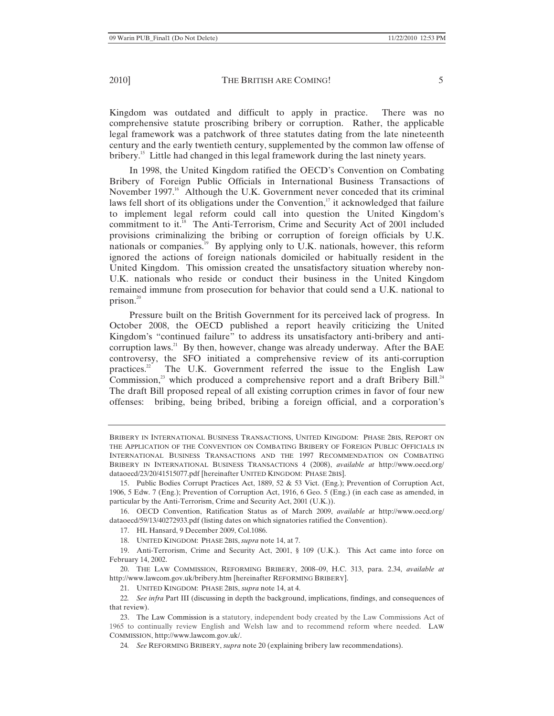Kingdom was outdated and difficult to apply in practice. There was no comprehensive statute proscribing bribery or corruption. Rather, the applicable legal framework was a patchwork of three statutes dating from the late nineteenth century and the early twentieth century, supplemented by the common law offense of bribery.<sup>15</sup> Little had changed in this legal framework during the last ninety years.

In 1998, the United Kingdom ratified the OECD's Convention on Combating Bribery of Foreign Public Officials in International Business Transactions of November 1997.<sup>16</sup> Although the U.K. Government never conceded that its criminal laws fell short of its obligations under the Convention, $\frac{1}{1}$  it acknowledged that failure to implement legal reform could call into question the United Kingdom's commitment to it.<sup>18</sup> The Anti-Terrorism, Crime and Security Act of 2001 included provisions criminalizing the bribing or corruption of foreign officials by U.K. nationals or companies.<sup>19</sup> By applying only to  $\hat{U}$ .K. nationals, however, this reform ignored the actions of foreign nationals domiciled or habitually resident in the United Kingdom. This omission created the unsatisfactory situation whereby non-U.K. nationals who reside or conduct their business in the United Kingdom remained immune from prosecution for behavior that could send a U.K. national to prison. $20$ 

Pressure built on the British Government for its perceived lack of progress. In October 2008, the OECD published a report heavily criticizing the United Kingdom's "continued failure" to address its unsatisfactory anti-bribery and anticorruption laws.<sup>21</sup> By then, however, change was already underway. After the BAE controversy, the SFO initiated a comprehensive review of its anti-corruption practices.<sup>22</sup> The U.K. Government referred the issue to the English Law Commission, $^{23}$  which produced a comprehensive report and a draft Bribery Bill. $^{24}$ The draft Bill proposed repeal of all existing corruption crimes in favor of four new offenses: bribing, being bribed, bribing a foreign official, and a corporation's

20. THE LAW COMMISSION, REFORMING BRIBERY, 2008–09, H.C. 313, para. 2.34, *available at* http://www.lawcom.gov.uk/bribery.htm [hereinafter REFORMING BRIBERY].

24*. See* REFORMING BRIBERY, *supra* note 20 (explaining bribery law recommendations).

BRIBERY IN INTERNATIONAL BUSINESS TRANSACTIONS, UNITED KINGDOM: PHASE 2BIS, REPORT ON THE APPLICATION OF THE CONVENTION ON COMBATING BRIBERY OF FOREIGN PUBLIC OFFICIALS IN INTERNATIONAL BUSINESS TRANSACTIONS AND THE 1997 RECOMMENDATION ON COMBATING BRIBERY IN INTERNATIONAL BUSINESS TRANSACTIONS 4 (2008), *available at* http://www.oecd.org/ dataoecd/23/20/41515077.pdf [hereinafter UNITED KINGDOM: PHASE 2BIS].

<sup>15.</sup> Public Bodies Corrupt Practices Act, 1889, 52 & 53 Vict. (Eng.); Prevention of Corruption Act, 1906, 5 Edw. 7 (Eng.); Prevention of Corruption Act, 1916, 6 Geo. 5 (Eng.) (in each case as amended, in particular by the Anti-Terrorism, Crime and Security Act, 2001 (U.K.)).

<sup>16.</sup> OECD Convention, Ratification Status as of March 2009, *available at* http://www.oecd.org/ dataoecd/59/13/40272933.pdf (listing dates on which signatories ratified the Convention).

<sup>17.</sup> HL Hansard, 9 December 2009, Col.1086.

<sup>18.</sup> UNITED KINGDOM: PHASE 2BIS, *supra* note 14, at 7.

<sup>19.</sup> Anti-Terrorism, Crime and Security Act, 2001, § 109 (U.K.). This Act came into force on February 14, 2002.

<sup>21.</sup> UNITED KINGDOM: PHASE 2BIS, *supra* note 14, at 4.

<sup>22</sup>*. See infra* Part III (discussing in depth the background, implications, findings, and consequences of that review).

<sup>23.</sup> The Law Commission is a statutory, independent body created by the Law Commissions Act of 1965 to continually review English and Welsh law and to recommend reform where needed. LAW COMMISSION, http://www.lawcom.gov.uk/.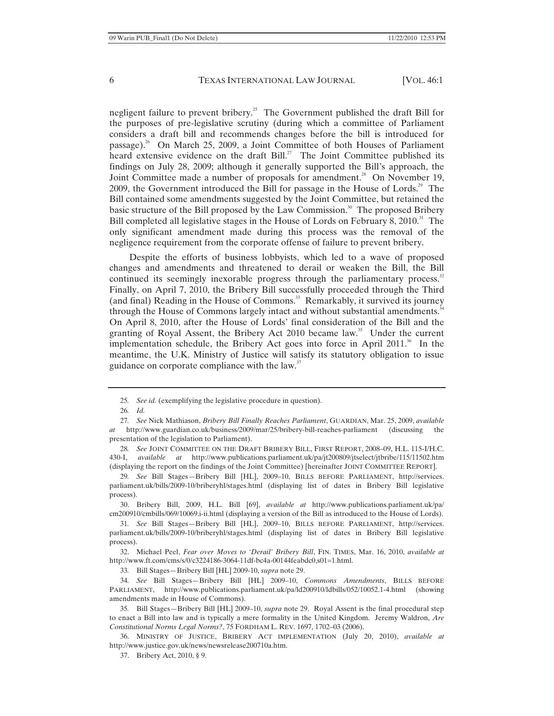negligent failure to prevent bribery.<sup>25</sup> The Government published the draft Bill for the purposes of pre-legislative scrutiny (during which a committee of Parliament considers a draft bill and recommends changes before the bill is introduced for passage).<sup>26</sup> On March 25, 2009, a Joint Committee of both Houses of Parliament heard extensive evidence on the draft Bill.<sup>27</sup> The Joint Committee published its findings on July 28, 2009; although it generally supported the Bill's approach, the Joint Committee made a number of proposals for amendment.<sup>28</sup> On November 19, 2009, the Government introduced the Bill for passage in the House of Lords.<sup>29</sup> The Bill contained some amendments suggested by the Joint Committee, but retained the basic structure of the Bill proposed by the Law Commission.<sup>30</sup> The proposed Bribery Bill completed all legislative stages in the House of Lords on February 8, 2010.<sup>31</sup> The only significant amendment made during this process was the removal of the negligence requirement from the corporate offense of failure to prevent bribery.

Despite the efforts of business lobbyists, which led to a wave of proposed changes and amendments and threatened to derail or weaken the Bill, the Bill continued its seemingly inexorable progress through the parliamentary process. $32$ Finally, on April 7, 2010, the Bribery Bill successfully proceeded through the Third (and final) Reading in the House of Commons.<sup>33</sup> Remarkably, it survived its journey through the House of Commons largely intact and without substantial amendments.<sup>34</sup> On April 8, 2010, after the House of Lords' final consideration of the Bill and the granting of Royal Assent, the Bribery Act 2010 became law.<sup>35</sup> Under the current implementation schedule, the Bribery Act goes into force in April 2011.<sup>36</sup> In the meantime, the U.K. Ministry of Justice will satisfy its statutory obligation to issue guidance on corporate compliance with the law.<sup>37</sup>

30. Bribery Bill, 2009, H.L. Bill [69], *available at* http://www.publications.parliament.uk/pa/ cm200910/cmbills/069/10069.i-ii.html (displaying a version of the Bill as introduced to the House of Lords).

32. Michael Peel, *Fear over Moves to 'Derail' Bribery Bill*, FIN. TIMES, Mar. 16, 2010, *available at*  http://www.ft.com/cms/s/0/c3224186-3064-11df-bc4a-00144feabdc0,s01=1.html.

33*.* Bill Stages—Bribery Bill [HL] 2009-10, *supra* note 29.

34*. See* Bill Stages—Bribery Bill [HL] 2009–10, *Commons Amendments*, BILLS BEFORE PARLIAMENT, http://www.publications.parliament.uk/pa/ld200910/ldbills/052/10052.1-4.html (showing amendments made in House of Commons).

35*.* Bill Stages—Bribery Bill [HL] 2009–10, *supra* note 29. Royal Assent is the final procedural step to enact a Bill into law and is typically a mere formality in the United Kingdom. Jeremy Waldron, *Are Constitutional Norms Legal Norms?*, 75 FORDHAM L. REV. 1697, 1702–03 (2006).

36. MINISTRY OF JUSTICE, BRIBERY ACT IMPLEMENTATION (July 20, 2010), *available at* http://www.justice.gov.uk/news/newsrelease200710a.htm.

37. Bribery Act, 2010, § 9.

<sup>25</sup>*. See id.* (exemplifying the legislative procedure in question).

<sup>26</sup>*. Id.*

<sup>27</sup>*. See* Nick Mathiason, *Bribery Bill Finally Reaches Parliament*, GUARDIAN, Mar. 25, 2009, *available at* http://www.guardian.co.uk/business/2009/mar/25/bribery-bill-reaches-parliament (discussing the presentation of the legislation to Parliament).

<sup>28</sup>*. See* JOINT COMMITTEE ON THE DRAFT BRIBERY BILL, FIRST REPORT, 2008–09, H.L. 115-I/H.C. 430-I, *available at* http://www.publications.parliament.uk/pa/jt200809/jtselect/jtbribe/115/11502.htm (displaying the report on the findings of the Joint Committee) [hereinafter JOINT COMMITTEE REPORT].

<sup>29</sup>*. See* Bill Stages—Bribery Bill [HL], 2009–10, BILLS BEFORE PARLIAMENT, http://services. parliament.uk/bills/2009-10/briberyhl/stages.html (displaying list of dates in Bribery Bill legislative process).

<sup>31</sup>*. See* Bill Stages—Bribery Bill [HL], 2009–10, BILLS BEFORE PARLIAMENT, http://services. parliament.uk/bills/2009-10/briberyhl/stages.html (displaying list of dates in Bribery Bill legislative process).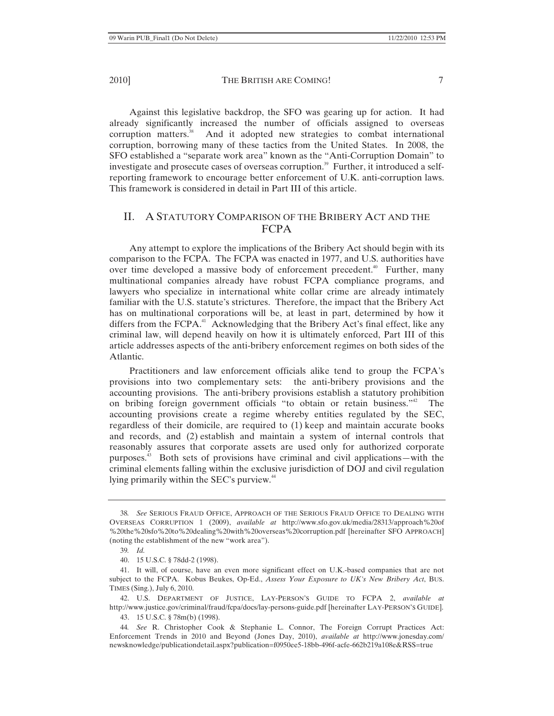Against this legislative backdrop, the SFO was gearing up for action. It had already significantly increased the number of officials assigned to overseas corruption matters. $38$  And it adopted new strategies to combat international corruption, borrowing many of these tactics from the United States. In 2008, the SFO established a "separate work area" known as the "Anti-Corruption Domain" to investigate and prosecute cases of overseas corruption.<sup>39</sup> Further, it introduced a selfreporting framework to encourage better enforcement of U.K. anti-corruption laws. This framework is considered in detail in Part III of this article.

# II. A STATUTORY COMPARISON OF THE BRIBERY ACT AND THE FCPA

Any attempt to explore the implications of the Bribery Act should begin with its comparison to the FCPA. The FCPA was enacted in 1977, and U.S. authorities have over time developed a massive body of enforcement precedent.<sup>40</sup> Further, many multinational companies already have robust FCPA compliance programs, and lawyers who specialize in international white collar crime are already intimately familiar with the U.S. statute's strictures. Therefore, the impact that the Bribery Act has on multinational corporations will be, at least in part, determined by how it differs from the  $FCPA<sup>41</sup>$  Acknowledging that the Bribery Act's final effect, like any criminal law, will depend heavily on how it is ultimately enforced, Part III of this article addresses aspects of the anti-bribery enforcement regimes on both sides of the Atlantic.

Practitioners and law enforcement officials alike tend to group the FCPA's provisions into two complementary sets: the anti-bribery provisions and the accounting provisions. The anti-bribery provisions establish a statutory prohibition on bribing foreign government officials "to obtain or retain business."<sup>42</sup> The accounting provisions create a regime whereby entities regulated by the SEC, regardless of their domicile, are required to (1) keep and maintain accurate books and records, and (2) establish and maintain a system of internal controls that reasonably assures that corporate assets are used only for authorized corporate purposes.43 Both sets of provisions have criminal and civil applications—with the criminal elements falling within the exclusive jurisdiction of DOJ and civil regulation lying primarily within the SEC's purview.<sup>44</sup>

42. U.S. DEPARTMENT OF JUSTICE, LAY-PERSON'S GUIDE TO FCPA 2, *available at* http://www.justice.gov/criminal/fraud/fcpa/docs/lay-persons-guide.pdf [hereinafter LAY-PERSON'S GUIDE].

43. 15 U.S.C. § 78m(b) (1998).

44*. See* R. Christopher Cook & Stephanie L. Connor, The Foreign Corrupt Practices Act: Enforcement Trends in 2010 and Beyond (Jones Day, 2010), *available at* http://www.jonesday.com/ newsknowledge/publicationdetail.aspx?publication=f0950ee5-18bb-496f-acfe-662b219a108e&RSS=true

<sup>38</sup>*. See* SERIOUS FRAUD OFFICE, APPROACH OF THE SERIOUS FRAUD OFFICE TO DEALING WITH OVERSEAS CORRUPTION 1 (2009), *available at* http://www.sfo.gov.uk/media/28313/approach%20of %20the%20sfo%20to%20dealing%20with%20overseas%20corruption.pdf [hereinafter SFO APPROACH] (noting the establishment of the new "work area").

<sup>39</sup>*. Id.*

<sup>40. 15</sup> U.S.C. § 78dd-2 (1998).

<sup>41.</sup> It will, of course, have an even more significant effect on U.K.-based companies that are not subject to the FCPA. Kobus Beukes, Op-Ed., *Assess Your Exposure to UK's New Bribery Act*, BUS. TIMES (Sing.), July 6, 2010.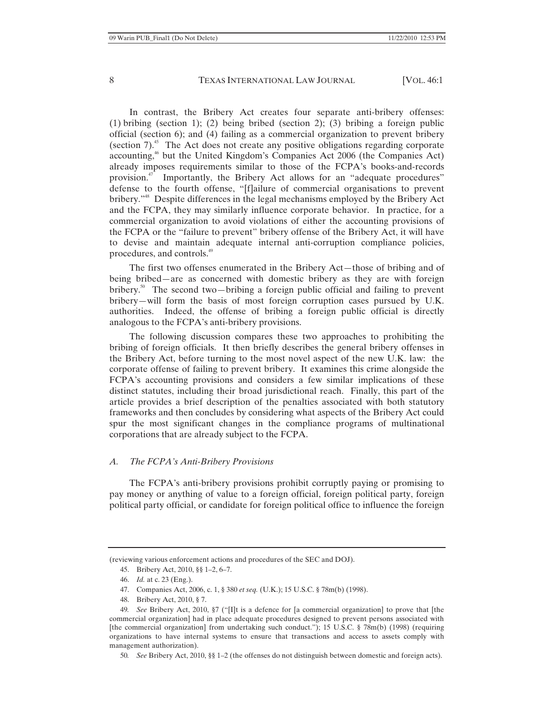In contrast, the Bribery Act creates four separate anti-bribery offenses: (1) bribing (section 1); (2) being bribed (section 2); (3) bribing a foreign public official (section 6); and (4) failing as a commercial organization to prevent bribery (section  $7$ ).<sup>45</sup> The Act does not create any positive obligations regarding corporate accounting,<sup>46</sup> but the United Kingdom's Companies Act 2006 (the Companies Act) already imposes requirements similar to those of the FCPA's books-and-records provision.47 Importantly, the Bribery Act allows for an "adequate procedures" defense to the fourth offense, "[f]ailure of commercial organisations to prevent bribery."<sup>48</sup> Despite differences in the legal mechanisms employed by the Bribery Act and the FCPA, they may similarly influence corporate behavior. In practice, for a commercial organization to avoid violations of either the accounting provisions of the FCPA or the "failure to prevent" bribery offense of the Bribery Act, it will have to devise and maintain adequate internal anti-corruption compliance policies, procedures, and controls.<sup>49</sup>

The first two offenses enumerated in the Bribery Act—those of bribing and of being bribed—are as concerned with domestic bribery as they are with foreign bribery.<sup>50</sup> The second two—bribing a foreign public official and failing to prevent bribery—will form the basis of most foreign corruption cases pursued by U.K. authorities. Indeed, the offense of bribing a foreign public official is directly analogous to the FCPA's anti-bribery provisions.

The following discussion compares these two approaches to prohibiting the bribing of foreign officials. It then briefly describes the general bribery offenses in the Bribery Act, before turning to the most novel aspect of the new U.K. law: the corporate offense of failing to prevent bribery. It examines this crime alongside the FCPA's accounting provisions and considers a few similar implications of these distinct statutes, including their broad jurisdictional reach. Finally, this part of the article provides a brief description of the penalties associated with both statutory frameworks and then concludes by considering what aspects of the Bribery Act could spur the most significant changes in the compliance programs of multinational corporations that are already subject to the FCPA.

#### *A. The FCPA's Anti-Bribery Provisions*

The FCPA's anti-bribery provisions prohibit corruptly paying or promising to pay money or anything of value to a foreign official, foreign political party, foreign political party official, or candidate for foreign political office to influence the foreign

- 45. Bribery Act, 2010, §§ 1–2, 6–7.
- 46. *Id.* at c. 23 (Eng.).
- 47. Companies Act, 2006, c. 1, § 380 *et seq.* (U.K.); 15 U.S.C. § 78m(b) (1998).
- 48. Bribery Act, 2010, § 7.

50*. See* Bribery Act, 2010, §§ 1–2 (the offenses do not distinguish between domestic and foreign acts).

<sup>(</sup>reviewing various enforcement actions and procedures of the SEC and DOJ).

<sup>49</sup>*. See* Bribery Act, 2010, §7 ("[I]t is a defence for [a commercial organization] to prove that [the commercial organization] had in place adequate procedures designed to prevent persons associated with [the commercial organization] from undertaking such conduct."); 15 U.S.C. § 78m(b) (1998) (requiring organizations to have internal systems to ensure that transactions and access to assets comply with management authorization).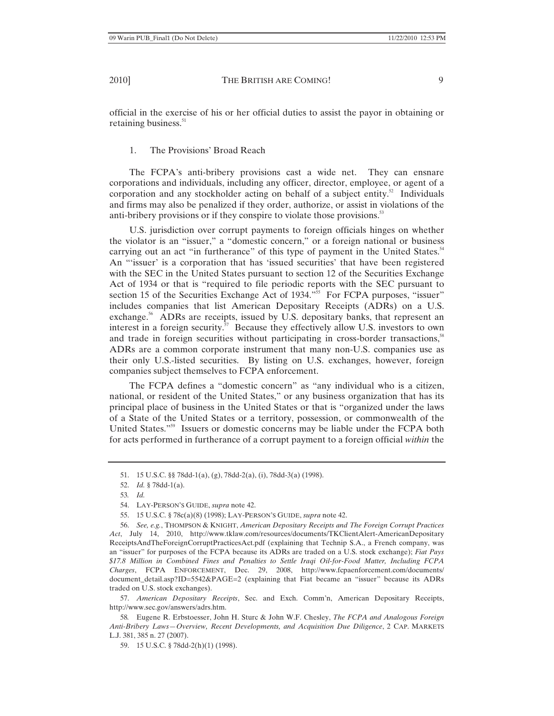official in the exercise of his or her official duties to assist the payor in obtaining or retaining business.<sup>51</sup>

1. The Provisions' Broad Reach

The FCPA's anti-bribery provisions cast a wide net. They can ensnare corporations and individuals, including any officer, director, employee, or agent of a corporation and any stockholder acting on behalf of a subject entity.<sup>52</sup> Individuals and firms may also be penalized if they order, authorize, or assist in violations of the anti-bribery provisions or if they conspire to violate those provisions.<sup>53</sup>

U.S. jurisdiction over corrupt payments to foreign officials hinges on whether the violator is an "issuer," a "domestic concern," or a foreign national or business carrying out an act "in furtherance" of this type of payment in the United States.<sup>54</sup> An "'issuer' is a corporation that has 'issued securities' that have been registered with the SEC in the United States pursuant to section 12 of the Securities Exchange Act of 1934 or that is "required to file periodic reports with the SEC pursuant to section 15 of the Securities Exchange Act of 1934."<sup>55</sup> For FCPA purposes, "issuer" includes companies that list American Depositary Receipts (ADRs) on a U.S. exchange.<sup>56</sup> ADRs are receipts, issued by U.S. depositary banks, that represent an interest in a foreign security.<sup> $\overline{s}$ </sup> Because they effectively allow U.S. investors to own and trade in foreign securities without participating in cross-border transactions,<sup>58</sup> ADRs are a common corporate instrument that many non-U.S. companies use as their only U.S.-listed securities. By listing on U.S. exchanges, however, foreign companies subject themselves to FCPA enforcement.

The FCPA defines a "domestic concern" as "any individual who is a citizen, national, or resident of the United States," or any business organization that has its principal place of business in the United States or that is "organized under the laws of a State of the United States or a territory, possession, or commonwealth of the United States."59 Issuers or domestic concerns may be liable under the FCPA both for acts performed in furtherance of a corrupt payment to a foreign official *within* the

57. *American Depositary Receipts*, Sec. and Exch. Comm'n, American Depositary Receipts, http://www.sec.gov/answers/adrs.htm.

<sup>51. 15</sup> U.S.C. §§ 78dd-1(a), (g), 78dd-2(a), (i), 78dd-3(a) (1998).

<sup>52.</sup> *Id.* § 78dd-1(a).

<sup>53</sup>*. Id.*

<sup>54.</sup> LAY-PERSON'S GUIDE, *supra* note 42.

<sup>55. 15</sup> U.S.C. § 78c(a)(8) (1998); LAY-PERSON'S GUIDE, *supra* note 42.

<sup>56.</sup> *See, e.g.*, THOMPSON & KNIGHT, *American Depositary Receipts and The Foreign Corrupt Practices Act*, July 14, 2010, http://www.tklaw.com/resources/documents/TKClientAlert-AmericanDepositary ReceiptsAndTheForeignCorruptPracticesAct.pdf (explaining that Technip S.A., a French company, was an "issuer" for purposes of the FCPA because its ADRs are traded on a U.S. stock exchange); *Fiat Pays \$17.8 Million in Combined Fines and Penalties to Settle Iraqi Oil-for-Food Matter, Including FCPA Charges*, FCPA ENFORCEMENT, Dec. 29, 2008, http://www.fcpaenforcement.com/documents/ document\_detail.asp?ID=5542&PAGE=2 (explaining that Fiat became an "issuer" because its ADRs traded on U.S. stock exchanges).

<sup>58</sup>*.* Eugene R. Erbstoesser, John H. Sturc & John W.F. Chesley, *The FCPA and Analogous Foreign Anti-Bribery Laws—Overview, Recent Developments, and Acquisition Due Diligence*, 2 CAP. MARKETS L.J. 381, 385 n. 27 (2007).

<sup>59. 15</sup> U.S.C. § 78dd-2(h)(1) (1998).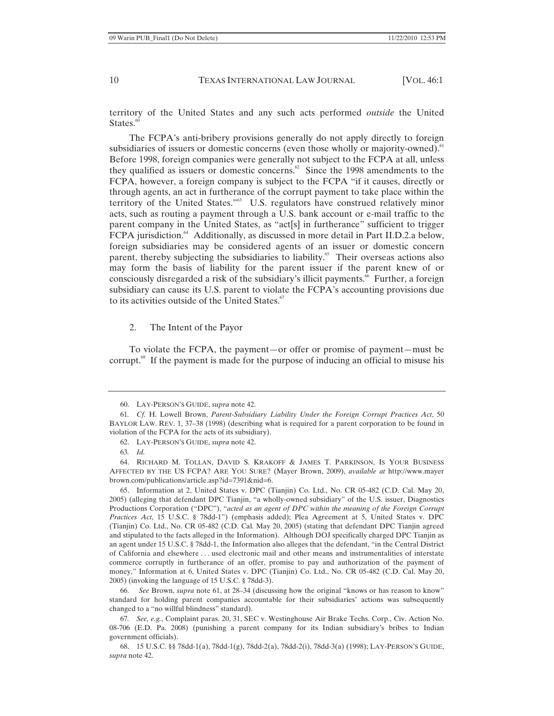territory of the United States and any such acts performed *outside* the United States. $60$ 

The FCPA's anti-bribery provisions generally do not apply directly to foreign subsidiaries of issuers or domestic concerns (even those wholly or majority-owned).<sup>61</sup> Before 1998, foreign companies were generally not subject to the FCPA at all, unless they qualified as issuers or domestic concerns.<sup>62</sup> Since the 1998 amendments to the FCPA, however, a foreign company is subject to the FCPA "if it causes, directly or through agents, an act in furtherance of the corrupt payment to take place within the territory of the United States."63 U.S. regulators have construed relatively minor acts, such as routing a payment through a U.S. bank account or e-mail traffic to the parent company in the United States, as "act[s] in furtherance" sufficient to trigger FCPA jurisdiction.<sup>64</sup> Additionally, as discussed in more detail in Part II.D.2.a below, foreign subsidiaries may be considered agents of an issuer or domestic concern parent, thereby subjecting the subsidiaries to liability.<sup>65</sup> Their overseas actions also may form the basis of liability for the parent issuer if the parent knew of or consciously disregarded a risk of the subsidiary's illicit payments.<sup>66</sup> Further, a foreign subsidiary can cause its U.S. parent to violate the FCPA's accounting provisions due to its activities outside of the United States.<sup>67</sup>

#### 2. The Intent of the Payor

To violate the FCPA, the payment—or offer or promise of payment—must be corrupt. $\mathbb{S}^8$  If the payment is made for the purpose of inducing an official to misuse his

66. *See* Brown, *supra* note 61, at 28–34 (discussing how the original "knows or has reason to know" standard for holding parent companies accountable for their subsidiaries' actions was subsequently changed to a "no willful blindness" standard).

67*. See, e.g.*, Complaint paras. 20, 31, SEC v. Westinghouse Air Brake Techs. Corp., Civ. Action No. 08-706 (E.D. Pa. 2008) (punishing a parent company for its Indian subsidiary's bribes to Indian government officials).

68. 15 U.S.C. §§ 78dd-1(a), 78dd-1(g), 78dd-2(a), 78dd-2(i), 78dd-3(a) (1998); LAY-PERSON'S GUIDE, *supra* note 42.

<sup>60.</sup> LAY-PERSON'S GUIDE, *supra* note 42.

<sup>61</sup>*. Cf.* H. Lowell Brown, *Parent-Subsidiary Liability Under the Foreign Corrupt Practices Act*, 50 BAYLOR LAW. REV. 1, 37–38 (1998) (describing what is required for a parent corporation to be found in violation of the FCPA for the acts of its subsidiary).

<sup>62.</sup> LAY-PERSON'S GUIDE, *supra* note 42.

<sup>63</sup>*. Id.*

<sup>64.</sup> RICHARD M. TOLLAN, DAVID S. KRAKOFF & JAMES T. PARKINSON, IS YOUR BUSINESS AFFECTED BY THE US FCPA? ARE YOU SURE? (Mayer Brown, 2009), *available at* http://www.mayer brown.com/publications/article.asp?id=7391&nid=6.

<sup>65.</sup> Information at 2, United States v. DPC (Tianjin) Co. Ltd., No. CR 05-482 (C.D. Cal. May 20, 2005) (alleging that defendant DPC Tianjin, "a wholly-owned subsidiary" of the U.S. issuer, Diagnostics Productions Corporation ("DPC"), "*acted as an agent of DPC within the meaning of the Foreign Corrupt Practices Act*, 15 U.S.C. § 78dd-1") (emphasis added); Plea Agreement at 5, United States v. DPC (Tianjin) Co. Ltd., No. CR 05-482 (C.D. Cal. May 20, 2005) (stating that defendant DPC Tianjin agreed and stipulated to the facts alleged in the Information). Although DOJ specifically charged DPC Tianjin as an agent under 15 U.S.C. § 78dd-1, the Information also alleges that the defendant, "in the Central District of California and elsewhere . . . used electronic mail and other means and instrumentalities of interstate commerce corruptly in furtherance of an offer, promise to pay and authorization of the payment of money," Information at 6, United States v. DPC (Tianjin) Co. Ltd., No. CR 05-482 (C.D. Cal. May 20, 2005) (invoking the language of 15 U.S.C. § 78dd-3).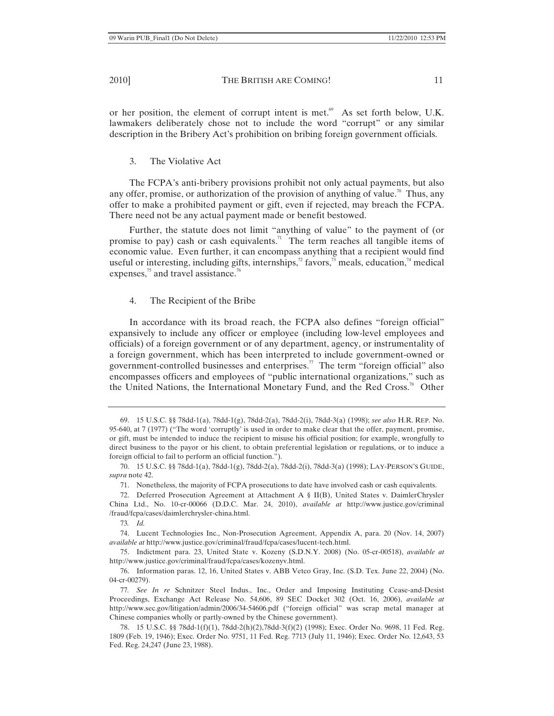or her position, the element of corrupt intent is met. $\mathscr{C}$  As set forth below, U.K. lawmakers deliberately chose not to include the word "corrupt" or any similar description in the Bribery Act's prohibition on bribing foreign government officials.

3. The Violative Act

The FCPA's anti-bribery provisions prohibit not only actual payments, but also any offer, promise, or authorization of the provision of anything of value.<sup>70</sup> Thus, any offer to make a prohibited payment or gift, even if rejected, may breach the FCPA. There need not be any actual payment made or benefit bestowed.

Further, the statute does not limit "anything of value" to the payment of (or promise to pay) cash or cash equivalents.<sup>71</sup> The term reaches all tangible items of economic value. Even further, it can encompass anything that a recipient would find useful or interesting, including gifts, internships,<sup>72</sup> favors,<sup>73</sup> meals, education,<sup>74</sup> medical expenses,<sup>75</sup> and travel assistance.<sup>76</sup>

#### 4. The Recipient of the Bribe

In accordance with its broad reach, the FCPA also defines "foreign official" expansively to include any officer or employee (including low-level employees and officials) of a foreign government or of any department, agency, or instrumentality of a foreign government, which has been interpreted to include government-owned or government-controlled businesses and enterprises.<sup>77</sup> The term "foreign official" also encompasses officers and employees of "public international organizations," such as the United Nations, the International Monetary Fund, and the Red Cross.<sup>78</sup> Other

76. Information paras. 12, 16, United States v. ABB Vetco Gray, Inc. (S.D. Tex. June 22, 2004) (No. 04-cr-00279).

<sup>69. 15</sup> U.S.C. §§ 78dd-1(a), 78dd-1(g), 78dd-2(a), 78dd-2(i), 78dd-3(a) (1998); *see also* H.R. REP. No. 95-640, at 7 (1977) ("The word 'corruptly' is used in order to make clear that the offer, payment, promise, or gift, must be intended to induce the recipient to misuse his official position; for example, wrongfully to direct business to the payor or his client, to obtain preferential legislation or regulations, or to induce a foreign official to fail to perform an official function.").

<sup>70. 15</sup> U.S.C. §§ 78dd-1(a), 78dd-1(g), 78dd-2(a), 78dd-2(i), 78dd-3(a) (1998); LAY-PERSON'S GUIDE, *supra* note 42.

<sup>71.</sup> Nonetheless, the majority of FCPA prosecutions to date have involved cash or cash equivalents.

<sup>72.</sup> Deferred Prosecution Agreement at Attachment A § II(B), United States v. DaimlerChrysler China Ltd., No. 10-cr-00066 (D.D.C. Mar. 24, 2010), *available at* http://www.justice.gov/criminal /fraud/fcpa/cases/daimlerchrysler-china.html.

<sup>73</sup>*. Id.*

<sup>74.</sup> Lucent Technologies Inc., Non-Prosecution Agreement, Appendix A, para. 20 (Nov. 14, 2007) *available at* http://www.justice.gov/criminal/fraud/fcpa/cases/lucent-tech.html.

<sup>75.</sup> Indictment para. 23, United State v. Kozeny (S.D.N.Y. 2008) (No. 05-cr-00518), *available at*  http://www.justice.gov/criminal/fraud/fcpa/cases/kozenyv.html.

<sup>77</sup>*. See In re* Schnitzer Steel Indus., Inc., Order and Imposing Instituting Cease-and-Desist Proceedings, Exchange Act Release No. 54,606, 89 SEC Docket 302 (Oct. 16, 2006), *available at* http://www.sec.gov/litigation/admin/2006/34-54606.pdf ("foreign official" was scrap metal manager at Chinese companies wholly or partly-owned by the Chinese government).

<sup>78. 15</sup> U.S.C. §§ 78dd-1(f)(1), 78dd-2(h)(2),78dd-3(f)(2) (1998); Exec. Order No. 9698, 11 Fed. Reg. 1809 (Feb. 19, 1946); Exec. Order No. 9751, 11 Fed. Reg. 7713 (July 11, 1946); Exec. Order No. 12,643, 53 Fed. Reg. 24,247 (June 23, 1988).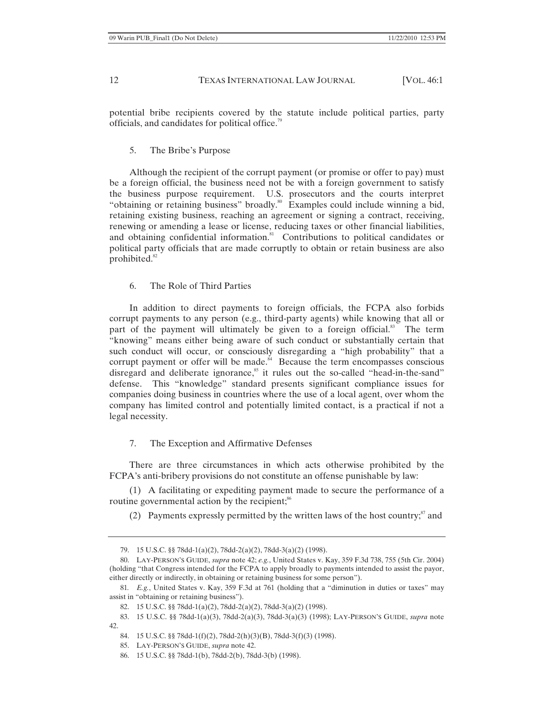potential bribe recipients covered by the statute include political parties, party officials, and candidates for political office.<sup>79</sup>

#### 5. The Bribe's Purpose

Although the recipient of the corrupt payment (or promise or offer to pay) must be a foreign official, the business need not be with a foreign government to satisfy the business purpose requirement. U.S. prosecutors and the courts interpret "obtaining or retaining business" broadly.<sup>80</sup> Examples could include winning a bid, retaining existing business, reaching an agreement or signing a contract, receiving, renewing or amending a lease or license, reducing taxes or other financial liabilities, and obtaining confidential information. $81$  Contributions to political candidates or political party officials that are made corruptly to obtain or retain business are also prohibited.<sup>82</sup>

#### 6. The Role of Third Parties

In addition to direct payments to foreign officials, the FCPA also forbids corrupt payments to any person (e.g., third-party agents) while knowing that all or part of the payment will ultimately be given to a foreign official.<sup>83</sup> The term "knowing" means either being aware of such conduct or substantially certain that such conduct will occur, or consciously disregarding a "high probability" that a corrupt payment or offer will be made. $84$  Because the term encompasses conscious disregard and deliberate ignorance, $85$  it rules out the so-called "head-in-the-sand" defense. This "knowledge" standard presents significant compliance issues for companies doing business in countries where the use of a local agent, over whom the company has limited control and potentially limited contact, is a practical if not a legal necessity.

#### 7. The Exception and Affirmative Defenses

There are three circumstances in which acts otherwise prohibited by the FCPA's anti-bribery provisions do not constitute an offense punishable by law:

(1) A facilitating or expediting payment made to secure the performance of a routine governmental action by the recipient;<sup>86</sup>

(2) Payments expressly permitted by the written laws of the host country; $\frac{87}{3}$  and

<sup>79. 15</sup> U.S.C. §§ 78dd-1(a)(2), 78dd-2(a)(2), 78dd-3(a)(2) (1998).

<sup>80.</sup> LAY-PERSON'S GUIDE, *supra* note 42; *e.g.*, United States v. Kay, 359 F.3d 738, 755 (5th Cir. 2004) (holding "that Congress intended for the FCPA to apply broadly to payments intended to assist the payor, either directly or indirectly, in obtaining or retaining business for some person").

<sup>81</sup>*. E.g.*, United States v. Kay, 359 F.3d at 761 (holding that a "diminution in duties or taxes" may assist in "obtaining or retaining business").

<sup>82. 15</sup> U.S.C. §§ 78dd-1(a)(2), 78dd-2(a)(2), 78dd-3(a)(2) (1998).

<sup>83. 15</sup> U.S.C. §§ 78dd-1(a)(3), 78dd-2(a)(3), 78dd-3(a)(3) (1998); LAY-PERSON'S GUIDE, *supra* note 42.

<sup>84. 15</sup> U.S.C. §§ 78dd-1(f)(2), 78dd-2(h)(3)(B), 78dd-3(f)(3) (1998).

<sup>85.</sup> LAY-PERSON'S GUIDE, *supra* note 42.

<sup>86. 15</sup> U.S.C. §§ 78dd-1(b), 78dd-2(b), 78dd-3(b) (1998).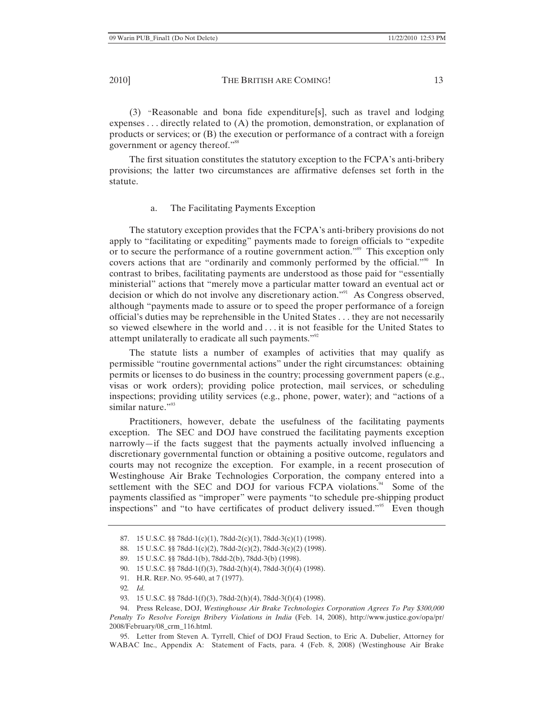(3) "Reasonable and bona fide expenditure[s], such as travel and lodging expenses . . . directly related to (A) the promotion, demonstration, or explanation of products or services; or (B) the execution or performance of a contract with a foreign government or agency thereof."<sup>88</sup>

The first situation constitutes the statutory exception to the FCPA's anti-bribery provisions; the latter two circumstances are affirmative defenses set forth in the statute.

### a. The Facilitating Payments Exception

The statutory exception provides that the FCPA's anti-bribery provisions do not apply to "facilitating or expediting" payments made to foreign officials to "expedite or to secure the performance of a routine government action."89 This exception only covers actions that are "ordinarily and commonly performed by the official."<sup>90</sup> In contrast to bribes, facilitating payments are understood as those paid for "essentially ministerial" actions that "merely move a particular matter toward an eventual act or decision or which do not involve any discretionary action."<sup>91</sup> As Congress observed, although "payments made to assure or to speed the proper performance of a foreign official's duties may be reprehensible in the United States . . . they are not necessarily so viewed elsewhere in the world and . . . it is not feasible for the United States to attempt unilaterally to eradicate all such payments."<sup>92</sup>

The statute lists a number of examples of activities that may qualify as permissible "routine governmental actions" under the right circumstances: obtaining permits or licenses to do business in the country; processing government papers (e.g., visas or work orders); providing police protection, mail services, or scheduling inspections; providing utility services (e.g., phone, power, water); and "actions of a similar nature."<sup>93</sup>

Practitioners, however, debate the usefulness of the facilitating payments exception. The SEC and DOJ have construed the facilitating payments exception narrowly—if the facts suggest that the payments actually involved influencing a discretionary governmental function or obtaining a positive outcome, regulators and courts may not recognize the exception. For example, in a recent prosecution of Westinghouse Air Brake Technologies Corporation, the company entered into a settlement with the SEC and DOJ for various FCPA violations. $94$  Some of the payments classified as "improper" were payments "to schedule pre-shipping product inspections" and "to have certificates of product delivery issued."<sup>95</sup> Even though

95. Letter from Steven A. Tyrrell, Chief of DOJ Fraud Section, to Eric A. Dubelier, Attorney for WABAC Inc., Appendix A: Statement of Facts, para. 4 (Feb. 8, 2008) (Westinghouse Air Brake

<sup>87. 15</sup> U.S.C. §§ 78dd-1(c)(1), 78dd-2(c)(1), 78dd-3(c)(1) (1998).

<sup>88. 15</sup> U.S.C. §§ 78dd-1(c)(2), 78dd-2(c)(2), 78dd-3(c)(2) (1998).

<sup>89. 15</sup> U.S.C. §§ 78dd-1(b), 78dd-2(b), 78dd-3(b) (1998).

<sup>90. 15</sup> U.S.C. §§ 78dd-1(f)(3), 78dd-2(h)(4), 78dd-3(f)(4) (1998).

<sup>91.</sup> H.R. REP. NO. 95-640, at 7 (1977).

<sup>92</sup>*. Id.*

<sup>93. 15</sup> U.S.C. §§ 78dd-1(f)(3), 78dd-2(h)(4), 78dd-3(f)(4) (1998).

<sup>94.</sup> Press Release, DOJ, *Westinghouse Air Brake Technologies Corporation Agrees To Pay \$300,000 Penalty To Resolve Foreign Bribery Violations in India* (Feb. 14, 2008), http://www.justice.gov/opa/pr/ 2008/February/08\_crm\_116.html.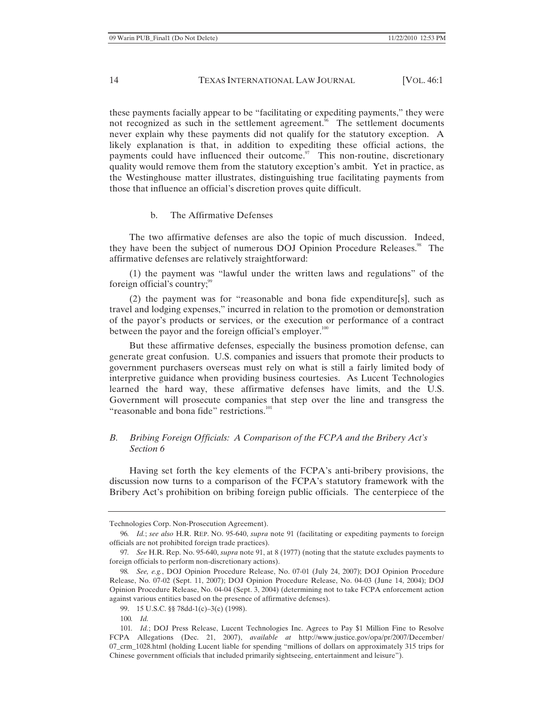these payments facially appear to be "facilitating or expediting payments," they were not recognized as such in the settlement agreement.<sup>96</sup> The settlement documents never explain why these payments did not qualify for the statutory exception. A likely explanation is that, in addition to expediting these official actions, the payments could have influenced their outcome. $\frac{97}{100}$  This non-routine, discretionary quality would remove them from the statutory exception's ambit. Yet in practice, as the Westinghouse matter illustrates, distinguishing true facilitating payments from those that influence an official's discretion proves quite difficult.

## b. The Affirmative Defenses

The two affirmative defenses are also the topic of much discussion. Indeed, they have been the subject of numerous DOJ Opinion Procedure Releases.<sup>98</sup> The affirmative defenses are relatively straightforward:

(1) the payment was "lawful under the written laws and regulations" of the foreign official's country;  $\frac{99}{99}$ 

(2) the payment was for "reasonable and bona fide expenditure[s], such as travel and lodging expenses," incurred in relation to the promotion or demonstration of the payor's products or services, or the execution or performance of a contract between the payor and the foreign official's employer.<sup>100</sup>

But these affirmative defenses, especially the business promotion defense, can generate great confusion. U.S. companies and issuers that promote their products to government purchasers overseas must rely on what is still a fairly limited body of interpretive guidance when providing business courtesies. As Lucent Technologies learned the hard way, these affirmative defenses have limits, and the U.S. Government will prosecute companies that step over the line and transgress the "reasonable and bona fide" restrictions.<sup>101</sup>

# *B. Bribing Foreign Officials: A Comparison of the FCPA and the Bribery Act's Section 6*

Having set forth the key elements of the FCPA's anti-bribery provisions, the discussion now turns to a comparison of the FCPA's statutory framework with the Bribery Act's prohibition on bribing foreign public officials. The centerpiece of the

Technologies Corp. Non-Prosecution Agreement).

<sup>96</sup>*. Id.*; *see also* H.R. REP. NO. 95-640, *supra* note 91 (facilitating or expediting payments to foreign officials are not prohibited foreign trade practices).

<sup>97</sup>*. See* H.R. Rep. No. 95-640, *supra* note 91, at 8 (1977) (noting that the statute excludes payments to foreign officials to perform non-discretionary actions).

<sup>98</sup>*. See, e.g.*, DOJ Opinion Procedure Release, No. 07-01 (July 24, 2007); DOJ Opinion Procedure Release, No. 07-02 (Sept. 11, 2007); DOJ Opinion Procedure Release, No. 04-03 (June 14, 2004); DOJ Opinion Procedure Release, No. 04-04 (Sept. 3, 2004) (determining not to take FCPA enforcement action against various entities based on the presence of affirmative defenses).

<sup>99. 15</sup> U.S.C. §§ 78dd-1(c)-3(c) (1998).

<sup>100</sup>*. Id.*

<sup>101</sup>*. Id.*; DOJ Press Release, Lucent Technologies Inc. Agrees to Pay \$1 Million Fine to Resolve FCPA Allegations (Dec. 21, 2007), *available at* http://www.justice.gov/opa/pr/2007/December/ 07\_crm\_1028.html (holding Lucent liable for spending "millions of dollars on approximately 315 trips for Chinese government officials that included primarily sightseeing, entertainment and leisure").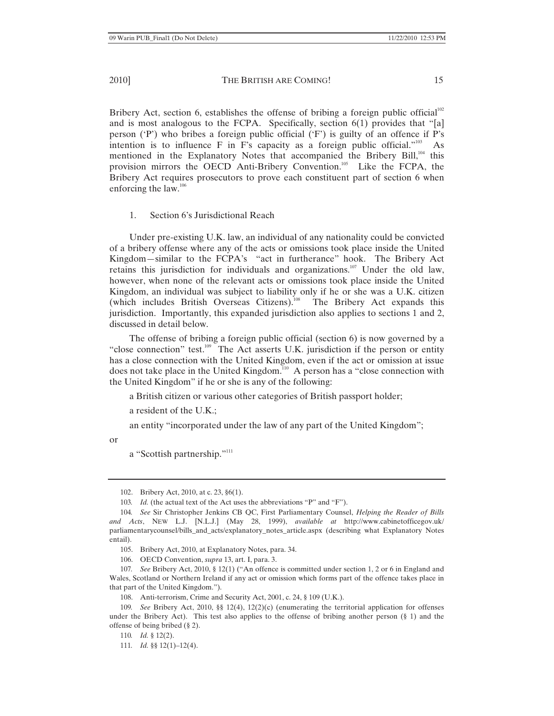Bribery Act, section 6, establishes the offense of bribing a foreign public official<sup>102</sup> and is most analogous to the FCPA. Specifically, section  $6(1)$  provides that "[a] person ('P') who bribes a foreign public official ('F') is guilty of an offence if P's intention is to influence  $F$  in  $F$ 's capacity as a foreign public official."<sup>103</sup> As mentioned in the Explanatory Notes that accompanied the Bribery Bill,<sup>104</sup> this provision mirrors the OECD Anti-Bribery Convention.<sup>105</sup> Like the FCPA, the Bribery Act requires prosecutors to prove each constituent part of section 6 when enforcing the law.106

## 1. Section 6's Jurisdictional Reach

Under pre-existing U.K. law, an individual of any nationality could be convicted of a bribery offense where any of the acts or omissions took place inside the United Kingdom—similar to the FCPA's "act in furtherance" hook. The Bribery Act retains this jurisdiction for individuals and organizations.<sup>107</sup> Under the old law, however, when none of the relevant acts or omissions took place inside the United Kingdom, an individual was subject to liability only if he or she was a U.K. citizen (which includes British Overseas Citizens).<sup>108</sup> The Bribery Act expands this jurisdiction. Importantly, this expanded jurisdiction also applies to sections 1 and 2, discussed in detail below.

The offense of bribing a foreign public official (section 6) is now governed by a "close connection" test.<sup>109</sup> The Act asserts U.K. jurisdiction if the person or entity has a close connection with the United Kingdom, even if the act or omission at issue does not take place in the United Kingdom.<sup>110</sup> A person has a "close connection with the United Kingdom" if he or she is any of the following:

a British citizen or various other categories of British passport holder;

a resident of the U.K.;

an entity "incorporated under the law of any part of the United Kingdom";

or

a "Scottish partnership."<sup>111</sup>

<sup>102.</sup> Bribery Act, 2010, at c. 23, §6(1).

<sup>103</sup>*. Id.* (the actual text of the Act uses the abbreviations "P" and "F").

<sup>104</sup>*. See* Sir Christopher Jenkins CB QC, First Parliamentary Counsel, *Helping the Reader of Bills and Acts*, NEW L.J. [N.L.J.] (May 28, 1999), *available at* http://www.cabinetofficegov.uk/ parliamentarycounsel/bills\_and\_acts/explanatory\_notes\_article.aspx (describing what Explanatory Notes entail).

<sup>105.</sup> Bribery Act, 2010, at Explanatory Notes, para. 34.

<sup>106.</sup> OECD Convention, *supra* 13, art. I, para. 3.

<sup>107</sup>*. See* Bribery Act, 2010, § 12(1) ("An offence is committed under section 1, 2 or 6 in England and Wales, Scotland or Northern Ireland if any act or omission which forms part of the offence takes place in that part of the United Kingdom.").

<sup>108.</sup> Anti-terrorism, Crime and Security Act, 2001, c. 24, § 109 (U.K.).

<sup>109</sup>*. See* Bribery Act, 2010, §§ 12(4), 12(2)(c) (enumerating the territorial application for offenses under the Bribery Act). This test also applies to the offense of bribing another person (§ 1) and the offense of being bribed (§ 2).

<sup>110</sup>*. Id.* § 12(2).

<sup>111</sup>*. Id.* §§ 12(1)–12(4).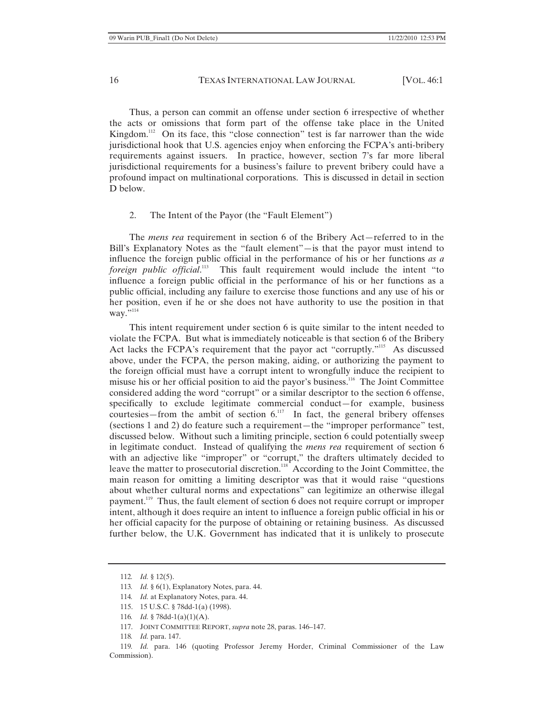Thus, a person can commit an offense under section 6 irrespective of whether the acts or omissions that form part of the offense take place in the United Kingdom.<sup>112</sup> On its face, this "close connection" test is far narrower than the wide jurisdictional hook that U.S. agencies enjoy when enforcing the FCPA's anti-bribery requirements against issuers. In practice, however, section 7's far more liberal jurisdictional requirements for a business's failure to prevent bribery could have a profound impact on multinational corporations. This is discussed in detail in section D below.

#### 2. The Intent of the Payor (the "Fault Element")

The *mens rea* requirement in section 6 of the Bribery Act—referred to in the Bill's Explanatory Notes as the "fault element"—is that the payor must intend to influence the foreign public official in the performance of his or her functions *as a foreign public official*. 113 This fault requirement would include the intent "to influence a foreign public official in the performance of his or her functions as a public official, including any failure to exercise those functions and any use of his or her position, even if he or she does not have authority to use the position in that way."<sup>114</sup>

This intent requirement under section 6 is quite similar to the intent needed to violate the FCPA. But what is immediately noticeable is that section 6 of the Bribery Act lacks the FCPA's requirement that the payor act "corruptly."<sup>115</sup> As discussed above, under the FCPA, the person making, aiding, or authorizing the payment to the foreign official must have a corrupt intent to wrongfully induce the recipient to misuse his or her official position to aid the payor's business.116 The Joint Committee considered adding the word "corrupt" or a similar descriptor to the section 6 offense, specifically to exclude legitimate commercial conduct—for example, business courtesies—from the ambit of section  $6<sup>117</sup>$  In fact, the general bribery offenses (sections 1 and 2) do feature such a requirement—the "improper performance" test, discussed below. Without such a limiting principle, section 6 could potentially sweep in legitimate conduct. Instead of qualifying the *mens rea* requirement of section 6 with an adjective like "improper" or "corrupt," the drafters ultimately decided to leave the matter to prosecutorial discretion.<sup>118</sup> According to the Joint Committee, the main reason for omitting a limiting descriptor was that it would raise "questions about whether cultural norms and expectations" can legitimize an otherwise illegal payment.<sup>119</sup> Thus, the fault element of section 6 does not require corrupt or improper intent, although it does require an intent to influence a foreign public official in his or her official capacity for the purpose of obtaining or retaining business. As discussed further below, the U.K. Government has indicated that it is unlikely to prosecute

<sup>112</sup>*. Id.* § 12(5).

<sup>113</sup>*. Id.* § 6(1), Explanatory Notes, para. 44.

<sup>114</sup>*. Id.* at Explanatory Notes, para. 44.

<sup>115. 15</sup> U.S.C. § 78dd-1(a) (1998).

<sup>116</sup>*. Id.* § 78dd-1(a)(1)(A).

<sup>117.</sup> JOINT COMMITTEE REPORT, *supra* note 28, paras. 146–147.

<sup>118</sup>*. Id.* para. 147.

<sup>119</sup>*. Id.* para. 146 (quoting Professor Jeremy Horder, Criminal Commissioner of the Law Commission).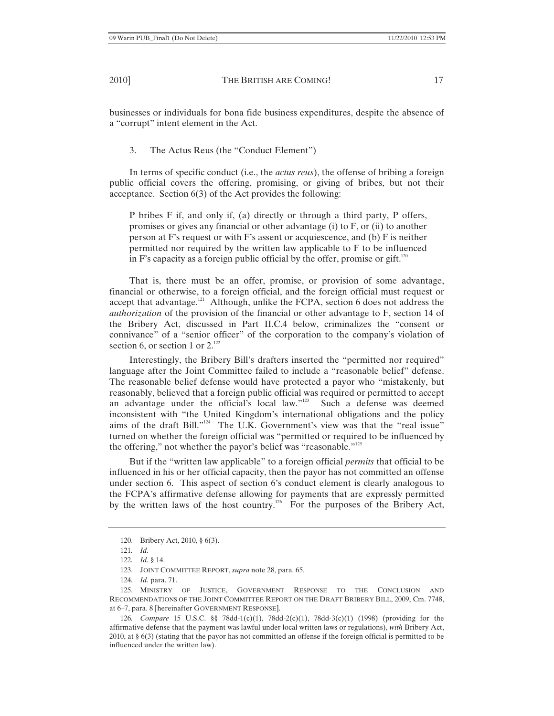businesses or individuals for bona fide business expenditures, despite the absence of a "corrupt" intent element in the Act.

3. The Actus Reus (the "Conduct Element")

In terms of specific conduct (i.e., the *actus reus*), the offense of bribing a foreign public official covers the offering, promising, or giving of bribes, but not their acceptance. Section 6(3) of the Act provides the following:

P bribes F if, and only if, (a) directly or through a third party, P offers, promises or gives any financial or other advantage (i) to F, or (ii) to another person at F's request or with F's assent or acquiescence, and (b) F is neither permitted nor required by the written law applicable to F to be influenced in F's capacity as a foreign public official by the offer, promise or gift.<sup>120</sup>

That is, there must be an offer, promise, or provision of some advantage, financial or otherwise, to a foreign official, and the foreign official must request or accept that advantage.<sup>121</sup> Although, unlike the FCPA, section 6 does not address the *authorization* of the provision of the financial or other advantage to F, section 14 of the Bribery Act, discussed in Part II.C.4 below, criminalizes the "consent or connivance" of a "senior officer" of the corporation to the company's violation of section 6, or section 1 or  $2^{122}$ 

Interestingly, the Bribery Bill's drafters inserted the "permitted nor required" language after the Joint Committee failed to include a "reasonable belief" defense. The reasonable belief defense would have protected a payor who "mistakenly, but reasonably, believed that a foreign public official was required or permitted to accept an advantage under the official's local law."<sup>123</sup> Such a defense was deemed inconsistent with "the United Kingdom's international obligations and the policy aims of the draft Bill."<sup>124</sup> The U.K. Government's view was that the "real issue" turned on whether the foreign official was "permitted or required to be influenced by the offering," not whether the payor's belief was "reasonable."<sup>125</sup>

But if the "written law applicable" to a foreign official *permits* that official to be influenced in his or her official capacity, then the payor has not committed an offense under section 6. This aspect of section 6's conduct element is clearly analogous to the FCPA's affirmative defense allowing for payments that are expressly permitted by the written laws of the host country.<sup>126</sup> For the purposes of the Bribery Act,

<sup>120.</sup> Bribery Act, 2010, § 6(3).

<sup>121</sup>*. Id.*

<sup>122</sup>*. Id.* § 14.

<sup>123.</sup> JOINT COMMITTEE REPORT, *supra* note 28, para. 65.

<sup>124</sup>*. Id.* para. 71.

<sup>125.</sup> MINISTRY OF JUSTICE, GOVERNMENT RESPONSE TO THE CONCLUSION AND RECOMMENDATIONS OF THE JOINT COMMITTEE REPORT ON THE DRAFT BRIBERY BILL, 2009, Cm. 7748, at 6–7, para. 8 [hereinafter GOVERNMENT RESPONSE].

<sup>126</sup>*. Compare* 15 U.S.C. §§ 78dd-1(c)(1), 78dd-2(c)(1), 78dd-3(c)(1) (1998) (providing for the affirmative defense that the payment was lawful under local written laws or regulations), *with* Bribery Act, 2010, at § 6(3) (stating that the payor has not committed an offense if the foreign official is permitted to be influenced under the written law).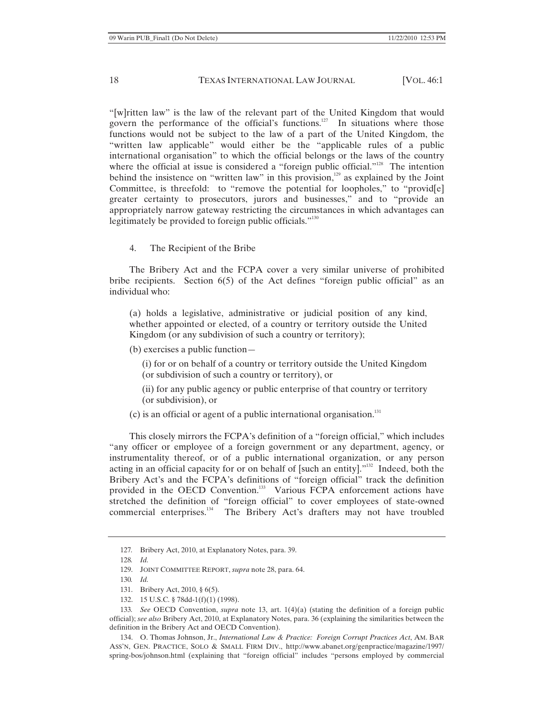"[w]ritten law" is the law of the relevant part of the United Kingdom that would govern the performance of the official's functions.<sup>127</sup> In situations where those functions would not be subject to the law of a part of the United Kingdom, the "written law applicable" would either be the "applicable rules of a public international organisation" to which the official belongs or the laws of the country where the official at issue is considered a "foreign public official."<sup>128</sup> The intention behind the insistence on "written law" in this provision, $129$  as explained by the Joint Committee, is threefold: to "remove the potential for loopholes," to "provid[e] greater certainty to prosecutors, jurors and businesses," and to "provide an appropriately narrow gateway restricting the circumstances in which advantages can legitimately be provided to foreign public officials."<sup>130</sup>

4. The Recipient of the Bribe

The Bribery Act and the FCPA cover a very similar universe of prohibited bribe recipients. Section 6(5) of the Act defines "foreign public official" as an individual who:

(a) holds a legislative, administrative or judicial position of any kind, whether appointed or elected, of a country or territory outside the United Kingdom (or any subdivision of such a country or territory);

(b) exercises a public function—

(i) for or on behalf of a country or territory outside the United Kingdom (or subdivision of such a country or territory), or

(ii) for any public agency or public enterprise of that country or territory (or subdivision), or

 $(c)$  is an official or agent of a public international organisation.<sup>131</sup>

This closely mirrors the FCPA's definition of a "foreign official," which includes "any officer or employee of a foreign government or any department, agency, or instrumentality thereof, or of a public international organization, or any person acting in an official capacity for or on behalf of [such an entity]."132 Indeed, both the Bribery Act's and the FCPA's definitions of "foreign official" track the definition provided in the OECD Convention.<sup>133</sup> Various FCPA enforcement actions have stretched the definition of "foreign official" to cover employees of state-owned commercial enterprises.<sup>134</sup> The Bribery Act's drafters may not have troubled

134. O. Thomas Johnson, Jr., *International Law & Practice: Foreign Corrupt Practices Act*, AM. BAR ASS'N, GEN. PRACTICE, SOLO & SMALL FIRM DIV., http://www.abanet.org/genpractice/magazine/1997/ spring-bos/johnson.html (explaining that "foreign official" includes "persons employed by commercial

<sup>127</sup>*.* Bribery Act, 2010, at Explanatory Notes, para. 39.

<sup>128</sup>*. Id.*

<sup>129.</sup> JOINT COMMITTEE REPORT, *supra* note 28, para. 64.

<sup>130</sup>*. Id.*

<sup>131.</sup> Bribery Act, 2010, § 6(5).

<sup>132. 15</sup> U.S.C. § 78dd-1(f)(1) (1998).

<sup>133</sup>*. See* OECD Convention, *supra* note 13, art. 1(4)(a) (stating the definition of a foreign public official); *see also* Bribery Act, 2010, at Explanatory Notes, para. 36 (explaining the similarities between the definition in the Bribery Act and OECD Convention).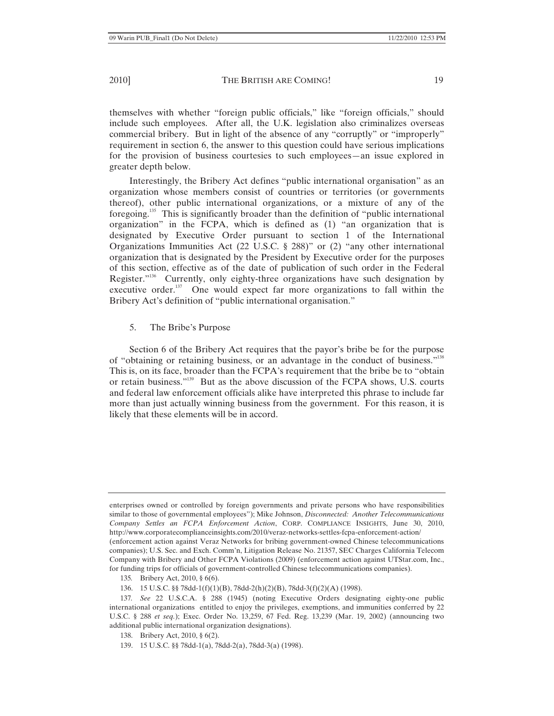themselves with whether "foreign public officials," like "foreign officials," should include such employees. After all, the U.K. legislation also criminalizes overseas commercial bribery. But in light of the absence of any "corruptly" or "improperly" requirement in section 6, the answer to this question could have serious implications for the provision of business courtesies to such employees—an issue explored in greater depth below.

Interestingly, the Bribery Act defines "public international organisation" as an organization whose members consist of countries or territories (or governments thereof), other public international organizations, or a mixture of any of the foregoing.135 This is significantly broader than the definition of "public international organization" in the FCPA, which is defined as (1) "an organization that is designated by Executive Order pursuant to section 1 of the International Organizations Immunities Act (22 U.S.C. § 288)" or (2) "any other international organization that is designated by the President by Executive order for the purposes of this section, effective as of the date of publication of such order in the Federal Register."<sup>136</sup> Currently, only eighty-three organizations have such designation by executive order.<sup>137</sup> One would expect far more organizations to fall within the Bribery Act's definition of "public international organisation."

# 5. The Bribe's Purpose

Section 6 of the Bribery Act requires that the payor's bribe be for the purpose of "obtaining or retaining business, or an advantage in the conduct of business."<sup>138</sup> This is, on its face, broader than the FCPA's requirement that the bribe be to "obtain or retain business."<sup>139</sup> But as the above discussion of the FCPA shows, U.S. courts and federal law enforcement officials alike have interpreted this phrase to include far more than just actually winning business from the government. For this reason, it is likely that these elements will be in accord.

enterprises owned or controlled by foreign governments and private persons who have responsibilities similar to those of governmental employees"); Mike Johnson, *Disconnected: Another Telecommunications Company Settles an FCPA Enforcement Action*, CORP. COMPLIANCE INSIGHTS, June 30, 2010, http://www.corporatecomplianceinsights.com/2010/veraz-networks-settles-fcpa-enforcement-action/ (enforcement action against Veraz Networks for bribing government-owned Chinese telecommunications companies); U.S. Sec. and Exch. Comm'n, Litigation Release No. 21357, SEC Charges California Telecom Company with Bribery and Other FCPA Violations (2009) (enforcement action against UTStar.com, Inc., for funding trips for officials of government-controlled Chinese telecommunications companies).

<sup>135</sup>*.* Bribery Act, 2010, § 6(6).

<sup>136. 15</sup> U.S.C. §§ 78dd-1(f)(1)(B), 78dd-2(h)(2)(B), 78dd-3(f)(2)(A) (1998).

<sup>137</sup>*. See* 22 U.S.C.A. § 288 (1945) (noting Executive Orders designating eighty-one public international organizations entitled to enjoy the privileges, exemptions, and immunities conferred by 22 U.S.C. § 288 *et seq.*); Exec. Order No. 13,259, 67 Fed. Reg. 13,239 (Mar. 19, 2002) (announcing two additional public international organization designations).

<sup>138.</sup> Bribery Act, 2010, § 6(2).

<sup>139. 15</sup> U.S.C. §§ 78dd-1(a), 78dd-2(a), 78dd-3(a) (1998).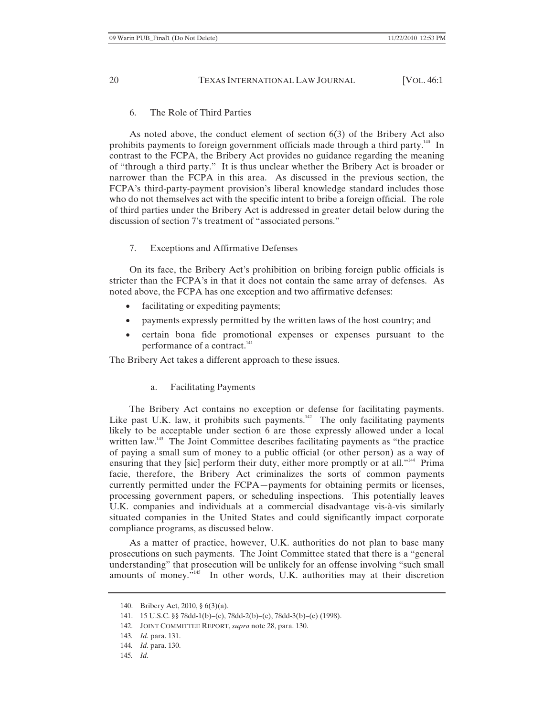## 6. The Role of Third Parties

As noted above, the conduct element of section 6(3) of the Bribery Act also prohibits payments to foreign government officials made through a third party.<sup>140</sup> In contrast to the FCPA, the Bribery Act provides no guidance regarding the meaning of "through a third party." It is thus unclear whether the Bribery Act is broader or narrower than the FCPA in this area. As discussed in the previous section, the FCPA's third-party-payment provision's liberal knowledge standard includes those who do not themselves act with the specific intent to bribe a foreign official. The role of third parties under the Bribery Act is addressed in greater detail below during the discussion of section 7's treatment of "associated persons."

# 7. Exceptions and Affirmative Defenses

On its face, the Bribery Act's prohibition on bribing foreign public officials is stricter than the FCPA's in that it does not contain the same array of defenses. As noted above, the FCPA has one exception and two affirmative defenses:

- facilitating or expediting payments;
- payments expressly permitted by the written laws of the host country; and
- x certain bona fide promotional expenses or expenses pursuant to the performance of a contract.<sup>141</sup>

The Bribery Act takes a different approach to these issues.

### a. Facilitating Payments

The Bribery Act contains no exception or defense for facilitating payments. Like past U.K. law, it prohibits such payments.<sup>142</sup> The only facilitating payments likely to be acceptable under section 6 are those expressly allowed under a local written law.<sup>143</sup> The Joint Committee describes facilitating payments as "the practice of paying a small sum of money to a public official (or other person) as a way of ensuring that they [sic] perform their duty, either more promptly or at all."<sup>144</sup> Prima facie, therefore, the Bribery Act criminalizes the sorts of common payments currently permitted under the FCPA—payments for obtaining permits or licenses, processing government papers, or scheduling inspections. This potentially leaves U.K. companies and individuals at a commercial disadvantage vis-à-vis similarly situated companies in the United States and could significantly impact corporate compliance programs, as discussed below.

As a matter of practice, however, U.K. authorities do not plan to base many prosecutions on such payments. The Joint Committee stated that there is a "general understanding" that prosecution will be unlikely for an offense involving "such small amounts of money."<sup>145</sup> In other words, U.K. authorities may at their discretion

<sup>140.</sup> Bribery Act, 2010, § 6(3)(a).

<sup>141. 15</sup> U.S.C. §§ 78dd-1(b)–(c), 78dd-2(b)–(c), 78dd-3(b)–(c) (1998).

<sup>142.</sup> JOINT COMMITTEE REPORT, *supra* note 28, para. 130.

<sup>143</sup>*. Id.* para. 131.

<sup>144</sup>*. Id.* para. 130.

<sup>145</sup>*. Id.*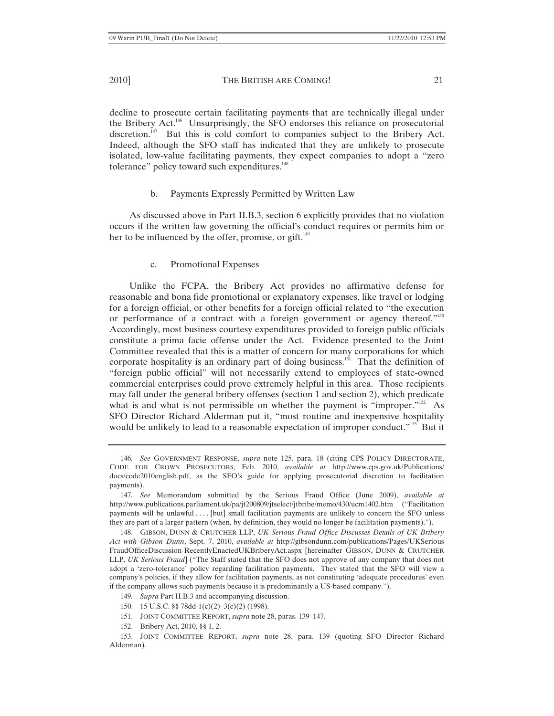decline to prosecute certain facilitating payments that are technically illegal under the Bribery Act.<sup>146</sup> Unsurprisingly, the SFO endorses this reliance on prosecutorial discretion.<sup>147</sup> But this is cold comfort to companies subject to the Bribery Act. Indeed, although the SFO staff has indicated that they are unlikely to prosecute isolated, low-value facilitating payments, they expect companies to adopt a "zero tolerance" policy toward such expenditures.<sup>148</sup>

# b. Payments Expressly Permitted by Written Law

As discussed above in Part II.B.3, section 6 explicitly provides that no violation occurs if the written law governing the official's conduct requires or permits him or her to be influenced by the offer, promise, or  $g$ ift.<sup>149</sup>

c. Promotional Expenses

Unlike the FCPA, the Bribery Act provides no affirmative defense for reasonable and bona fide promotional or explanatory expenses, like travel or lodging for a foreign official, or other benefits for a foreign official related to "the execution or performance of a contract with a foreign government or agency thereof."150 Accordingly, most business courtesy expenditures provided to foreign public officials constitute a prima facie offense under the Act. Evidence presented to the Joint Committee revealed that this is a matter of concern for many corporations for which corporate hospitality is an ordinary part of doing business.<sup>151</sup> That the definition of "foreign public official" will not necessarily extend to employees of state-owned commercial enterprises could prove extremely helpful in this area. Those recipients may fall under the general bribery offenses (section 1 and section 2), which predicate what is and what is not permissible on whether the payment is "improper."<sup>152</sup> As SFO Director Richard Alderman put it, "most routine and inexpensive hospitality would be unlikely to lead to a reasonable expectation of improper conduct."<sup>153</sup> But it

- 149*. Supra* Part II.B.3 and accompanying discussion.
- 150. 15 U.S.C. §§ 78dd-1(c)(2)–3(c)(2) (1998).
- 151. JOINT COMMITTEE REPORT, *supra* note 28, paras. 139–147.
- 152. Bribery Act, 2010, §§ 1, 2.

153. JOINT COMMITTEE REPORT, *supra* note 28, para. 139 (quoting SFO Director Richard Alderman).

<sup>146</sup>*. See* GOVERNMENT RESPONSE, *supra* note 125, para. 18 (citing CPS POLICY DIRECTORATE, CODE FOR CROWN PROSECUTORS, Feb. 2010, *available at* http://www.cps.gov.uk/Publications/ docs/code2010english.pdf, as the SFO's guide for applying prosecutorial discretion to facilitation payments).

<sup>147</sup>*. See* Memorandum submitted by the Serious Fraud Office (June 2009), *available at*  http://www.publications.parliament.uk/pa/jt200809/jtselect/jtbribe/memo/430/ucm1402.htm ("Facilitation payments will be unlawful . . . . [but] small facilitation payments are unlikely to concern the SFO unless they are part of a larger pattern (when, by definition, they would no longer be facilitation payments).").

<sup>148.</sup> GIBSON, DUNN & CRUTCHER LLP, *UK Serious Fraud Office Discusses Details of UK Bribery Act with Gibson Dunn*, Sept. 7, 2010, *available at* http://gibsondunn.com/publications/Pages/UKSerious FraudOfficeDiscussion-RecentlyEnactedUKBriberyAct.aspx [hereinafter GIBSON, DUNN & CRUTCHER LLP, *UK Serious Fraud*] ("The Staff stated that the SFO does not approve of any company that does not adopt a 'zero-tolerance' policy regarding facilitation payments. They stated that the SFO will view a company's policies, if they allow for facilitation payments, as not constituting 'adequate procedures' even if the company allows such payments because it is predominantly a US-based company.").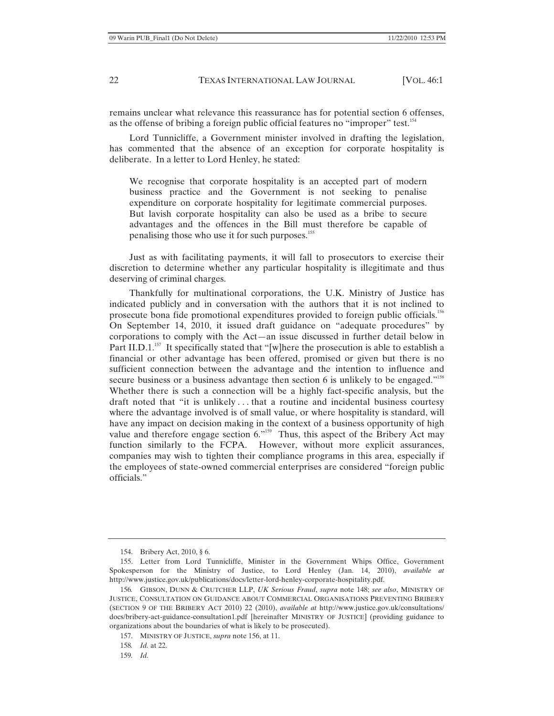remains unclear what relevance this reassurance has for potential section 6 offenses, as the offense of bribing a foreign public official features no "improper" test.<sup>154</sup>

Lord Tunnicliffe, a Government minister involved in drafting the legislation, has commented that the absence of an exception for corporate hospitality is deliberate. In a letter to Lord Henley, he stated:

We recognise that corporate hospitality is an accepted part of modern business practice and the Government is not seeking to penalise expenditure on corporate hospitality for legitimate commercial purposes. But lavish corporate hospitality can also be used as a bribe to secure advantages and the offences in the Bill must therefore be capable of penalising those who use it for such purposes.<sup>155</sup>

Just as with facilitating payments, it will fall to prosecutors to exercise their discretion to determine whether any particular hospitality is illegitimate and thus deserving of criminal charges.

Thankfully for multinational corporations, the U.K. Ministry of Justice has indicated publicly and in conversation with the authors that it is not inclined to prosecute bona fide promotional expenditures provided to foreign public officials.<sup>156</sup> On September 14, 2010, it issued draft guidance on "adequate procedures" by corporations to comply with the Act—an issue discussed in further detail below in Part II.D.1.<sup>157</sup> It specifically stated that "[w]here the prosecution is able to establish a financial or other advantage has been offered, promised or given but there is no sufficient connection between the advantage and the intention to influence and secure business or a business advantage then section 6 is unlikely to be engaged."<sup>158</sup> Whether there is such a connection will be a highly fact-specific analysis, but the draft noted that "it is unlikely . . . that a routine and incidental business courtesy where the advantage involved is of small value, or where hospitality is standard, will have any impact on decision making in the context of a business opportunity of high value and therefore engage section  $6.^{\prime\prime}^{159}$  Thus, this aspect of the Bribery Act may function similarly to the FCPA. However, without more explicit assurances, companies may wish to tighten their compliance programs in this area, especially if the employees of state-owned commercial enterprises are considered "foreign public officials."

<sup>154.</sup> Bribery Act, 2010, § 6.

<sup>155.</sup> Letter from Lord Tunnicliffe, Minister in the Government Whips Office, Government Spokesperson for the Ministry of Justice, to Lord Henley (Jan. 14, 2010), *available at* http://www.justice.gov.uk/publications/docs/letter-lord-henley-corporate-hospitality.pdf.

<sup>156</sup>*.* GIBSON, DUNN & CRUTCHER LLP, *UK Serious Fraud*, *supra* note 148; *see also*, MINISTRY OF JUSTICE, CONSULTATION ON GUIDANCE ABOUT COMMERCIAL ORGANISATIONS PREVENTING BRIBERY (SECTION 9 OF THE BRIBERY ACT 2010) 22 (2010), *available at* http://www.justice.gov.uk/consultations/ docs/bribery-act-guidance-consultation1.pdf [hereinafter MINISTRY OF JUSTICE] (providing guidance to organizations about the boundaries of what is likely to be prosecuted).

<sup>157.</sup> MINISTRY OF JUSTICE, *supra* note 156, at 11.

<sup>158</sup>*. Id.* at 22.

<sup>159</sup>*. Id.*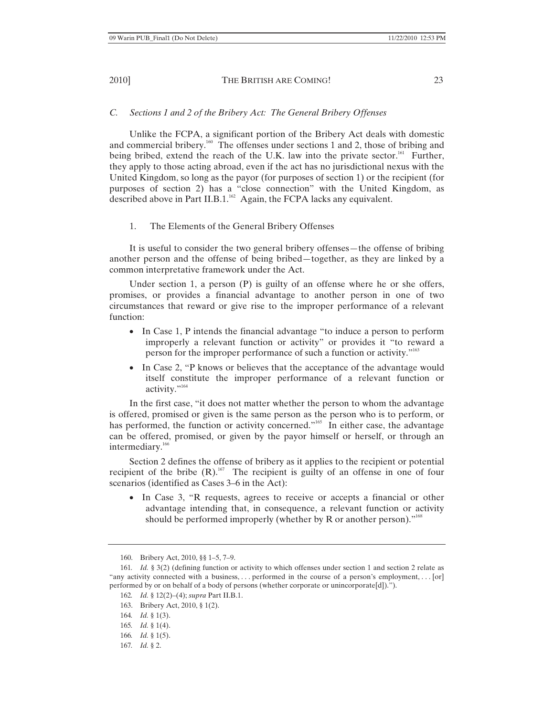# *C. Sections 1 and 2 of the Bribery Act: The General Bribery Offenses*

Unlike the FCPA, a significant portion of the Bribery Act deals with domestic and commercial bribery.<sup>160</sup> The offenses under sections 1 and 2, those of bribing and being bribed, extend the reach of the U.K. law into the private sector.<sup>161</sup> Further, they apply to those acting abroad, even if the act has no jurisdictional nexus with the United Kingdom, so long as the payor (for purposes of section 1) or the recipient (for purposes of section 2) has a "close connection" with the United Kingdom, as described above in Part II.B.1. $^{162}$  Again, the FCPA lacks any equivalent.

#### 1. The Elements of the General Bribery Offenses

It is useful to consider the two general bribery offenses—the offense of bribing another person and the offense of being bribed—together, as they are linked by a common interpretative framework under the Act.

Under section 1, a person (P) is guilty of an offense where he or she offers, promises, or provides a financial advantage to another person in one of two circumstances that reward or give rise to the improper performance of a relevant function:

- In Case 1, P intends the financial advantage "to induce a person to perform improperly a relevant function or activity" or provides it "to reward a person for the improper performance of such a function or activity."163
- In Case 2, "P knows or believes that the acceptance of the advantage would itself constitute the improper performance of a relevant function or activity."<sup>164</sup>

In the first case, "it does not matter whether the person to whom the advantage is offered, promised or given is the same person as the person who is to perform, or has performed, the function or activity concerned."<sup>165</sup> In either case, the advantage can be offered, promised, or given by the payor himself or herself, or through an intermediary.<sup>166</sup>

Section 2 defines the offense of bribery as it applies to the recipient or potential recipient of the bribe  $(R)$ <sup>167</sup>. The recipient is guilty of an offense in one of four scenarios (identified as Cases 3–6 in the Act):

• In Case 3, "R requests, agrees to receive or accepts a financial or other advantage intending that, in consequence, a relevant function or activity should be performed improperly (whether by R or another person)."<sup>168</sup>

<sup>160.</sup> Bribery Act, 2010, §§ 1–5, 7–9.

<sup>161</sup>*. Id.* § 3(2) (defining function or activity to which offenses under section 1 and section 2 relate as "any activity connected with a business, ... performed in the course of a person's employment, ... [or] performed by or on behalf of a body of persons (whether corporate or unincorporate[d]).").

<sup>162</sup>*. Id.* § 12(2)–(4); *supra* Part II.B.1.

<sup>163.</sup> Bribery Act, 2010, § 1(2).

<sup>164</sup>*. Id.* § 1(3).

<sup>165</sup>*. Id.* § 1(4).

<sup>166</sup>*. Id.* § 1(5).

<sup>167</sup>*. Id.* § 2.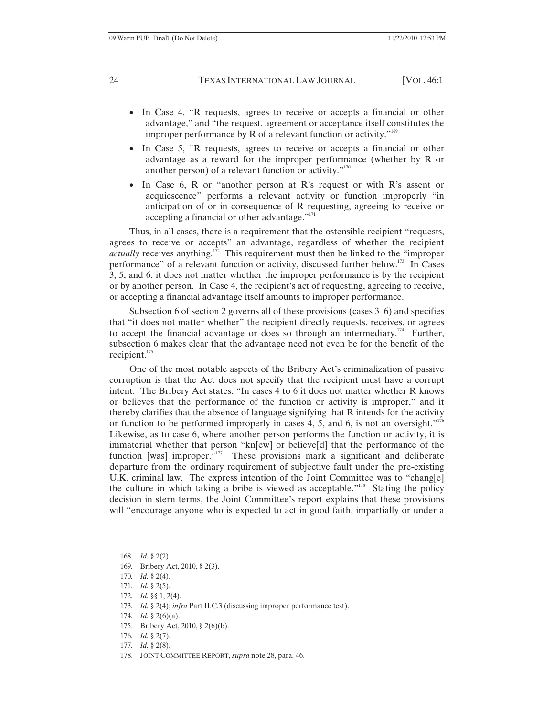- In Case 4, "R requests, agrees to receive or accepts a financial or other advantage," and "the request, agreement or acceptance itself constitutes the improper performance by R of a relevant function or activity."<sup>169</sup>
- In Case 5, "R requests, agrees to receive or accepts a financial or other advantage as a reward for the improper performance (whether by R or another person) of a relevant function or activity. $170$
- In Case 6, R or "another person at R's request or with R's assent or acquiescence" performs a relevant activity or function improperly "in anticipation of or in consequence of R requesting, agreeing to receive or accepting a financial or other advantage."<sup>171</sup>

Thus, in all cases, there is a requirement that the ostensible recipient "requests, agrees to receive or accepts" an advantage, regardless of whether the recipient *actually* receives anything.<sup>172</sup> This requirement must then be linked to the "improper performance" of a relevant function or activity, discussed further below.173 In Cases 3, 5, and 6, it does not matter whether the improper performance is by the recipient or by another person. In Case 4, the recipient's act of requesting, agreeing to receive, or accepting a financial advantage itself amounts to improper performance.

Subsection 6 of section 2 governs all of these provisions (cases 3–6) and specifies that "it does not matter whether" the recipient directly requests, receives, or agrees to accept the financial advantage or does so through an intermediary.<sup>174</sup> Further, subsection 6 makes clear that the advantage need not even be for the benefit of the recipient. $175$ 

One of the most notable aspects of the Bribery Act's criminalization of passive corruption is that the Act does not specify that the recipient must have a corrupt intent. The Bribery Act states, "In cases 4 to 6 it does not matter whether R knows or believes that the performance of the function or activity is improper," and it thereby clarifies that the absence of language signifying that R intends for the activity or function to be performed improperly in cases 4, 5, and 6, is not an oversight."<sup>176</sup> Likewise, as to case 6, where another person performs the function or activity, it is immaterial whether that person "kn[ew] or believe[d] that the performance of the function [was] improper."<sup>177</sup> These provisions mark a significant and deliberate departure from the ordinary requirement of subjective fault under the pre-existing U.K. criminal law. The express intention of the Joint Committee was to "chang[e] the culture in which taking a bribe is viewed as acceptable."<sup>178</sup> Stating the policy decision in stern terms, the Joint Committee's report explains that these provisions will "encourage anyone who is expected to act in good faith, impartially or under a

- 172*. Id.* §§ 1, 2(4).
- 173*. Id.* § 2(4); *infra* Part II.C.3 (discussing improper performance test).
- 174*. Id.* § 2(6)(a).
- 175. Bribery Act, 2010, § 2(6)(b).
- 176*. Id.* § 2(7).
- 177*. Id.* § 2(8).
- 178. JOINT COMMITTEE REPORT, *supra* note 28, para. 46.

<sup>168</sup>*. Id.* § 2(2).

<sup>169</sup>*.* Bribery Act, 2010, § 2(3).

<sup>170</sup>*. Id.* § 2(4).

<sup>171</sup>*. Id.* § 2(5).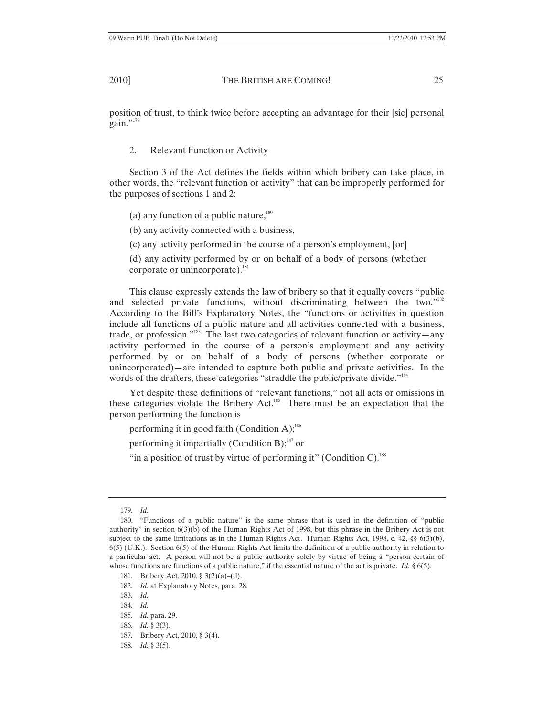position of trust, to think twice before accepting an advantage for their [sic] personal gain."<sup>179</sup>

2. Relevant Function or Activity

Section 3 of the Act defines the fields within which bribery can take place, in other words, the "relevant function or activity" that can be improperly performed for the purposes of sections 1 and 2:

(a) any function of a public nature,  $180$ 

(b) any activity connected with a business,

(c) any activity performed in the course of a person's employment, [or]

(d) any activity performed by or on behalf of a body of persons (whether corporate or unincorporate). $181$ 

This clause expressly extends the law of bribery so that it equally covers "public and selected private functions, without discriminating between the two."<sup>182</sup> According to the Bill's Explanatory Notes, the "functions or activities in question include all functions of a public nature and all activities connected with a business, trade, or profession."<sup>183</sup> The last two categories of relevant function or activity—any activity performed in the course of a person's employment and any activity performed by or on behalf of a body of persons (whether corporate or unincorporated)—are intended to capture both public and private activities. In the words of the drafters, these categories "straddle the public/private divide."<sup>184</sup>

Yet despite these definitions of "relevant functions," not all acts or omissions in these categories violate the Bribery Act.<sup>185</sup> There must be an expectation that the person performing the function is

performing it in good faith (Condition A); $^{186}$ 

performing it impartially (Condition B); $^{187}$  or

"in a position of trust by virtue of performing it" (Condition C). $^{188}$ 

- 187*.* Bribery Act, 2010, § 3(4).
- 188*. Id.* § 3(5).

<sup>179</sup>*. Id.*

<sup>180. &</sup>quot;Functions of a public nature" is the same phrase that is used in the definition of "public authority" in section 6(3)(b) of the Human Rights Act of 1998, but this phrase in the Bribery Act is not subject to the same limitations as in the Human Rights Act. Human Rights Act, 1998, c. 42, §§ 6(3)(b), 6(5) (U.K.). Section 6(5) of the Human Rights Act limits the definition of a public authority in relation to a particular act. A person will not be a public authority solely by virtue of being a "person certain of whose functions are functions of a public nature," if the essential nature of the act is private. *Id.* § 6(5).

<sup>181.</sup> Bribery Act, 2010, § 3(2)(a)–(d).

<sup>182</sup>*. Id.* at Explanatory Notes, para. 28.

<sup>183</sup>*. Id.*

<sup>184</sup>*. Id.*

<sup>185</sup>*. Id.* para. 29.

<sup>186</sup>*. Id.* § 3(3).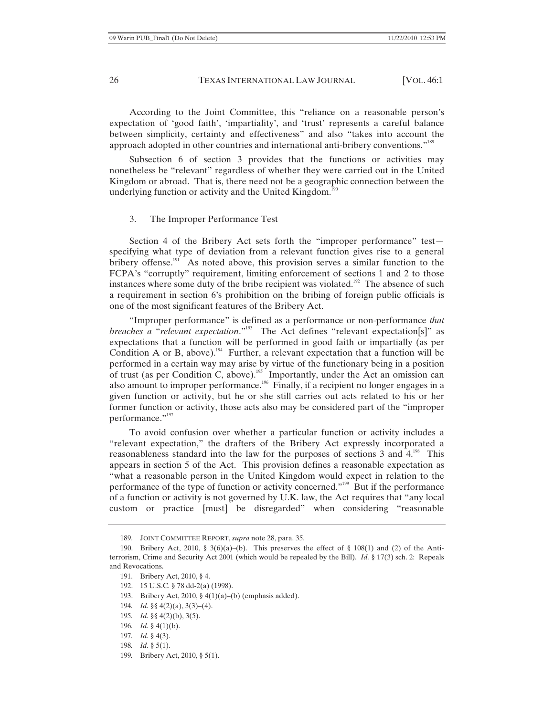According to the Joint Committee, this "reliance on a reasonable person's expectation of 'good faith', 'impartiality', and 'trust' represents a careful balance between simplicity, certainty and effectiveness" and also "takes into account the approach adopted in other countries and international anti-bribery conventions."189

Subsection 6 of section 3 provides that the functions or activities may nonetheless be "relevant" regardless of whether they were carried out in the United Kingdom or abroad. That is, there need not be a geographic connection between the underlying function or activity and the United Kingdom.<sup>190</sup>

#### 3. The Improper Performance Test

Section 4 of the Bribery Act sets forth the "improper performance" test specifying what type of deviation from a relevant function gives rise to a general bribery offense.<sup>191</sup> As noted above, this provision serves a similar function to the FCPA's "corruptly" requirement, limiting enforcement of sections 1 and 2 to those instances where some duty of the bribe recipient was violated.<sup>192</sup> The absence of such a requirement in section 6's prohibition on the bribing of foreign public officials is one of the most significant features of the Bribery Act.

"Improper performance" is defined as a performance or non-performance *that breaches a* "*relevant expectation*."193 The Act defines "relevant expectation[s]" as expectations that a function will be performed in good faith or impartially (as per Condition A or B, above).<sup>194</sup> Further, a relevant expectation that a function will be performed in a certain way may arise by virtue of the functionary being in a position of trust (as per Condition C, above).<sup>195</sup> Importantly, under the Act an omission can also amount to improper performance.<sup>196</sup> Finally, if a recipient no longer engages in a given function or activity, but he or she still carries out acts related to his or her former function or activity, those acts also may be considered part of the "improper performance."<sup>197</sup>

To avoid confusion over whether a particular function or activity includes a "relevant expectation," the drafters of the Bribery Act expressly incorporated a reasonableness standard into the law for the purposes of sections 3 and 4.198 This appears in section 5 of the Act. This provision defines a reasonable expectation as "what a reasonable person in the United Kingdom would expect in relation to the performance of the type of function or activity concerned."199 But if the performance of a function or activity is not governed by U.K. law, the Act requires that "any local custom or practice [must] be disregarded" when considering "reasonable

- 193. Bribery Act, 2010, § 4(1)(a)–(b) (emphasis added).
- 194*. Id.* §§ 4(2)(a), 3(3)–(4).
- 195*. Id.* §§ 4(2)(b), 3(5).
- 196*. Id.* § 4(1)(b).
- 197*. Id.* § 4(3).
- 198*. Id.* § 5(1).
- 199*.* Bribery Act, 2010, § 5(1).

<sup>189.</sup> JOINT COMMITTEE REPORT, *supra* note 28, para. 35.

<sup>190.</sup> Bribery Act, 2010, § 3(6)(a)–(b). This preserves the effect of § 108(1) and (2) of the Antiterrorism, Crime and Security Act 2001 (which would be repealed by the Bill). *Id.* § 17(3) sch. 2: Repeals and Revocations.

<sup>191.</sup> Bribery Act, 2010, § 4.

<sup>192. 15</sup> U.S.C. § 78 dd-2(a) (1998).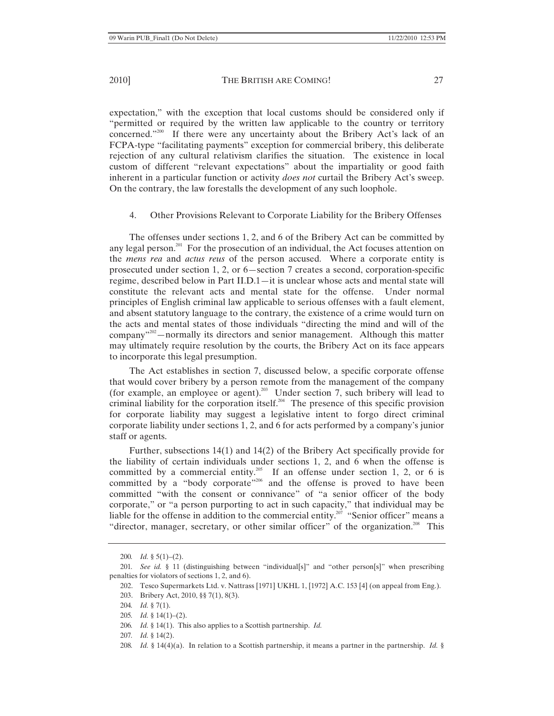expectation," with the exception that local customs should be considered only if "permitted or required by the written law applicable to the country or territory concerned."<sup>200</sup> If there were any uncertainty about the Bribery Act's lack of an FCPA-type "facilitating payments" exception for commercial bribery, this deliberate rejection of any cultural relativism clarifies the situation. The existence in local custom of different "relevant expectations" about the impartiality or good faith inherent in a particular function or activity *does not* curtail the Bribery Act's sweep. On the contrary, the law forestalls the development of any such loophole.

### 4. Other Provisions Relevant to Corporate Liability for the Bribery Offenses

The offenses under sections 1, 2, and 6 of the Bribery Act can be committed by any legal person.<sup>201</sup> For the prosecution of an individual, the Act focuses attention on the *mens rea* and *actus reus* of the person accused. Where a corporate entity is prosecuted under section 1, 2, or 6—section 7 creates a second, corporation-specific regime, described below in Part II.D.1—it is unclear whose acts and mental state will constitute the relevant acts and mental state for the offense. Under normal principles of English criminal law applicable to serious offenses with a fault element, and absent statutory language to the contrary, the existence of a crime would turn on the acts and mental states of those individuals "directing the mind and will of the company"202—normally its directors and senior management. Although this matter may ultimately require resolution by the courts, the Bribery Act on its face appears to incorporate this legal presumption.

The Act establishes in section 7, discussed below, a specific corporate offense that would cover bribery by a person remote from the management of the company (for example, an employee or agent).<sup>203</sup> Under section 7, such bribery will lead to criminal liability for the corporation itself.<sup>204</sup> The presence of this specific provision for corporate liability may suggest a legislative intent to forgo direct criminal corporate liability under sections 1, 2, and 6 for acts performed by a company's junior staff or agents.

Further, subsections 14(1) and 14(2) of the Bribery Act specifically provide for the liability of certain individuals under sections 1, 2, and 6 when the offense is committed by a commercial entity.<sup>205</sup> If an offense under section 1, 2, or 6 is committed by a "body corporate"<sup>206</sup> and the offense is proved to have been committed "with the consent or connivance" of "a senior officer of the body corporate," or "a person purporting to act in such capacity," that individual may be liable for the offense in addition to the commercial entity.<sup>207</sup> "Senior officer" means a "director, manager, secretary, or other similar officer" of the organization.<sup>208</sup> This

208*. Id.* § 14(4)(a). In relation to a Scottish partnership, it means a partner in the partnership. *Id.* §

<sup>200</sup>*. Id.* § 5(1)–(2).

<sup>201</sup>*. See id.* § 11 (distinguishing between "individual[s]" and "other person[s]" when prescribing penalties for violators of sections 1, 2, and 6).

<sup>202.</sup> Tesco Supermarkets Ltd. v. Nattrass [1971] UKHL 1, [1972] A.C. 153 [4] (on appeal from Eng.).

<sup>203.</sup> Bribery Act, 2010, §§ 7(1), 8(3).

<sup>204</sup>*. Id.* § 7(1).

<sup>205</sup>*. Id.* § 14(1)–(2).

<sup>206</sup>*. Id.* § 14(1). This also applies to a Scottish partnership. *Id.*

<sup>207</sup>*. Id.* § 14(2).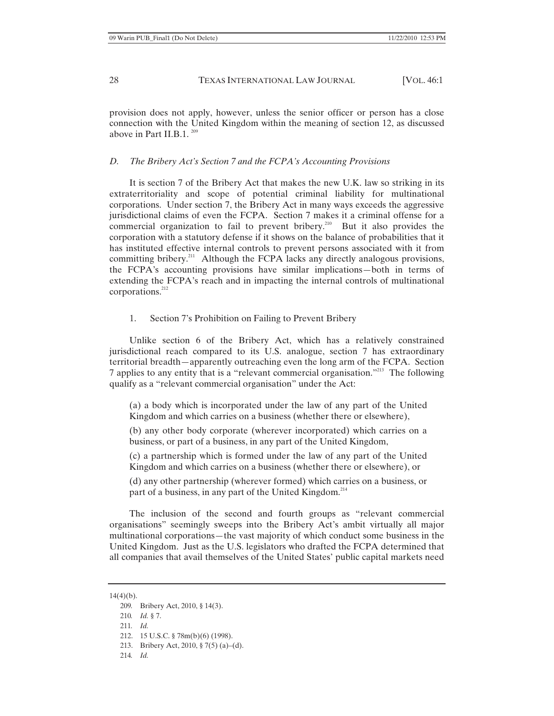provision does not apply, however, unless the senior officer or person has a close connection with the United Kingdom within the meaning of section 12, as discussed above in Part II.B.1.  $209$ 

#### *D. The Bribery Act's Section 7 and the FCPA's Accounting Provisions*

It is section 7 of the Bribery Act that makes the new U.K. law so striking in its extraterritoriality and scope of potential criminal liability for multinational corporations. Under section 7, the Bribery Act in many ways exceeds the aggressive jurisdictional claims of even the FCPA. Section 7 makes it a criminal offense for a commercial organization to fail to prevent bribery.<sup>210</sup> But it also provides the corporation with a statutory defense if it shows on the balance of probabilities that it has instituted effective internal controls to prevent persons associated with it from committing bribery.<sup>211</sup> Although the FCPA lacks any directly analogous provisions, the FCPA's accounting provisions have similar implications—both in terms of extending the FCPA's reach and in impacting the internal controls of multinational corporations.<sup>212</sup>

#### 1. Section 7's Prohibition on Failing to Prevent Bribery

Unlike section 6 of the Bribery Act, which has a relatively constrained jurisdictional reach compared to its U.S. analogue, section 7 has extraordinary territorial breadth—apparently outreaching even the long arm of the FCPA. Section 7 applies to any entity that is a "relevant commercial organisation."213 The following qualify as a "relevant commercial organisation" under the Act:

(a) a body which is incorporated under the law of any part of the United Kingdom and which carries on a business (whether there or elsewhere),

(b) any other body corporate (wherever incorporated) which carries on a business, or part of a business, in any part of the United Kingdom,

(c) a partnership which is formed under the law of any part of the United Kingdom and which carries on a business (whether there or elsewhere), or

(d) any other partnership (wherever formed) which carries on a business, or part of a business, in any part of the United Kingdom.<sup>214</sup>

The inclusion of the second and fourth groups as "relevant commercial organisations" seemingly sweeps into the Bribery Act's ambit virtually all major multinational corporations—the vast majority of which conduct some business in the United Kingdom. Just as the U.S. legislators who drafted the FCPA determined that all companies that avail themselves of the United States' public capital markets need

 $14(4)(b)$ .

- 213. Bribery Act, 2010, § 7(5) (a)–(d).
- 214*. Id.*

<sup>209</sup>*.* Bribery Act, 2010, § 14(3).

<sup>210</sup>*. Id.* § 7.

<sup>211</sup>*. Id.*

<sup>212. 15</sup> U.S.C. § 78m(b)(6) (1998).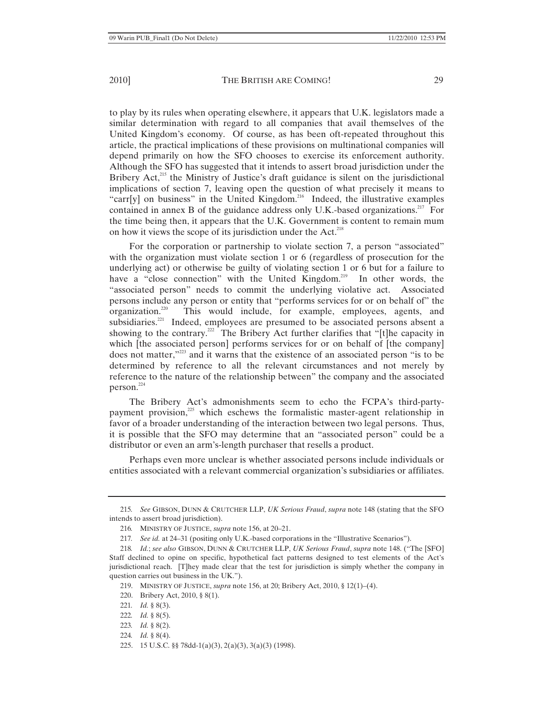to play by its rules when operating elsewhere, it appears that U.K. legislators made a similar determination with regard to all companies that avail themselves of the United Kingdom's economy. Of course, as has been oft-repeated throughout this article, the practical implications of these provisions on multinational companies will depend primarily on how the SFO chooses to exercise its enforcement authority. Although the SFO has suggested that it intends to assert broad jurisdiction under the Bribery  $Act<sub>15</sub><sup>215</sup>$  the Ministry of Justice's draft guidance is silent on the jurisdictional implications of section 7, leaving open the question of what precisely it means to "carr[y] on business" in the United Kingdom.<sup>216</sup> Indeed, the illustrative examples contained in annex B of the guidance address only U.K.-based organizations.<sup>217</sup> For the time being then, it appears that the U.K. Government is content to remain mum on how it views the scope of its jurisdiction under the Act.<sup>218</sup>

For the corporation or partnership to violate section 7, a person "associated" with the organization must violate section 1 or 6 (regardless of prosecution for the underlying act) or otherwise be guilty of violating section 1 or 6 but for a failure to have a "close connection" with the United Kingdom.<sup>219</sup> In other words, the "associated person" needs to commit the underlying violative act. Associated persons include any person or entity that "performs services for or on behalf of" the organization.<sup>220</sup> This would include, for example, employees, agents, and This would include, for example, employees, agents, and subsidiaries.<sup>221</sup> Indeed, employees are presumed to be associated persons absent a showing to the contrary.<sup>222</sup> The Bribery Act further clarifies that "[t]he capacity in which [the associated person] performs services for or on behalf of [the company] does not matter,"223 and it warns that the existence of an associated person "is to be determined by reference to all the relevant circumstances and not merely by reference to the nature of the relationship between" the company and the associated person.<sup>224</sup>

The Bribery Act's admonishments seem to echo the FCPA's third-partypayment provision, $225$  which eschews the formalistic master-agent relationship in favor of a broader understanding of the interaction between two legal persons. Thus, it is possible that the SFO may determine that an "associated person" could be a distributor or even an arm's-length purchaser that resells a product.

Perhaps even more unclear is whether associated persons include individuals or entities associated with a relevant commercial organization's subsidiaries or affiliates.

- 222*. Id.* § 8(5).
- 223*. Id.* § 8(2).
- 224*. Id.* § 8(4).
- 225. 15 U.S.C. §§ 78dd-1(a)(3), 2(a)(3), 3(a)(3) (1998).

<sup>215</sup>*. See* GIBSON, DUNN & CRUTCHER LLP, *UK Serious Fraud*, *supra* note 148 (stating that the SFO intends to assert broad jurisdiction).

<sup>216</sup>*.* MINISTRY OF JUSTICE, *supra* note 156, at 20–21.

<sup>217</sup>*. See id.* at 24–31 (positing only U.K.-based corporations in the "Illustrative Scenarios").

<sup>218</sup>*. Id.*; *see also* GIBSON, DUNN & CRUTCHER LLP, *UK Serious Fraud*, *supra* note 148. ("The [SFO] Staff declined to opine on specific, hypothetical fact patterns designed to test elements of the Act's jurisdictional reach. [T]hey made clear that the test for jurisdiction is simply whether the company in question carries out business in the UK.").

<sup>219.</sup> MINISTRY OF JUSTICE, *supra* note 156, at 20; Bribery Act, 2010, § 12(1)–(4).

<sup>220.</sup> Bribery Act, 2010, § 8(1).

<sup>221</sup>*. Id.* § 8(3).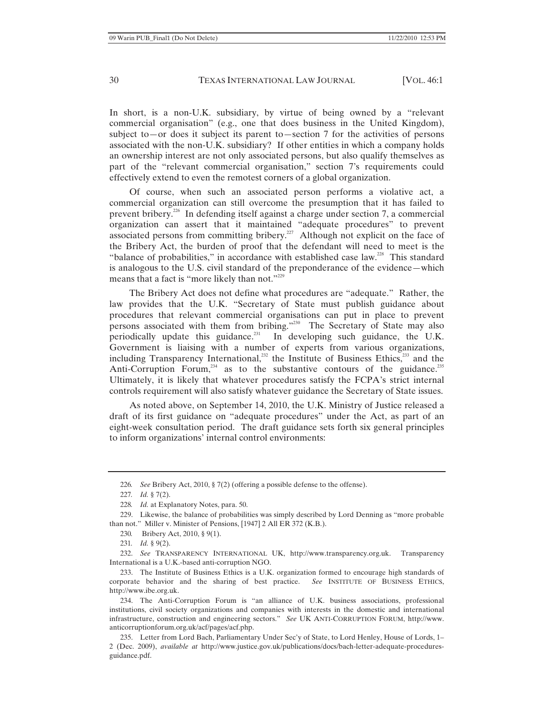In short, is a non-U.K. subsidiary, by virtue of being owned by a "relevant commercial organisation" (e.g., one that does business in the United Kingdom), subject to—or does it subject its parent to—section 7 for the activities of persons associated with the non-U.K. subsidiary? If other entities in which a company holds an ownership interest are not only associated persons, but also qualify themselves as part of the "relevant commercial organisation," section 7's requirements could effectively extend to even the remotest corners of a global organization.

Of course, when such an associated person performs a violative act, a commercial organization can still overcome the presumption that it has failed to prevent bribery.226 In defending itself against a charge under section 7, a commercial organization can assert that it maintained "adequate procedures" to prevent associated persons from committing bribery.<sup>227</sup> Although not explicit on the face of the Bribery Act, the burden of proof that the defendant will need to meet is the "balance of probabilities," in accordance with established case law.<sup>228</sup> This standard is analogous to the U.S. civil standard of the preponderance of the evidence—which means that a fact is "more likely than not."<sup>229</sup>

The Bribery Act does not define what procedures are "adequate." Rather, the law provides that the U.K. "Secretary of State must publish guidance about procedures that relevant commercial organisations can put in place to prevent persons associated with them from bribing."230 The Secretary of State may also periodically update this guidance.<sup>231</sup> In developing such guidance, the U.K. Government is liaising with a number of experts from various organizations, including Transparency International,<sup>232</sup> the Institute of Business Ethics,<sup>233</sup> and the Anti-Corruption Forum, $^{234}$  as to the substantive contours of the guidance.<sup>235</sup> Ultimately, it is likely that whatever procedures satisfy the FCPA's strict internal controls requirement will also satisfy whatever guidance the Secretary of State issues.

As noted above, on September 14, 2010, the U.K. Ministry of Justice released a draft of its first guidance on "adequate procedures" under the Act, as part of an eight-week consultation period. The draft guidance sets forth six general principles to inform organizations' internal control environments:

<sup>226</sup>*. See* Bribery Act, 2010, § 7(2) (offering a possible defense to the offense).

<sup>227</sup>*. Id.* § 7(2).

<sup>228</sup>*. Id.* at Explanatory Notes, para. 50.

<sup>229.</sup> Likewise, the balance of probabilities was simply described by Lord Denning as "more probable than not." Miller v. Minister of Pensions, [1947] 2 All ER 372 (K.B.).

<sup>230</sup>*.* Bribery Act, 2010, § 9(1).

<sup>231</sup>*. Id.* § 9(2).

<sup>232.</sup> *See* TRANSPARENCY INTERNATIONAL UK, http://www.transparency.org.uk. Transparency International is a U.K.-based anti-corruption NGO.

<sup>233.</sup> The Institute of Business Ethics is a U.K. organization formed to encourage high standards of corporate behavior and the sharing of best practice. *See* INSTITUTE OF BUSINESS ETHICS, http://www.ibe.org.uk.

<sup>234.</sup> The Anti-Corruption Forum is "an alliance of U.K. business associations, professional institutions, civil society organizations and companies with interests in the domestic and international infrastructure, construction and engineering sectors." *See* UK ANTI-CORRUPTION FORUM, http://www. anticorruptionforum.org.uk/acf/pages/acf.php.

<sup>235.</sup> Letter from Lord Bach, Parliamentary Under Sec'y of State, to Lord Henley, House of Lords, 1– 2 (Dec. 2009), *available at* http://www.justice.gov.uk/publications/docs/bach-letter-adequate-proceduresguidance.pdf.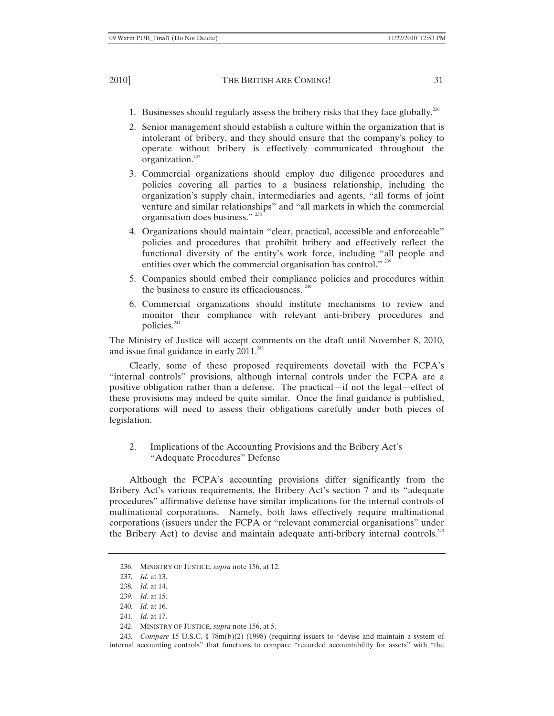- 1. Businesses should regularly assess the bribery risks that they face globally.<sup>236</sup>
- 2. Senior management should establish a culture within the organization that is intolerant of bribery, and they should ensure that the company's policy to operate without bribery is effectively communicated throughout the organization.<sup>237</sup>
- 3. Commercial organizations should employ due diligence procedures and policies covering all parties to a business relationship, including the organization's supply chain, intermediaries and agents, "all forms of joint venture and similar relationships" and "all markets in which the commercial organisation does business." 238
- 4. Organizations should maintain "clear, practical, accessible and enforceable" policies and procedures that prohibit bribery and effectively reflect the functional diversity of the entity's work force, including "all people and entities over which the commercial organisation has control."<sup>239</sup>
- 5. Companies should embed their compliance policies and procedures within the business to ensure its efficaciousness.  $240$
- 6. Commercial organizations should institute mechanisms to review and monitor their compliance with relevant anti-bribery procedures and policies.<sup>241</sup>

The Ministry of Justice will accept comments on the draft until November 8, 2010, and issue final guidance in early  $2011.^{242}$ 

Clearly, some of these proposed requirements dovetail with the FCPA's "internal controls" provisions, although internal controls under the FCPA are a positive obligation rather than a defense. The practical—if not the legal—effect of these provisions may indeed be quite similar. Once the final guidance is published, corporations will need to assess their obligations carefully under both pieces of legislation.

2. Implications of the Accounting Provisions and the Bribery Act's "Adequate Procedures" Defense

Although the FCPA's accounting provisions differ significantly from the Bribery Act's various requirements, the Bribery Act's section 7 and its "adequate procedures" affirmative defense have similar implications for the internal controls of multinational corporations. Namely, both laws effectively require multinational corporations (issuers under the FCPA or "relevant commercial organisations" under the Bribery Act) to devise and maintain adequate anti-bribery internal controls.<sup>243</sup>

<sup>236.</sup> MINISTRY OF JUSTICE, *supra* note 156, at 12.

<sup>237</sup>*. Id.* at 13.

<sup>238</sup>*. Id.* at 14.

<sup>239</sup>*. Id.* at 15.

<sup>240</sup>*. Id.* at 16.

<sup>241</sup>*. Id.* at 17.

<sup>242.</sup> MINISTRY OF JUSTICE, *supra* note 156, at 5.

<sup>243</sup>*. Compare* 15 U.S.C. § 78m(b)(2) (1998) (requiring issuers to "devise and maintain a system of internal accounting controls" that functions to compare "recorded accountability for assets" with "the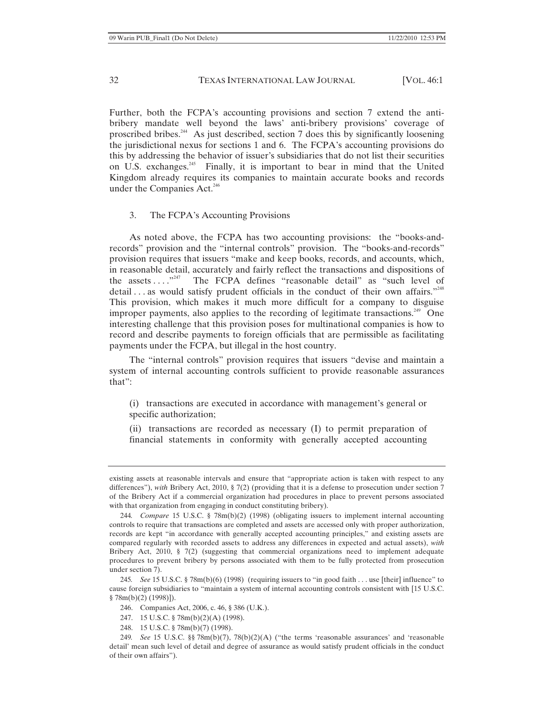Further, both the FCPA's accounting provisions and section 7 extend the antibribery mandate well beyond the laws' anti-bribery provisions' coverage of proscribed bribes.<sup>244</sup> As just described, section 7 does this by significantly loosening the jurisdictional nexus for sections 1 and 6. The FCPA's accounting provisions do this by addressing the behavior of issuer's subsidiaries that do not list their securities on U.S. exchanges.<sup>245</sup> Finally, it is important to bear in mind that the United Kingdom already requires its companies to maintain accurate books and records under the Companies Act.<sup>246</sup>

#### 3. The FCPA's Accounting Provisions

As noted above, the FCPA has two accounting provisions: the "books-andrecords" provision and the "internal controls" provision. The "books-and-records" provision requires that issuers "make and keep books, records, and accounts, which, in reasonable detail, accurately and fairly reflect the transactions and dispositions of the assets  $\dots$   $\cdot^{247}$  The FCPA defines "reasonable detail" as "such level of The FCPA defines "reasonable detail" as "such level of detail  $\ldots$  as would satisfy prudent officials in the conduct of their own affairs."<sup>248</sup> This provision, which makes it much more difficult for a company to disguise improper payments, also applies to the recording of legitimate transactions.<sup>249</sup> One interesting challenge that this provision poses for multinational companies is how to record and describe payments to foreign officials that are permissible as facilitating payments under the FCPA, but illegal in the host country.

The "internal controls" provision requires that issuers "devise and maintain a system of internal accounting controls sufficient to provide reasonable assurances that":

(i) transactions are executed in accordance with management's general or specific authorization;

(ii) transactions are recorded as necessary (I) to permit preparation of financial statements in conformity with generally accepted accounting

existing assets at reasonable intervals and ensure that "appropriate action is taken with respect to any differences"), *with* Bribery Act, 2010, § 7(2) (providing that it is a defense to prosecution under section 7 of the Bribery Act if a commercial organization had procedures in place to prevent persons associated with that organization from engaging in conduct constituting bribery).

<sup>244</sup>*. Compare* 15 U.S.C. § 78m(b)(2) (1998) (obligating issuers to implement internal accounting controls to require that transactions are completed and assets are accessed only with proper authorization, records are kept "in accordance with generally accepted accounting principles," and existing assets are compared regularly with recorded assets to address any differences in expected and actual assets), *with* Bribery Act, 2010, § 7(2) (suggesting that commercial organizations need to implement adequate procedures to prevent bribery by persons associated with them to be fully protected from prosecution under section 7).

<sup>245</sup>*. See* 15 U.S.C. § 78m(b)(6) (1998) (requiring issuers to "in good faith . . . use [their] influence" to cause foreign subsidiaries to "maintain a system of internal accounting controls consistent with [15 U.S.C. § 78m(b)(2) (1998)]).

<sup>246.</sup> Companies Act, 2006, c. 46, § 386 (U.K.).

<sup>247. 15</sup> U.S.C. § 78m(b)(2)(A) (1998).

<sup>248. 15</sup> U.S.C. § 78m(b)(7) (1998).

<sup>249</sup>*. See* 15 U.S.C. §§ 78m(b)(7), 78(b)(2)(A) ("the terms 'reasonable assurances' and 'reasonable detail' mean such level of detail and degree of assurance as would satisfy prudent officials in the conduct of their own affairs").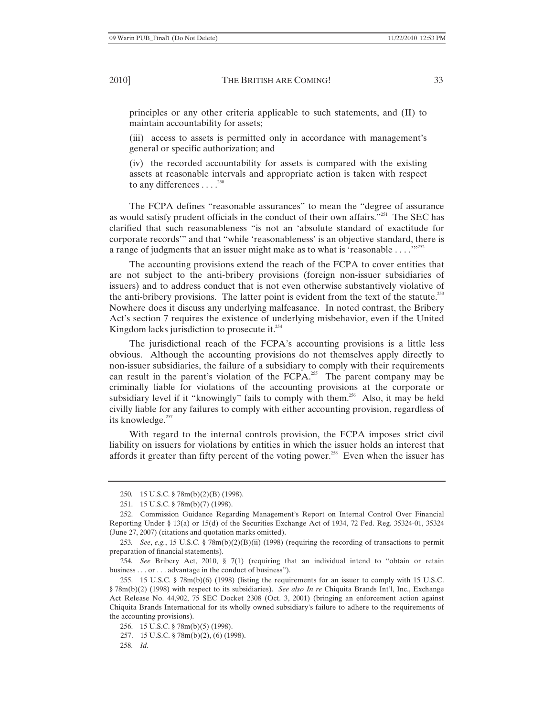principles or any other criteria applicable to such statements, and (II) to maintain accountability for assets;

(iii) access to assets is permitted only in accordance with management's general or specific authorization; and

(iv) the recorded accountability for assets is compared with the existing assets at reasonable intervals and appropriate action is taken with respect to any differences  $\dots$ <sup>250</sup>

The FCPA defines "reasonable assurances" to mean the "degree of assurance as would satisfy prudent officials in the conduct of their own affairs."<sup>251</sup> The SEC has clarified that such reasonableness "is not an 'absolute standard of exactitude for corporate records'" and that "while 'reasonableness' is an objective standard, there is a range of judgments that an issuer might make as to what is 'reasonable  $\dots$ ..."<sup>252</sup>

The accounting provisions extend the reach of the FCPA to cover entities that are not subject to the anti-bribery provisions (foreign non-issuer subsidiaries of issuers) and to address conduct that is not even otherwise substantively violative of the anti-bribery provisions. The latter point is evident from the text of the statute.<sup>253</sup> Nowhere does it discuss any underlying malfeasance. In noted contrast, the Bribery Act's section 7 requires the existence of underlying misbehavior, even if the United Kingdom lacks jurisdiction to prosecute it.<sup>254</sup>

The jurisdictional reach of the FCPA's accounting provisions is a little less obvious. Although the accounting provisions do not themselves apply directly to non-issuer subsidiaries, the failure of a subsidiary to comply with their requirements can result in the parent's violation of the FCPA.<sup>255</sup> The parent company may be criminally liable for violations of the accounting provisions at the corporate or subsidiary level if it "knowingly" fails to comply with them.<sup>256</sup> Also, it may be held civilly liable for any failures to comply with either accounting provision, regardless of its knowledge.<sup>257</sup>

With regard to the internal controls provision, the FCPA imposes strict civil liability on issuers for violations by entities in which the issuer holds an interest that affords it greater than fifty percent of the voting power.<sup>258</sup> Even when the issuer has

<sup>250</sup>*.* 15 U.S.C. § 78m(b)(2)(B) (1998).

<sup>251. 15</sup> U.S.C. § 78m(b)(7) (1998).

<sup>252.</sup> Commission Guidance Regarding Management's Report on Internal Control Over Financial Reporting Under § 13(a) or 15(d) of the Securities Exchange Act of 1934, 72 Fed. Reg. 35324-01, 35324 (June 27, 2007) (citations and quotation marks omitted).

<sup>253</sup>*. See*, *e.g.*, 15 U.S.C. § 78m(b)(2)(B)(ii) (1998) (requiring the recording of transactions to permit preparation of financial statements).

<sup>254</sup>*. See* Bribery Act, 2010, § 7(1) (requiring that an individual intend to "obtain or retain business . . . or . . . advantage in the conduct of business").

<sup>255. 15</sup> U.S.C. § 78m(b)(6) (1998) (listing the requirements for an issuer to comply with 15 U.S.C. § 78m(b)(2) (1998) with respect to its subsidiaries). *See also In re* Chiquita Brands Int'l, Inc., Exchange Act Release No. 44,902, 75 SEC Docket 2308 (Oct. 3, 2001) (bringing an enforcement action against Chiquita Brands International for its wholly owned subsidiary's failure to adhere to the requirements of the accounting provisions).

<sup>256. 15</sup> U.S.C. § 78m(b)(5) (1998).

<sup>257. 15</sup> U.S.C. § 78m(b)(2), (6) (1998).

<sup>258.</sup> *Id.*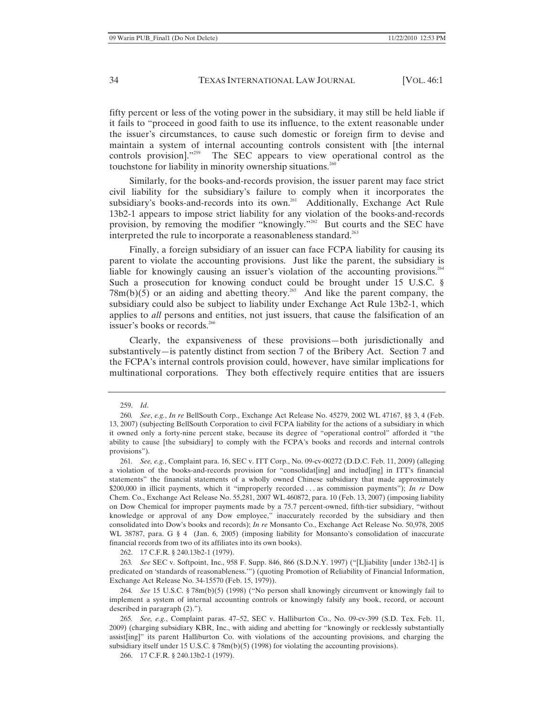fifty percent or less of the voting power in the subsidiary, it may still be held liable if it fails to "proceed in good faith to use its influence, to the extent reasonable under the issuer's circumstances, to cause such domestic or foreign firm to devise and maintain a system of internal accounting controls consistent with [the internal controls provision]."<sup>259</sup> The SEC appears to view operational control as the touchstone for liability in minority ownership situations.<sup>260</sup>

Similarly, for the books-and-records provision, the issuer parent may face strict civil liability for the subsidiary's failure to comply when it incorporates the subsidiary's books-and-records into its own.<sup>261</sup> Additionally, Exchange Act Rule 13b2-1 appears to impose strict liability for any violation of the books-and-records provision, by removing the modifier "knowingly."<sup>262</sup> But courts and the SEC have interpreted the rule to incorporate a reasonableness standard.<sup>263</sup>

Finally, a foreign subsidiary of an issuer can face FCPA liability for causing its parent to violate the accounting provisions. Just like the parent, the subsidiary is liable for knowingly causing an issuer's violation of the accounting provisions.<sup>264</sup> Such a prosecution for knowing conduct could be brought under 15 U.S.C. §  $78m(b)(5)$  or an aiding and abetting theory.<sup>265</sup> And like the parent company, the subsidiary could also be subject to liability under Exchange Act Rule 13b2-1, which applies to *all* persons and entities, not just issuers, that cause the falsification of an issuer's books or records.<sup>266</sup>

Clearly, the expansiveness of these provisions—both jurisdictionally and substantively—is patently distinct from section 7 of the Bribery Act. Section 7 and the FCPA's internal controls provision could, however, have similar implications for multinational corporations. They both effectively require entities that are issuers

262. 17 C.F.R. § 240.13b2-1 (1979).

263*. See* SEC v. Softpoint, Inc., 958 F. Supp. 846, 866 (S.D.N.Y. 1997) ("[L]iability [under 13b2-1] is predicated on 'standards of reasonableness.'") (quoting Promotion of Reliability of Financial Information, Exchange Act Release No. 34-15570 (Feb. 15, 1979)).

264*. See* 15 U.S.C. § 78m(b)(5) (1998) ("No person shall knowingly circumvent or knowingly fail to implement a system of internal accounting controls or knowingly falsify any book, record, or account described in paragraph (2).").

265*. See, e.g.*, Complaint paras. 47–52, SEC v. Halliburton Co., No. 09-cv-399 (S.D. Tex. Feb. 11, 2009) (charging subsidiary KBR, Inc., with aiding and abetting for "knowingly or recklessly substantially assist[ing]" its parent Halliburton Co. with violations of the accounting provisions, and charging the subsidiary itself under 15 U.S.C. § 78m(b)(5) (1998) for violating the accounting provisions).

266. 17 C.F.R. § 240.13b2-1 (1979).

<sup>259.</sup> *Id*.

<sup>260</sup>*. See*, *e.g.*, *In re* BellSouth Corp., Exchange Act Release No. 45279, 2002 WL 47167, §§ 3, 4 (Feb. 13, 2007) (subjecting BellSouth Corporation to civil FCPA liability for the actions of a subsidiary in which it owned only a forty-nine percent stake, because its degree of "operational control" afforded it "the ability to cause [the subsidiary] to comply with the FCPA's books and records and internal controls provisions").

<sup>261</sup>*. See, e.g.*, Complaint para. 16, SEC v. ITT Corp., No. 09-cv-00272 (D.D.C. Feb. 11, 2009) (alleging a violation of the books-and-records provision for "consolidat [ing] and includ[ing] in ITT's financial statements" the financial statements of a wholly owned Chinese subsidiary that made approximately \$200,000 in illicit payments, which it "improperly recorded . . . as commission payments"); *In re* Dow Chem. Co., Exchange Act Release No. 55,281, 2007 WL 460872, para. 10 (Feb. 13, 2007) (imposing liability on Dow Chemical for improper payments made by a 75.7 percent-owned, fifth-tier subsidiary, "without knowledge or approval of any Dow employee," inaccurately recorded by the subsidiary and then consolidated into Dow's books and records); *In re* Monsanto Co., Exchange Act Release No. 50,978, 2005 WL 38787, para. G § 4 (Jan. 6, 2005) (imposing liability for Monsanto's consolidation of inaccurate financial records from two of its affiliates into its own books).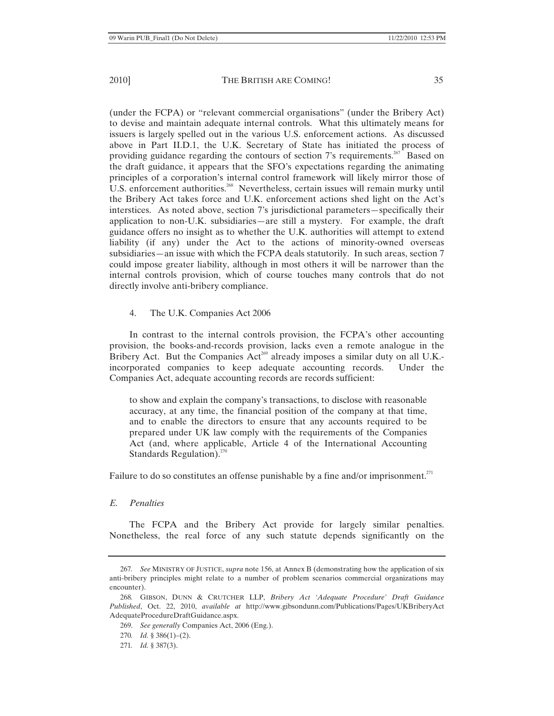(under the FCPA) or "relevant commercial organisations" (under the Bribery Act) to devise and maintain adequate internal controls. What this ultimately means for issuers is largely spelled out in the various U.S. enforcement actions. As discussed above in Part II.D.1, the U.K. Secretary of State has initiated the process of providing guidance regarding the contours of section 7's requirements.<sup>267</sup> Based on the draft guidance, it appears that the SFO's expectations regarding the animating principles of a corporation's internal control framework will likely mirror those of U.S. enforcement authorities.<sup>268</sup> Nevertheless, certain issues will remain murky until the Bribery Act takes force and U.K. enforcement actions shed light on the Act's interstices. As noted above, section 7's jurisdictional parameters—specifically their application to non-U.K. subsidiaries—are still a mystery. For example, the draft guidance offers no insight as to whether the U.K. authorities will attempt to extend liability (if any) under the Act to the actions of minority-owned overseas subsidiaries—an issue with which the FCPA deals statutorily. In such areas, section 7 could impose greater liability, although in most others it will be narrower than the internal controls provision, which of course touches many controls that do not directly involve anti-bribery compliance.

# 4. The U.K. Companies Act 2006

In contrast to the internal controls provision, the FCPA's other accounting provision, the books-and-records provision, lacks even a remote analogue in the Bribery Act. But the Companies  $Act<sup>269</sup>$  already imposes a similar duty on all U.K.incorporated companies to keep adequate accounting records. Under the Companies Act, adequate accounting records are records sufficient:

to show and explain the company's transactions, to disclose with reasonable accuracy, at any time, the financial position of the company at that time, and to enable the directors to ensure that any accounts required to be prepared under UK law comply with the requirements of the Companies Act (and, where applicable, Article 4 of the International Accounting Standards Regulation). $270$ 

Failure to do so constitutes an offense punishable by a fine and/or imprisonment.<sup>271</sup>

*E. Penalties* 

The FCPA and the Bribery Act provide for largely similar penalties. Nonetheless, the real force of any such statute depends significantly on the

<sup>267</sup>*. See* MINISTRY OF JUSTICE, *supra* note 156, at Annex B (demonstrating how the application of six anti-bribery principles might relate to a number of problem scenarios commercial organizations may encounter).

<sup>268</sup>*.* GIBSON, DUNN & CRUTCHER LLP, *Bribery Act 'Adequate Procedure' Draft Guidance Published*, Oct. 22, 2010, *available at* http://www.gibsondunn.com/Publications/Pages/UKBriberyAct AdequateProcedureDraftGuidance.aspx.

<sup>269.</sup> *See generally* Companies Act, 2006 (Eng.).

<sup>270</sup>*. Id.* § 386(1)–(2).

<sup>271</sup>*. Id.* § 387(3).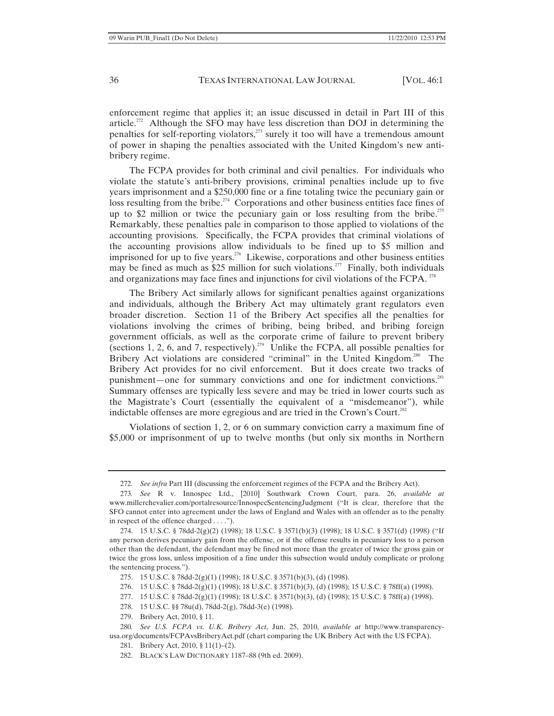enforcement regime that applies it; an issue discussed in detail in Part III of this article.<sup>272</sup> Although the SFO may have less discretion than DOJ in determining the penalties for self-reporting violators,<sup>273</sup> surely it too will have a tremendous amount of power in shaping the penalties associated with the United Kingdom's new antibribery regime.

The FCPA provides for both criminal and civil penalties. For individuals who violate the statute's anti-bribery provisions, criminal penalties include up to five years imprisonment and a \$250,000 fine or a fine totaling twice the pecuniary gain or loss resulting from the bribe.<sup>274</sup> Corporations and other business entities face fines of up to \$2 million or twice the pecuniary gain or loss resulting from the bribe.<sup>275</sup> Remarkably, these penalties pale in comparison to those applied to violations of the accounting provisions. Specifically, the FCPA provides that criminal violations of the accounting provisions allow individuals to be fined up to \$5 million and imprisoned for up to five years.<sup>276</sup> Likewise, corporations and other business entities may be fined as much as \$25 million for such violations.<sup>277</sup> Finally, both individuals and organizations may face fines and injunctions for civil violations of the FCPA.  $^{278}$ 

The Bribery Act similarly allows for significant penalties against organizations and individuals, although the Bribery Act may ultimately grant regulators even broader discretion. Section 11 of the Bribery Act specifies all the penalties for violations involving the crimes of bribing, being bribed, and bribing foreign government officials, as well as the corporate crime of failure to prevent bribery (sections 1, 2, 6, and 7, respectively).<sup>279</sup> Unlike the FCPA, all possible penalties for Bribery Act violations are considered "criminal" in the United Kingdom.<sup>280</sup> The Bribery Act provides for no civil enforcement. But it does create two tracks of punishment—one for summary convictions and one for indictment convictions.<sup>281</sup> Summary offenses are typically less severe and may be tried in lower courts such as the Magistrate's Court (essentially the equivalent of a "misdemeanor"), while indictable offenses are more egregious and are tried in the Crown's Court.<sup>282</sup>

Violations of section 1, 2, or 6 on summary conviction carry a maximum fine of \$5,000 or imprisonment of up to twelve months (but only six months in Northern

279. Bribery Act, 2010, § 11.

282. BLACK'S LAW DICTIONARY 1187–88 (9th ed. 2009).

<sup>272</sup>*. See infra* Part III (discussing the enforcement regimes of the FCPA and the Bribery Act).

<sup>273</sup>*. See* R v. Innospec Ltd., [2010] Southwark Crown Court, para. 26, *available at* www.millerchevalier.com/portalresource/InnospecSentencingJudgment ("It is clear, therefore that the SFO cannot enter into agreement under the laws of England and Wales with an offender as to the penalty in respect of the offence charged . . . .").

<sup>274. 15</sup> U.S.C. § 78dd-2(g)(2) (1998); 18 U.S.C. § 3571(b)(3) (1998); 18 U.S.C. § 3571(d) (1998) ("If any person derives pecuniary gain from the offense, or if the offense results in pecuniary loss to a person other than the defendant, the defendant may be fined not more than the greater of twice the gross gain or twice the gross loss, unless imposition of a fine under this subsection would unduly complicate or prolong the sentencing process.").

<sup>275. 15</sup> U.S.C. § 78dd-2(g)(1) (1998); 18 U.S.C. § 3571(b)(3), (d) (1998).

<sup>276. 15</sup> U.S.C. § 78dd-2(g)(1) (1998); 18 U.S.C. § 3571(b)(3), (d) (1998); 15 U.S.C. § 78ff(a) (1998).

<sup>277. 15</sup> U.S.C. § 78dd-2(g)(1) (1998); 18 U.S.C. § 3571(b)(3), (d) (1998); 15 U.S.C. § 78ff(a) (1998).

<sup>278. 15</sup> U.S.C. §§ 78u(d), 78dd-2(g), 78dd-3(e) (1998).

<sup>280</sup>*. See U.S. FCPA vs. U.K. Bribery Act*, Jun. 25, 2010, *available at* http://www.transparencyusa.org/documents/FCPAvsBriberyAct.pdf (chart comparing the UK Bribery Act with the US FCPA).

<sup>281.</sup> Bribery Act, 2010, § 11(1)–(2).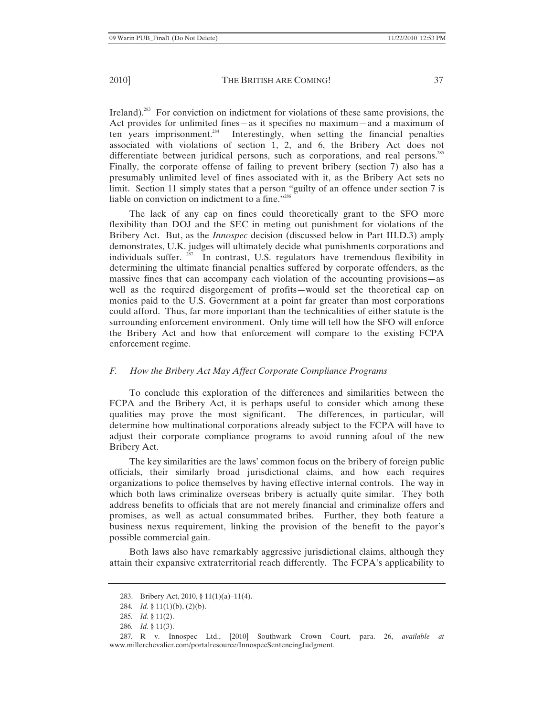Ireland).<sup>283</sup> For conviction on indictment for violations of these same provisions, the Act provides for unlimited fines—as it specifies no maximum—and a maximum of ten years imprisonment.<sup>284</sup> Interestingly, when setting the financial penalties associated with violations of section 1, 2, and 6, the Bribery Act does not differentiate between juridical persons, such as corporations, and real persons.<sup>285</sup> Finally, the corporate offense of failing to prevent bribery (section 7) also has a presumably unlimited level of fines associated with it, as the Bribery Act sets no limit. Section 11 simply states that a person "guilty of an offence under section 7 is liable on conviction on indictment to a fine."<sup>286</sup>

The lack of any cap on fines could theoretically grant to the SFO more flexibility than DOJ and the SEC in meting out punishment for violations of the Bribery Act. But, as the *Innospec* decision (discussed below in Part III.D.3) amply demonstrates, U.K. judges will ultimately decide what punishments corporations and individuals suffer.  $287$  In contrast, U.S. regulators have tremendous flexibility in determining the ultimate financial penalties suffered by corporate offenders, as the massive fines that can accompany each violation of the accounting provisions—as well as the required disgorgement of profits—would set the theoretical cap on monies paid to the U.S. Government at a point far greater than most corporations could afford. Thus, far more important than the technicalities of either statute is the surrounding enforcement environment. Only time will tell how the SFO will enforce the Bribery Act and how that enforcement will compare to the existing FCPA enforcement regime.

### *F. How the Bribery Act May Affect Corporate Compliance Programs*

To conclude this exploration of the differences and similarities between the FCPA and the Bribery Act, it is perhaps useful to consider which among these qualities may prove the most significant. The differences, in particular, will determine how multinational corporations already subject to the FCPA will have to adjust their corporate compliance programs to avoid running afoul of the new Bribery Act.

The key similarities are the laws' common focus on the bribery of foreign public officials, their similarly broad jurisdictional claims, and how each requires organizations to police themselves by having effective internal controls. The way in which both laws criminalize overseas bribery is actually quite similar. They both address benefits to officials that are not merely financial and criminalize offers and promises, as well as actual consummated bribes. Further, they both feature a business nexus requirement, linking the provision of the benefit to the payor's possible commercial gain.

Both laws also have remarkably aggressive jurisdictional claims, although they attain their expansive extraterritorial reach differently. The FCPA's applicability to

<sup>283.</sup> Bribery Act, 2010, § 11(1)(a)–11(4).

<sup>284</sup>*. Id.* § 11(1)(b), (2)(b).

<sup>285</sup>*. Id.* § 11(2).

<sup>286</sup>*. Id.* § 11(3).

<sup>287</sup>*.* R v. Innospec Ltd., [2010] Southwark Crown Court, para. 26, *available at* www.millerchevalier.com/portalresource/InnospecSentencingJudgment.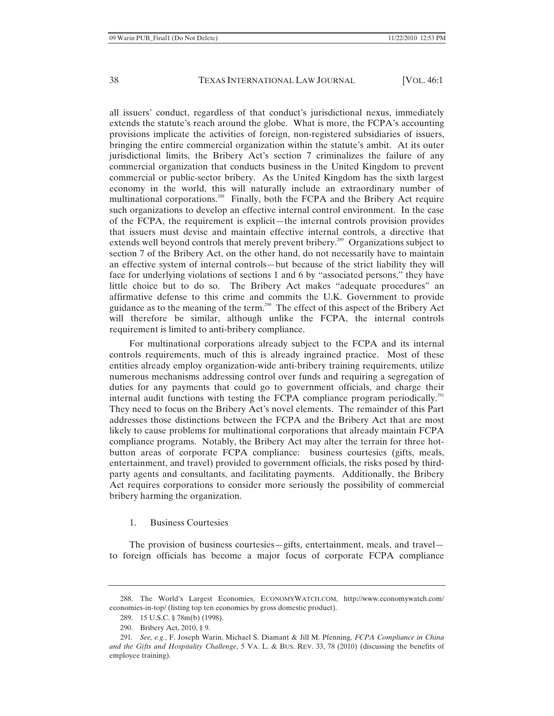all issuers' conduct, regardless of that conduct's jurisdictional nexus, immediately extends the statute's reach around the globe. What is more, the FCPA's accounting provisions implicate the activities of foreign, non-registered subsidiaries of issuers, bringing the entire commercial organization within the statute's ambit. At its outer jurisdictional limits, the Bribery Act's section 7 criminalizes the failure of any commercial organization that conducts business in the United Kingdom to prevent commercial or public-sector bribery. As the United Kingdom has the sixth largest economy in the world, this will naturally include an extraordinary number of multinational corporations.<sup>288</sup> Finally, both the FCPA and the Bribery Act require such organizations to develop an effective internal control environment. In the case of the FCPA, the requirement is explicit—the internal controls provision provides that issuers must devise and maintain effective internal controls, a directive that extends well beyond controls that merely prevent bribery.<sup>289</sup> Organizations subject to section 7 of the Bribery Act, on the other hand, do not necessarily have to maintain an effective system of internal controls—but because of the strict liability they will face for underlying violations of sections 1 and 6 by "associated persons," they have little choice but to do so. The Bribery Act makes "adequate procedures" an affirmative defense to this crime and commits the U.K. Government to provide guidance as to the meaning of the term.<sup>290</sup> The effect of this aspect of the Bribery Act will therefore be similar, although unlike the FCPA, the internal controls requirement is limited to anti-bribery compliance.

For multinational corporations already subject to the FCPA and its internal controls requirements, much of this is already ingrained practice. Most of these entities already employ organization-wide anti-bribery training requirements, utilize numerous mechanisms addressing control over funds and requiring a segregation of duties for any payments that could go to government officials, and charge their internal audit functions with testing the FCPA compliance program periodically.<sup>291</sup> They need to focus on the Bribery Act's novel elements. The remainder of this Part addresses those distinctions between the FCPA and the Bribery Act that are most likely to cause problems for multinational corporations that already maintain FCPA compliance programs. Notably, the Bribery Act may alter the terrain for three hotbutton areas of corporate FCPA compliance: business courtesies (gifts, meals, entertainment, and travel) provided to government officials, the risks posed by thirdparty agents and consultants, and facilitating payments. Additionally, the Bribery Act requires corporations to consider more seriously the possibility of commercial bribery harming the organization.

#### 1. Business Courtesies

The provision of business courtesies—gifts, entertainment, meals, and travel to foreign officials has become a major focus of corporate FCPA compliance

<sup>288.</sup> The World's Largest Economies, ECONOMYWATCH.COM, http://www.economywatch.com/ economies-in-top/ (listing top ten economies by gross domestic product).

<sup>289. 15</sup> U.S.C. § 78m(b) (1998).

<sup>290.</sup> Bribery Act, 2010, § 9.

<sup>291</sup>*. See, e.g.*, F. Joseph Warin, Michael S. Diamant & Jill M. Pfenning, *FCPA Compliance in China and the Gifts and Hospitality Challenge*, 5 VA. L. & BUS. REV. 33, 78 (2010) (discussing the benefits of employee training).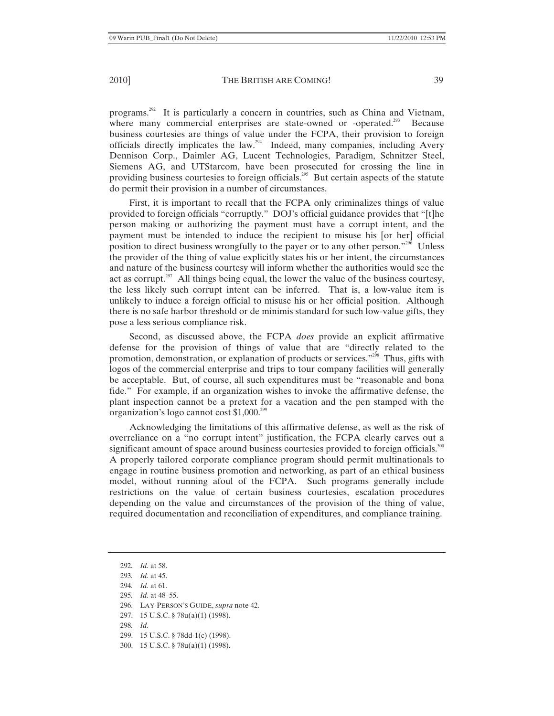programs.<sup>292</sup> It is particularly a concern in countries, such as China and Vietnam, where many commercial enterprises are state-owned or -operated.<sup>293</sup> Because business courtesies are things of value under the FCPA, their provision to foreign officials directly implicates the law.<sup>294</sup> Indeed, many companies, including Avery Dennison Corp., Daimler AG, Lucent Technologies, Paradigm, Schnitzer Steel, Siemens AG, and UTStarcom, have been prosecuted for crossing the line in providing business courtesies to foreign officials.<sup>295</sup> But certain aspects of the statute do permit their provision in a number of circumstances.

First, it is important to recall that the FCPA only criminalizes things of value provided to foreign officials "corruptly." DOJ's official guidance provides that "[t]he person making or authorizing the payment must have a corrupt intent, and the payment must be intended to induce the recipient to misuse his [or her] official position to direct business wrongfully to the payer or to any other person."296 Unless the provider of the thing of value explicitly states his or her intent, the circumstances and nature of the business courtesy will inform whether the authorities would see the act as corrupt.<sup>297</sup> All things being equal, the lower the value of the business courtesy, the less likely such corrupt intent can be inferred. That is, a low-value item is unlikely to induce a foreign official to misuse his or her official position. Although there is no safe harbor threshold or de minimis standard for such low-value gifts, they pose a less serious compliance risk.

Second, as discussed above, the FCPA *does* provide an explicit affirmative defense for the provision of things of value that are "directly related to the promotion, demonstration, or explanation of products or services."<sup>298</sup> Thus, gifts with logos of the commercial enterprise and trips to tour company facilities will generally be acceptable. But, of course, all such expenditures must be "reasonable and bona fide." For example, if an organization wishes to invoke the affirmative defense, the plant inspection cannot be a pretext for a vacation and the pen stamped with the organization's logo cannot cost  $$1,000.<sup>299</sup>$ 

Acknowledging the limitations of this affirmative defense, as well as the risk of overreliance on a "no corrupt intent" justification, the FCPA clearly carves out a significant amount of space around business courtesies provided to foreign officials.<sup>300</sup> A properly tailored corporate compliance program should permit multinationals to engage in routine business promotion and networking, as part of an ethical business model, without running afoul of the FCPA. Such programs generally include restrictions on the value of certain business courtesies, escalation procedures depending on the value and circumstances of the provision of the thing of value, required documentation and reconciliation of expenditures, and compliance training.

<sup>292</sup>*. Id.* at 58.

<sup>293</sup>*. Id.* at 45.

<sup>294</sup>*. Id.* at 61.

<sup>295</sup>*. Id.* at 48–55.

<sup>296.</sup> LAY-PERSON'S GUIDE, *supra* note 42.

<sup>297. 15</sup> U.S.C. § 78u(a)(1) (1998).

<sup>298</sup>*. Id.*

<sup>299. 15</sup> U.S.C. § 78dd-1(c) (1998).

<sup>300. 15</sup> U.S.C. § 78u(a)(1) (1998).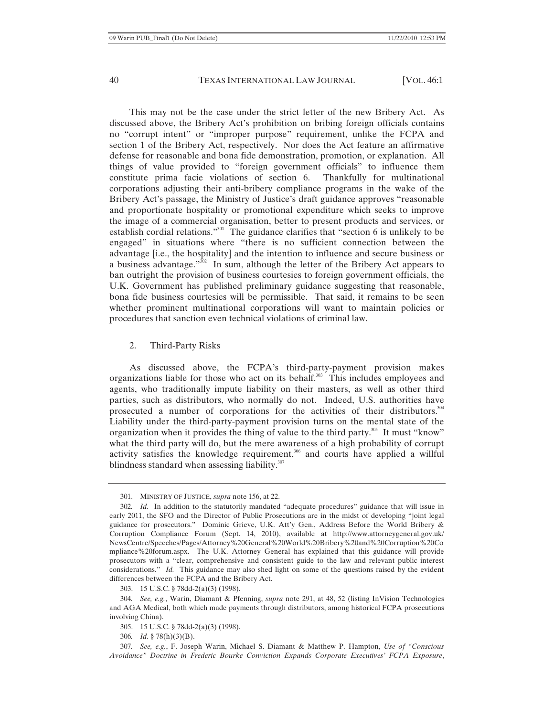This may not be the case under the strict letter of the new Bribery Act. As discussed above, the Bribery Act's prohibition on bribing foreign officials contains no "corrupt intent" or "improper purpose" requirement, unlike the FCPA and section 1 of the Bribery Act, respectively. Nor does the Act feature an affirmative defense for reasonable and bona fide demonstration, promotion, or explanation. All things of value provided to "foreign government officials" to influence them constitute prima facie violations of section 6. Thankfully for multinational corporations adjusting their anti-bribery compliance programs in the wake of the Bribery Act's passage, the Ministry of Justice's draft guidance approves "reasonable and proportionate hospitality or promotional expenditure which seeks to improve the image of a commercial organisation, better to present products and services, or establish cordial relations."<sup>301</sup> The guidance clarifies that "section 6 is unlikely to be engaged" in situations where "there is no sufficient connection between the advantage [i.e., the hospitality] and the intention to influence and secure business or a business advantage."302 In sum, although the letter of the Bribery Act appears to ban outright the provision of business courtesies to foreign government officials, the U.K. Government has published preliminary guidance suggesting that reasonable, bona fide business courtesies will be permissible. That said, it remains to be seen whether prominent multinational corporations will want to maintain policies or procedures that sanction even technical violations of criminal law.

#### 2. Third-Party Risks

As discussed above, the FCPA's third-party-payment provision makes organizations liable for those who act on its behalf.<sup>303</sup> This includes employees and agents, who traditionally impute liability on their masters, as well as other third parties, such as distributors, who normally do not. Indeed, U.S. authorities have prosecuted a number of corporations for the activities of their distributors.<sup>304</sup> Liability under the third-party-payment provision turns on the mental state of the organization when it provides the thing of value to the third party.<sup>305</sup> It must "know" what the third party will do, but the mere awareness of a high probability of corrupt activity satisfies the knowledge requirement,<sup>306</sup> and courts have applied a willful blindness standard when assessing liability. $307$ 

<sup>301.</sup> MINISTRY OF JUSTICE, *supra* note 156, at 22.

<sup>302</sup>*. Id.* In addition to the statutorily mandated "adequate procedures" guidance that will issue in early 2011, the SFO and the Director of Public Prosecutions are in the midst of developing "joint legal guidance for prosecutors." Dominic Grieve, U.K. Att'y Gen., Address Before the World Bribery & Corruption Compliance Forum (Sept. 14, 2010), available at http://www.attorneygeneral.gov.uk/ NewsCentre/Speeches/Pages/Attorney%20General%20World%20Bribery%20and%20Corruption%20Co mpliance%20forum.aspx. The U.K. Attorney General has explained that this guidance will provide prosecutors with a "clear, comprehensive and consistent guide to the law and relevant public interest considerations." *Id.* This guidance may also shed light on some of the questions raised by the evident differences between the FCPA and the Bribery Act.

<sup>303. 15</sup> U.S.C. § 78dd-2(a)(3) (1998).

<sup>304</sup>*. See, e.g.*, Warin, Diamant & Pfenning, *supra* note 291, at 48, 52 (listing InVision Technologies and AGA Medical, both which made payments through distributors, among historical FCPA prosecutions involving China).

<sup>305. 15</sup> U.S.C. § 78dd-2(a)(3) (1998).

<sup>306</sup>*. Id.* § 78(h)(3)(B).

<sup>307</sup>*. See, e.g.*, F. Joseph Warin, Michael S. Diamant & Matthew P. Hampton, *Use of "Conscious Avoidance" Doctrine in Frederic Bourke Conviction Expands Corporate Executives' FCPA Exposure*,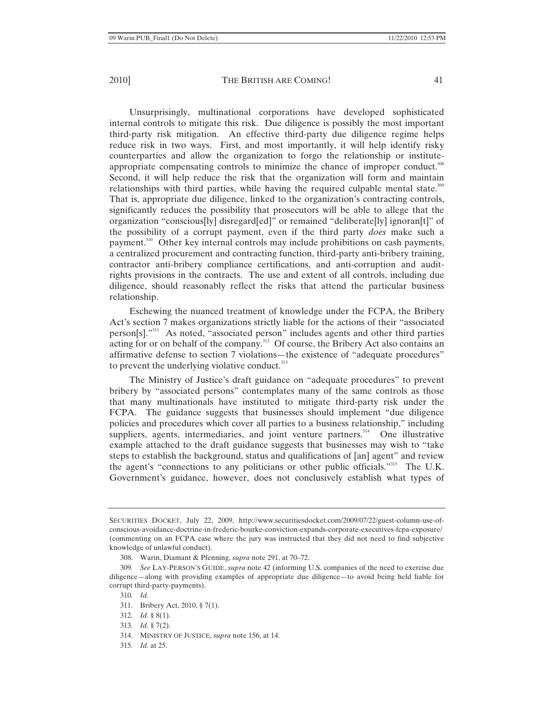Unsurprisingly, multinational corporations have developed sophisticated internal controls to mitigate this risk. Due diligence is possibly the most important third-party risk mitigation. An effective third-party due diligence regime helps reduce risk in two ways. First, and most importantly, it will help identify risky counterparties and allow the organization to forgo the relationship or instituteappropriate compensating controls to minimize the chance of improper conduct.<sup>308</sup> Second, it will help reduce the risk that the organization will form and maintain relationships with third parties, while having the required culpable mental state. $309$ That is, appropriate due diligence, linked to the organization's contracting controls, significantly reduces the possibility that prosecutors will be able to allege that the organization "conscious[ly] disregard[ed]" or remained "deliberate[ly] ignoran[t]" of the possibility of a corrupt payment, even if the third party *does* make such a payment.310 Other key internal controls may include prohibitions on cash payments, a centralized procurement and contracting function, third-party anti-bribery training, contractor anti-bribery compliance certifications, and anti-corruption and auditrights provisions in the contracts. The use and extent of all controls, including due diligence, should reasonably reflect the risks that attend the particular business relationship.

Eschewing the nuanced treatment of knowledge under the FCPA, the Bribery Act's section 7 makes organizations strictly liable for the actions of their "associated person[s]."311 As noted, "associated person" includes agents and other third parties acting for or on behalf of the company.<sup>312</sup> Of course, the Bribery Act also contains an affirmative defense to section 7 violations—the existence of "adequate procedures" to prevent the underlying violative conduct. $313$ 

The Ministry of Justice's draft guidance on "adequate procedures" to prevent bribery by "associated persons" contemplates many of the same controls as those that many multinationals have instituted to mitigate third-party risk under the FCPA. The guidance suggests that businesses should implement "due diligence policies and procedures which cover all parties to a business relationship," including suppliers, agents, intermediaries, and joint venture partners.<sup>314</sup> One illustrative example attached to the draft guidance suggests that businesses may wish to "take steps to establish the background, status and qualifications of [an] agent" and review the agent's "connections to any politicians or other public officials."315 The U.K. Government's guidance, however, does not conclusively establish what types of

- 312*. Id.* § 8(1).
- 313*. Id.* § 7(2).
- 314. MINISTRY OF JUSTICE, *supra* note 156, at 14.
- 315*. Id.* at 25.

SECURITIES DOCKET, July 22, 2009, http://www.securitiesdocket.com/2009/07/22/guest-column-use-ofconscious-avoidance-doctrine-in-frederic-bourke-conviction-expands-corporate-executives-fcpa-exposure/ (commenting on an FCPA case where the jury was instructed that they did not need to find subjective knowledge of unlawful conduct).

<sup>308.</sup> Warin, Diamant & Pfenning, *supra* note 291, at 70–72.

<sup>309</sup>*. See* LAY-PERSON'S GUIDE, *supra* note 42 (informing U.S. companies of the need to exercise due diligence—along with providing examples of appropriate due diligence—to avoid being held liable for corrupt third-party-payments).

<sup>310</sup>*. Id.*

<sup>311.</sup> Bribery Act, 2010, § 7(1).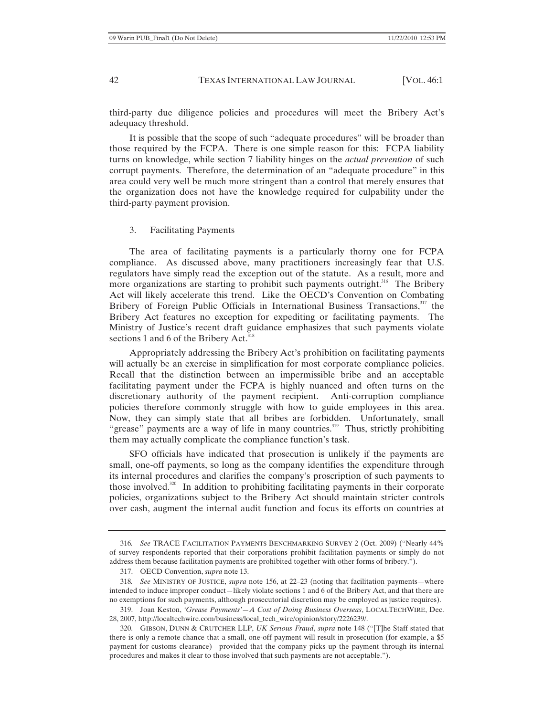third-party due diligence policies and procedures will meet the Bribery Act's adequacy threshold.

It is possible that the scope of such "adequate procedures" will be broader than those required by the FCPA. There is one simple reason for this: FCPA liability turns on knowledge, while section 7 liability hinges on the *actual prevention* of such corrupt payments. Therefore, the determination of an "adequate procedure" in this area could very well be much more stringent than a control that merely ensures that the organization does not have the knowledge required for culpability under the third-party-payment provision.

#### 3. Facilitating Payments

The area of facilitating payments is a particularly thorny one for FCPA compliance. As discussed above, many practitioners increasingly fear that U.S. regulators have simply read the exception out of the statute. As a result, more and more organizations are starting to prohibit such payments outright.<sup>316</sup> The Bribery Act will likely accelerate this trend. Like the OECD's Convention on Combating Bribery of Foreign Public Officials in International Business Transactions,<sup>317</sup> the Bribery Act features no exception for expediting or facilitating payments. The Ministry of Justice's recent draft guidance emphasizes that such payments violate sections 1 and 6 of the Bribery Act.<sup>318</sup>

Appropriately addressing the Bribery Act's prohibition on facilitating payments will actually be an exercise in simplification for most corporate compliance policies. Recall that the distinction between an impermissible bribe and an acceptable facilitating payment under the FCPA is highly nuanced and often turns on the discretionary authority of the payment recipient. Anti-corruption compliance policies therefore commonly struggle with how to guide employees in this area. Now, they can simply state that all bribes are forbidden. Unfortunately, small "grease" payments are a way of life in many countries.<sup>319</sup> Thus, strictly prohibiting them may actually complicate the compliance function's task.

SFO officials have indicated that prosecution is unlikely if the payments are small, one-off payments, so long as the company identifies the expenditure through its internal procedures and clarifies the company's proscription of such payments to those involved.<sup>320</sup> In addition to prohibiting facilitating payments in their corporate policies, organizations subject to the Bribery Act should maintain stricter controls over cash, augment the internal audit function and focus its efforts on countries at

<sup>316</sup>*. See* TRACE FACILITATION PAYMENTS BENCHMARKING SURVEY 2 (Oct. 2009) ("Nearly 44% of survey respondents reported that their corporations prohibit facilitation payments or simply do not address them because facilitation payments are prohibited together with other forms of bribery.").

<sup>317.</sup> OECD Convention, *supra* note 13.

<sup>318</sup>*. See* MINISTRY OF JUSTICE, *supra* note 156, at 22–23 (noting that facilitation payments—where intended to induce improper conduct—likely violate sections 1 and 6 of the Bribery Act, and that there are no exemptions for such payments, although prosecutorial discretion may be employed as justice requires).

<sup>319.</sup> Joan Keston, *'Grease Payments'—A Cost of Doing Business Overseas*, LOCALTECHWIRE, Dec. 28, 2007, http://localtechwire.com/business/local\_tech\_wire/opinion/story/2226239/.

<sup>320.</sup> GIBSON, DUNN & CRUTCHER LLP, *UK Serious Fraud*, *supra* note 148 ("[T]he Staff stated that there is only a remote chance that a small, one-off payment will result in prosecution (for example, a \$5 payment for customs clearance)—provided that the company picks up the payment through its internal procedures and makes it clear to those involved that such payments are not acceptable.").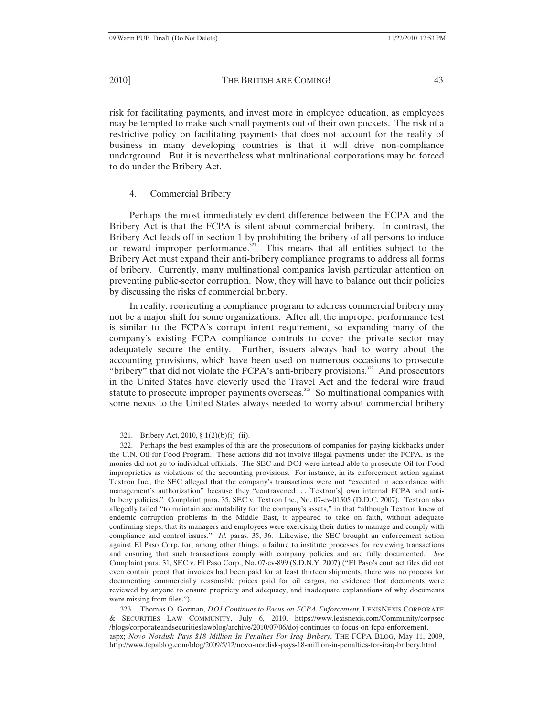risk for facilitating payments, and invest more in employee education, as employees may be tempted to make such small payments out of their own pockets. The risk of a restrictive policy on facilitating payments that does not account for the reality of business in many developing countries is that it will drive non-compliance underground. But it is nevertheless what multinational corporations may be forced to do under the Bribery Act.

## 4. Commercial Bribery

Perhaps the most immediately evident difference between the FCPA and the Bribery Act is that the FCPA is silent about commercial bribery. In contrast, the Bribery Act leads off in section 1 by prohibiting the bribery of all persons to induce or reward improper performance. $321$  This means that all entities subject to the Bribery Act must expand their anti-bribery compliance programs to address all forms of bribery. Currently, many multinational companies lavish particular attention on preventing public-sector corruption. Now, they will have to balance out their policies by discussing the risks of commercial bribery.

In reality, reorienting a compliance program to address commercial bribery may not be a major shift for some organizations. After all, the improper performance test is similar to the FCPA's corrupt intent requirement, so expanding many of the company's existing FCPA compliance controls to cover the private sector may adequately secure the entity. Further, issuers always had to worry about the accounting provisions, which have been used on numerous occasions to prosecute "bribery" that did not violate the FCPA's anti-bribery provisions.<sup>322</sup> And prosecutors in the United States have cleverly used the Travel Act and the federal wire fraud statute to prosecute improper payments overseas.<sup>323</sup> So multinational companies with some nexus to the United States always needed to worry about commercial bribery

323. Thomas O. Gorman, *DOJ Continues to Focus on FCPA Enforcement*, LEXISNEXIS CORPORATE & SECURITIES LAW COMMUNITY, July 6, 2010, https://www.lexisnexis.com/Community/corpsec /blogs/corporateandsecuritieslawblog/archive/2010/07/06/doj-continues-to-focus-on-fcpa-enforcement. aspx; *Novo Nordisk Pays \$18 Million In Penalties For Iraq Bribery*, THE FCPA BLOG, May 11, 2009, http://www.fcpablog.com/blog/2009/5/12/novo-nordisk-pays-18-million-in-penalties-for-iraq-bribery.html.

<sup>321.</sup> Bribery Act, 2010, § 1(2)(b)(i)–(ii).

<sup>322.</sup> Perhaps the best examples of this are the prosecutions of companies for paying kickbacks under the U.N. Oil-for-Food Program. These actions did not involve illegal payments under the FCPA, as the monies did not go to individual officials. The SEC and DOJ were instead able to prosecute Oil-for-Food improprieties as violations of the accounting provisions. For instance, in its enforcement action against Textron Inc., the SEC alleged that the company's transactions were not "executed in accordance with management's authorization" because they "contravened . . . [Textron's] own internal FCPA and antibribery policies." Complaint para. 35, SEC v. Textron Inc., No. 07-cv-01505 (D.D.C. 2007). Textron also allegedly failed "to maintain accountability for the company's assets," in that "although Textron knew of endemic corruption problems in the Middle East, it appeared to take on faith, without adequate confirming steps, that its managers and employees were exercising their duties to manage and comply with compliance and control issues." *Id.* paras. 35, 36. Likewise, the SEC brought an enforcement action against El Paso Corp. for, among other things, a failure to institute processes for reviewing transactions and ensuring that such transactions comply with company policies and are fully documented. *See* Complaint para. 31, SEC v. El Paso Corp., No. 07-cv-899 (S.D.N.Y. 2007) ("El Paso's contract files did not even contain proof that invoices had been paid for at least thirteen shipments, there was no process for documenting commercially reasonable prices paid for oil cargos, no evidence that documents were reviewed by anyone to ensure propriety and adequacy, and inadequate explanations of why documents were missing from files.").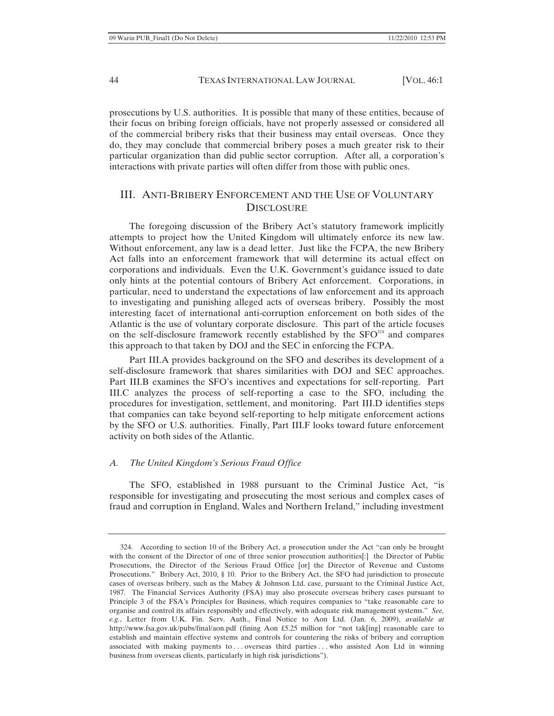prosecutions by U.S. authorities. It is possible that many of these entities, because of their focus on bribing foreign officials, have not properly assessed or considered all of the commercial bribery risks that their business may entail overseas. Once they do, they may conclude that commercial bribery poses a much greater risk to their particular organization than did public sector corruption. After all, a corporation's interactions with private parties will often differ from those with public ones.

# III. ANTI-BRIBERY ENFORCEMENT AND THE USE OF VOLUNTARY **DISCLOSURE**

The foregoing discussion of the Bribery Act's statutory framework implicitly attempts to project how the United Kingdom will ultimately enforce its new law. Without enforcement, any law is a dead letter. Just like the FCPA, the new Bribery Act falls into an enforcement framework that will determine its actual effect on corporations and individuals. Even the U.K. Government's guidance issued to date only hints at the potential contours of Bribery Act enforcement. Corporations, in particular, need to understand the expectations of law enforcement and its approach to investigating and punishing alleged acts of overseas bribery. Possibly the most interesting facet of international anti-corruption enforcement on both sides of the Atlantic is the use of voluntary corporate disclosure. This part of the article focuses on the self-disclosure framework recently established by the  $SFO<sup>324</sup>$  and compares this approach to that taken by DOJ and the SEC in enforcing the FCPA.

Part III.A provides background on the SFO and describes its development of a self-disclosure framework that shares similarities with DOJ and SEC approaches. Part III.B examines the SFO's incentives and expectations for self-reporting. Part III.C analyzes the process of self-reporting a case to the SFO, including the procedures for investigation, settlement, and monitoring. Part III.D identifies steps that companies can take beyond self-reporting to help mitigate enforcement actions by the SFO or U.S. authorities. Finally, Part III.F looks toward future enforcement activity on both sides of the Atlantic.

## *A. The United Kingdom's Serious Fraud Office*

The SFO, established in 1988 pursuant to the Criminal Justice Act, "is responsible for investigating and prosecuting the most serious and complex cases of fraud and corruption in England, Wales and Northern Ireland," including investment

<sup>324.</sup> According to section 10 of the Bribery Act, a prosecution under the Act "can only be brought with the consent of the Director of one of three senior prosecution authorities[:] the Director of Public Prosecutions, the Director of the Serious Fraud Office [or] the Director of Revenue and Customs Prosecutions." Bribery Act, 2010, § 10. Prior to the Bribery Act, the SFO had jurisdiction to prosecute cases of overseas bribery, such as the Mabey & Johnson Ltd. case, pursuant to the Criminal Justice Act, 1987. The Financial Services Authority (FSA) may also prosecute overseas bribery cases pursuant to Principle 3 of the FSA's Principles for Business, which requires companies to "take reasonable care to organise and control its affairs responsibly and effectively, with adequate risk management systems." *See, e.g.*, Letter from U.K. Fin. Serv. Auth., Final Notice to Aon Ltd. (Jan. 6, 2009), *available at*  http://www.fsa.gov.uk/pubs/final/aon.pdf (fining Aon £5.25 million for "not tak[ing] reasonable care to establish and maintain effective systems and controls for countering the risks of bribery and corruption associated with making payments to . . . overseas third parties . . . who assisted Aon Ltd in winning business from overseas clients, particularly in high risk jurisdictions").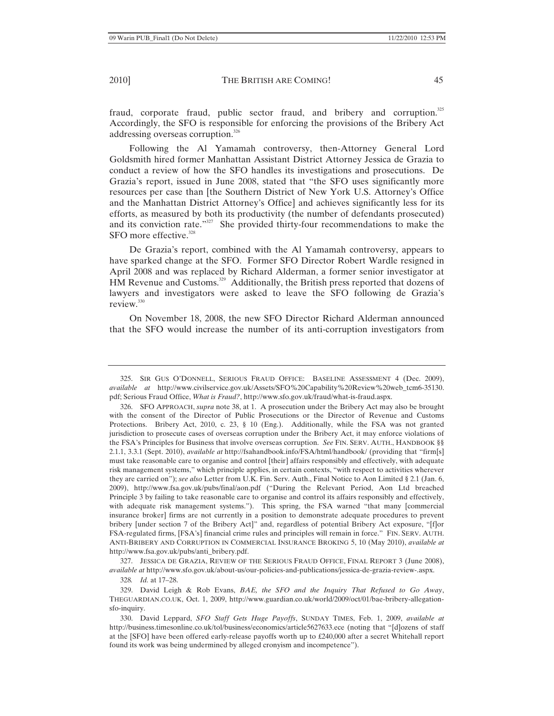fraud, corporate fraud, public sector fraud, and bribery and corruption. $325$ Accordingly, the SFO is responsible for enforcing the provisions of the Bribery Act addressing overseas corruption.<sup>326</sup>

Following the Al Yamamah controversy, then-Attorney General Lord Goldsmith hired former Manhattan Assistant District Attorney Jessica de Grazia to conduct a review of how the SFO handles its investigations and prosecutions. De Grazia's report, issued in June 2008, stated that "the SFO uses significantly more resources per case than [the Southern District of New York U.S. Attorney's Office and the Manhattan District Attorney's Office] and achieves significantly less for its efforts, as measured by both its productivity (the number of defendants prosecuted) and its conviction rate."<sup>327</sup> She provided thirty-four recommendations to make the SFO more effective.<sup>328</sup>

De Grazia's report, combined with the Al Yamamah controversy, appears to have sparked change at the SFO. Former SFO Director Robert Wardle resigned in April 2008 and was replaced by Richard Alderman, a former senior investigator at HM Revenue and Customs.<sup>329</sup> Additionally, the British press reported that dozens of lawyers and investigators were asked to leave the SFO following de Grazia's review.<sup>330</sup>

On November 18, 2008, the new SFO Director Richard Alderman announced that the SFO would increase the number of its anti-corruption investigators from

327. JESSICA DE GRAZIA, REVIEW OF THE SERIOUS FRAUD OFFICE, FINAL REPORT 3 (June 2008), *available at* http://www.sfo.gov.uk/about-us/our-policies-and-publications/jessica-de-grazia-review-.aspx.

328*. Id.* at 17–28.

329. David Leigh & Rob Evans, *BAE, the SFO and the Inquiry That Refused to Go Away*, THEGUARDIAN.CO.UK, Oct. 1, 2009, http://www.guardian.co.uk/world/2009/oct/01/bae-bribery-allegationsfo-inquiry.

330. David Leppard, *SFO Staff Gets Huge Payoffs*, SUNDAY TIMES, Feb. 1, 2009, *available at* http://business.timesonline.co.uk/tol/business/economics/article5627633.ece (noting that "[d]ozens of staff at the [SFO] have been offered early-release payoffs worth up to £240,000 after a secret Whitehall report found its work was being undermined by alleged cronyism and incompetence").

<sup>325.</sup> SIR GUS O'DONNELL, SERIOUS FRAUD OFFICE: BASELINE ASSESSMENT 4 (Dec. 2009), *available at* http://www.civilservice.gov.uk/Assets/SFO%20Capability%20Review%20web\_tcm6-35130. pdf; Serious Fraud Office, *What is Fraud?*, http://www.sfo.gov.uk/fraud/what-is-fraud.aspx.

<sup>326.</sup> SFO APPROACH, *supra* note 38, at 1. A prosecution under the Bribery Act may also be brought with the consent of the Director of Public Prosecutions or the Director of Revenue and Customs Protections. Bribery Act, 2010, c. 23, § 10 (Eng.). Additionally, while the FSA was not granted jurisdiction to prosecute cases of overseas corruption under the Bribery Act, it may enforce violations of the FSA's Principles for Business that involve overseas corruption. *See* FIN. SERV. AUTH., HANDBOOK §§ 2.1.1, 3.3.1 (Sept. 2010), *available at* http://fsahandbook.info/FSA/html/handbook/ (providing that "firm[s] must take reasonable care to organise and control [their] affairs responsibly and effectively, with adequate risk management systems," which principle applies, in certain contexts, "with respect to activities wherever they are carried on"); *see also* Letter from U.K. Fin. Serv. Auth., Final Notice to Aon Limited § 2.1 (Jan. 6, 2009), http://www.fsa.gov.uk/pubs/final/aon.pdf ("During the Relevant Period, Aon Ltd breached Principle 3 by failing to take reasonable care to organise and control its affairs responsibly and effectively, with adequate risk management systems."). This spring, the FSA warned "that many [commercial insurance broker] firms are not currently in a position to demonstrate adequate procedures to prevent bribery [under section 7 of the Bribery Act]" and, regardless of potential Bribery Act exposure, "[f]or FSA-regulated firms, [FSA's] financial crime rules and principles will remain in force." FIN. SERV. AUTH. ANTI-BRIBERY AND CORRUPTION IN COMMERCIAL INSURANCE BROKING 5, 10 (May 2010), *available at* http://www.fsa.gov.uk/pubs/anti\_bribery.pdf.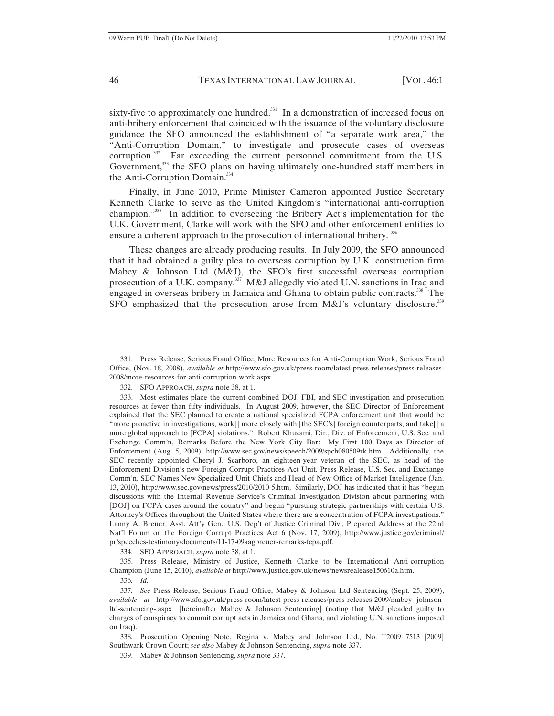sixty-five to approximately one hundred.<sup>331</sup> In a demonstration of increased focus on anti-bribery enforcement that coincided with the issuance of the voluntary disclosure guidance the SFO announced the establishment of "a separate work area," the "Anti-Corruption Domain," to investigate and prosecute cases of overseas corruption. $332$  Far exceeding the current personnel commitment from the U.S. Government,<sup>333</sup> the SFO plans on having ultimately one-hundred staff members in the Anti-Corruption Domain.<sup>334</sup>

Finally, in June 2010, Prime Minister Cameron appointed Justice Secretary Kenneth Clarke to serve as the United Kingdom's "international anti-corruption champion."<sup>335</sup> In addition to overseeing the Bribery Act's implementation for the U.K. Government, Clarke will work with the SFO and other enforcement entities to ensure a coherent approach to the prosecution of international bribery.<sup>336</sup>

These changes are already producing results. In July 2009, the SFO announced that it had obtained a guilty plea to overseas corruption by U.K. construction firm Mabey & Johnson Ltd (M&J), the SFO's first successful overseas corruption prosecution of a U.K. company.<sup>337</sup> M&J allegedly violated U.N. sanctions in Iraq and engaged in overseas bribery in Jamaica and Ghana to obtain public contracts.<sup>338</sup> The SFO emphasized that the prosecution arose from  $M&J's$  voluntary disclosure.<sup>339</sup>

334. SFO APPROACH, *supra* note 38, at 1.

335. Press Release, Ministry of Justice, Kenneth Clarke to be International Anti-corruption Champion (June 15, 2010), *available at* http://www.justice.gov.uk/news/newsrealease150610a.htm.

336*. Id.*

338*.* Prosecution Opening Note, Regina v. Mabey and Johnson Ltd., No. T2009 7513 [2009] Southwark Crown Court; *see also* Mabey & Johnson Sentencing, *supra* note 337.

339. Mabey & Johnson Sentencing, *supra* note 337.

<sup>331.</sup> Press Release, Serious Fraud Office, More Resources for Anti-Corruption Work, Serious Fraud Office, (Nov. 18, 2008), *available at* http://www.sfo.gov.uk/press-room/latest-press-releases/press-releases-2008/more-resources-for-anti-corruption-work.aspx.

<sup>332.</sup> SFO APPROACH, *supra* note 38, at 1.

<sup>333.</sup> Most estimates place the current combined DOJ, FBI, and SEC investigation and prosecution resources at fewer than fifty individuals. In August 2009, however, the SEC Director of Enforcement explained that the SEC planned to create a national specialized FCPA enforcement unit that would be "more proactive in investigations, work[] more closely with [the SEC's] foreign counterparts, and take[] a more global approach to [FCPA] violations." Robert Khuzami, Dir., Div. of Enforcement, U.S. Sec. and Exchange Comm'n, Remarks Before the New York City Bar: My First 100 Days as Director of Enforcement (Aug. 5, 2009), http://www.sec.gov/news/speech/2009/spch080509rk.htm. Additionally, the SEC recently appointed Cheryl J. Scarboro, an eighteen-year veteran of the SEC, as head of the Enforcement Division's new Foreign Corrupt Practices Act Unit. Press Release, U.S. Sec. and Exchange Comm'n, SEC Names New Specialized Unit Chiefs and Head of New Office of Market Intelligence (Jan. 13, 2010), http://www.sec.gov/news/press/2010/2010-5.htm. Similarly, DOJ has indicated that it has "begun discussions with the Internal Revenue Service's Criminal Investigation Division about partnering with [DOJ] on FCPA cases around the country" and begun "pursuing strategic partnerships with certain U.S. Attorney's Offices throughout the United States where there are a concentration of FCPA investigations." Lanny A. Breuer, Asst. Att'y Gen., U.S. Dep't of Justice Criminal Div., Prepared Address at the 22nd Nat'l Forum on the Foreign Corrupt Practices Act 6 (Nov. 17, 2009), http://www.justice.gov/criminal/ pr/speeches-testimony/documents/11-17-09aagbreuer-remarks-fcpa.pdf.

<sup>337</sup>*. See* Press Release, Serious Fraud Office, Mabey & Johnson Ltd Sentencing (Sept. 25, 2009), *available at* http://www.sfo.gov.uk/press-room/latest-press-releases/press-releases-2009/mabey--johnsonltd-sentencing-.aspx [hereinafter Mabey & Johnson Sentencing] (noting that M&J pleaded guilty to charges of conspiracy to commit corrupt acts in Jamaica and Ghana, and violating U.N. sanctions imposed on Iraq).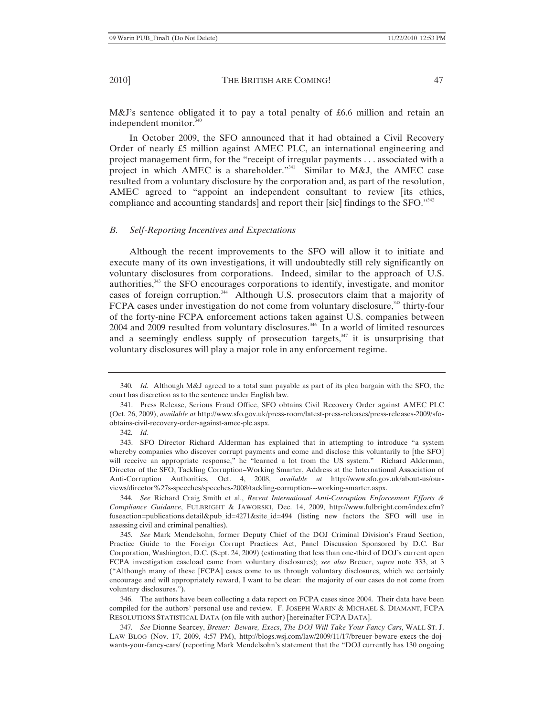In October 2009, the SFO announced that it had obtained a Civil Recovery Order of nearly £5 million against AMEC PLC, an international engineering and project management firm, for the "receipt of irregular payments . . . associated with a project in which AMEC is a shareholder."<sup>341</sup> Similar to M&J, the AMEC case resulted from a voluntary disclosure by the corporation and, as part of the resolution, AMEC agreed to "appoint an independent consultant to review [its ethics, compliance and accounting standards] and report their [sic] findings to the SFO."<sup>342</sup>

### *B. Self-Reporting Incentives and Expectations*

Although the recent improvements to the SFO will allow it to initiate and execute many of its own investigations, it will undoubtedly still rely significantly on voluntary disclosures from corporations. Indeed, similar to the approach of U.S. authorities,<sup>343</sup> the SFO encourages corporations to identify, investigate, and monitor cases of foreign corruption.<sup>344</sup> Although U.S. prosecutors claim that a majority of FCPA cases under investigation do not come from voluntary disclosure,<sup>345</sup> thirty-four of the forty-nine FCPA enforcement actions taken against U.S. companies between  $2004$  and  $2009$  resulted from voluntary disclosures.<sup>346</sup> In a world of limited resources and a seemingly endless supply of prosecution targets, $347$  it is unsurprising that voluntary disclosures will play a major role in any enforcement regime.

342*. Id*.

344*. See* Richard Craig Smith et al., *Recent International Anti-Corruption Enforcement Efforts & Compliance Guidance*, FULBRIGHT & JAWORSKI, Dec. 14, 2009, http://www.fulbright.com/index.cfm? fuseaction=publications.detail&pub\_id=4271&site\_id=494 (listing new factors the SFO will use in assessing civil and criminal penalties).

345*. See* Mark Mendelsohn, former Deputy Chief of the DOJ Criminal Division's Fraud Section, Practice Guide to the Foreign Corrupt Practices Act, Panel Discussion Sponsored by D.C. Bar Corporation, Washington, D.C. (Sept. 24, 2009) (estimating that less than one-third of DOJ's current open FCPA investigation caseload came from voluntary disclosures); *see also* Breuer, *supra* note 333, at 3 ("Although many of these [FCPA] cases come to us through voluntary disclosures, which we certainly encourage and will appropriately reward, I want to be clear: the majority of our cases do not come from voluntary disclosures.").

346. The authors have been collecting a data report on FCPA cases since 2004. Their data have been compiled for the authors' personal use and review. F. JOSEPH WARIN & MICHAEL S. DIAMANT, FCPA RESOLUTIONS STATISTICAL DATA (on file with author) [hereinafter FCPA DATA].

347*. See* Dionne Searcey, *Breuer: Beware, Execs*, *The DOJ Will Take Your Fancy Cars*, WALL ST. J. LAW BLOG (Nov. 17, 2009, 4:57 PM), http://blogs.wsj.com/law/2009/11/17/breuer-beware-execs-the-dojwants-your-fancy-cars/ (reporting Mark Mendelsohn's statement that the "DOJ currently has 130 ongoing

<sup>340</sup>*. Id.* Although M&J agreed to a total sum payable as part of its plea bargain with the SFO, the court has discretion as to the sentence under English law.

<sup>341.</sup> Press Release, Serious Fraud Office, SFO obtains Civil Recovery Order against AMEC PLC (Oct. 26, 2009), *available at* http://www.sfo.gov.uk/press-room/latest-press-releases/press-releases-2009/sfoobtains-civil-recovery-order-against-amec-plc.aspx.

<sup>343.</sup> SFO Director Richard Alderman has explained that in attempting to introduce "a system whereby companies who discover corrupt payments and come and disclose this voluntarily to [the SFO] will receive an appropriate response," he "learned a lot from the US system." Richard Alderman, Director of the SFO, Tackling Corruption–Working Smarter, Address at the International Association of Anti-Corruption Authorities, Oct. 4, 2008, *available at* http://www.sfo.gov.uk/about-us/ourviews/director%27s-speeches/speeches-2008/tackling-corruption---working-smarter.aspx.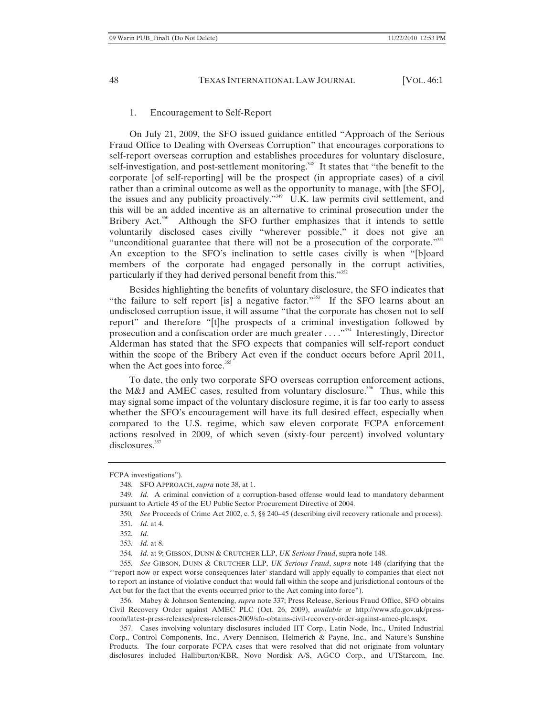### 1. Encouragement to Self-Report

On July 21, 2009, the SFO issued guidance entitled "Approach of the Serious Fraud Office to Dealing with Overseas Corruption" that encourages corporations to self-report overseas corruption and establishes procedures for voluntary disclosure, self-investigation, and post-settlement monitoring.<sup>348</sup> It states that "the benefit to the corporate [of self-reporting] will be the prospect (in appropriate cases) of a civil rather than a criminal outcome as well as the opportunity to manage, with [the SFO], the issues and any publicity proactively."349 U.K. law permits civil settlement, and this will be an added incentive as an alternative to criminal prosecution under the Bribery Act.<sup>350</sup> Although the SFO further emphasizes that it intends to settle voluntarily disclosed cases civilly "wherever possible," it does not give an "unconditional guarantee that there will not be a prosecution of the corporate."<sup>351</sup> An exception to the SFO's inclination to settle cases civilly is when "[b]oard members of the corporate had engaged personally in the corrupt activities, particularly if they had derived personal benefit from this."<sup>352</sup>

Besides highlighting the benefits of voluntary disclosure, the SFO indicates that "the failure to self report [is] a negative factor."<sup>353</sup> If the SFO learns about an undisclosed corruption issue, it will assume "that the corporate has chosen not to self report" and therefore "[t]he prospects of a criminal investigation followed by prosecution and a confiscation order are much greater . . . . "<sup>354</sup> Interestingly, Director Alderman has stated that the SFO expects that companies will self-report conduct within the scope of the Bribery Act even if the conduct occurs before April 2011, when the Act goes into force. $355$ 

To date, the only two corporate SFO overseas corruption enforcement actions, the M&J and AMEC cases, resulted from voluntary disclosure.<sup>356</sup> Thus, while this may signal some impact of the voluntary disclosure regime, it is far too early to assess whether the SFO's encouragement will have its full desired effect, especially when compared to the U.S. regime, which saw eleven corporate FCPA enforcement actions resolved in 2009, of which seven (sixty-four percent) involved voluntary disclosures.<sup>357</sup>

349. *Id.* A criminal conviction of a corruption-based offense would lead to mandatory debarment pursuant to Article 45 of the EU Public Sector Procurement Directive of 2004.

350*. See* Proceeds of Crime Act 2002, c. 5, §§ 240–45 (describing civil recovery rationale and process). 351*. Id.* at 4.

354*. Id.* at 9; GIBSON, DUNN & CRUTCHER LLP, *UK Serious Fraud*, supra note 148.

355*. See* GIBSON, DUNN & CRUTCHER LLP, *UK Serious Fraud*, *supra* note 148 (clarifying that the "'report now or expect worse consequences later' standard will apply equally to companies that elect not to report an instance of violative conduct that would fall within the scope and jurisdictional contours of the Act but for the fact that the events occurred prior to the Act coming into force").

356. Mabey & Johnson Sentencing, *supra* note 337; Press Release, Serious Fraud Office, SFO obtains Civil Recovery Order against AMEC PLC (Oct. 26, 2009), *available at* http://www.sfo.gov.uk/pressroom/latest-press-releases/press-releases-2009/sfo-obtains-civil-recovery-order-against-amec-plc.aspx.

357. Cases involving voluntary disclosures included IIT Corp., Latin Node, Inc., United Industrial Corp., Control Components, Inc., Avery Dennison, Helmerich & Payne, Inc., and Nature's Sunshine Products. The four corporate FCPA cases that were resolved that did not originate from voluntary disclosures included Halliburton/KBR, Novo Nordisk A/S, AGCO Corp., and UTStarcom, Inc.

FCPA investigations").

<sup>348.</sup> SFO APPROACH, *supra* note 38, at 1.

<sup>352</sup>*. Id.*

<sup>353</sup>*. Id.* at 8.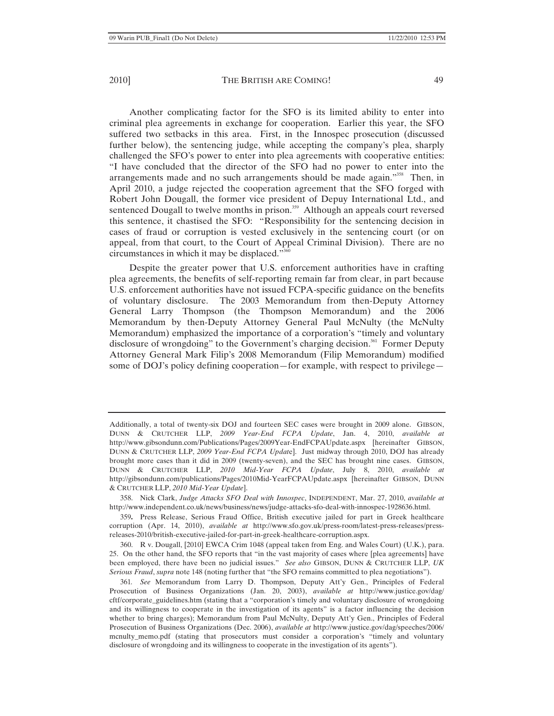Another complicating factor for the SFO is its limited ability to enter into criminal plea agreements in exchange for cooperation. Earlier this year, the SFO suffered two setbacks in this area. First, in the Innospec prosecution (discussed further below), the sentencing judge, while accepting the company's plea, sharply challenged the SFO's power to enter into plea agreements with cooperative entities: "I have concluded that the director of the SFO had no power to enter into the arrangements made and no such arrangements should be made again."<sup>358</sup> Then, in April 2010, a judge rejected the cooperation agreement that the SFO forged with Robert John Dougall, the former vice president of Depuy International Ltd., and sentenced Dougall to twelve months in prison.<sup>359</sup> Although an appeals court reversed this sentence, it chastised the SFO: "Responsibility for the sentencing decision in cases of fraud or corruption is vested exclusively in the sentencing court (or on appeal, from that court, to the Court of Appeal Criminal Division). There are no circumstances in which it may be displaced."360

Despite the greater power that U.S. enforcement authorities have in crafting plea agreements, the benefits of self-reporting remain far from clear, in part because U.S. enforcement authorities have not issued FCPA-specific guidance on the benefits of voluntary disclosure. The 2003 Memorandum from then-Deputy Attorney General Larry Thompson (the Thompson Memorandum) and the 2006 Memorandum by then-Deputy Attorney General Paul McNulty (the McNulty Memorandum) emphasized the importance of a corporation's "timely and voluntary disclosure of wrongdoing" to the Government's charging decision.<sup>361</sup> Former Deputy Attorney General Mark Filip's 2008 Memorandum (Filip Memorandum) modified some of DOJ's policy defining cooperation—for example, with respect to privilege—

360. R v. Dougall, [2010] EWCA Crim 1048 (appeal taken from Eng. and Wales Court) (U.K.), para. 25. On the other hand, the SFO reports that "in the vast majority of cases where [plea agreements] have been employed, there have been no judicial issues." *See also* GIBSON, DUNN & CRUTCHER LLP, *UK Serious Fraud*, *supra* note 148 (noting further that "the SFO remains committed to plea negotiations").

361*. See* Memorandum from Larry D. Thompson, Deputy Att'y Gen., Principles of Federal Prosecution of Business Organizations (Jan. 20, 2003), *available at* http://www.justice.gov/dag/ cftf/corporate\_guidelines.htm (stating that a "corporation's timely and voluntary disclosure of wrongdoing and its willingness to cooperate in the investigation of its agents" is a factor influencing the decision whether to bring charges); Memorandum from Paul McNulty, Deputy Att'y Gen., Principles of Federal Prosecution of Business Organizations (Dec. 2006), *available at* http://www.justice.gov/dag/speeches/2006/ mcnulty\_memo.pdf (stating that prosecutors must consider a corporation's "timely and voluntary disclosure of wrongdoing and its willingness to cooperate in the investigation of its agents").

Additionally, a total of twenty-six DOJ and fourteen SEC cases were brought in 2009 alone. GIBSON, DUNN & CRUTCHER LLP, *2009 Year-End FCPA Update*, Jan. 4, 2010, *available at* http://www.gibsondunn.com/Publications/Pages/2009Year-EndFCPAUpdate.aspx [hereinafter GIBSON, DUNN & CRUTCHER LLP, *2009 Year-End FCPA Updat*e]. Just midway through 2010, DOJ has already brought more cases than it did in 2009 (twenty-seven), and the SEC has brought nine cases. GIBSON, DUNN & CRUTCHER LLP, *2010 Mid-Year FCPA Update*, July 8, 2010, *available at*  http://gibsondunn.com/publications/Pages/2010Mid-YearFCPAUpdate.aspx [hereinafter GIBSON, DUNN & CRUTCHER LLP, *2010 Mid-Year Update*].

<sup>358.</sup> Nick Clark, *Judge Attacks SFO Deal with Innospec*, INDEPENDENT, Mar. 27, 2010, *available at* http://www.independent.co.uk/news/business/news/judge-attacks-sfo-deal-with-innospec-1928636.html.

<sup>359</sup>**.** Press Release, Serious Fraud Office, British executive jailed for part in Greek healthcare corruption (Apr. 14, 2010), *available at* http://www.sfo.gov.uk/press-room/latest-press-releases/pressreleases-2010/british-executive-jailed-for-part-in-greek-healthcare-corruption.aspx.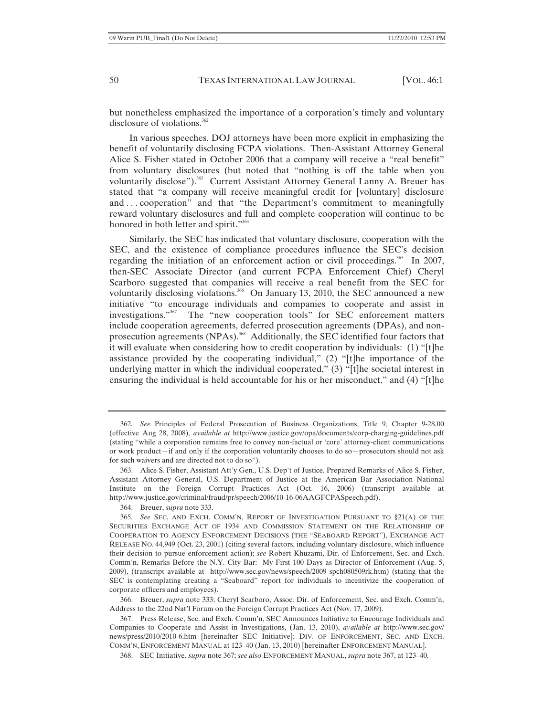but nonetheless emphasized the importance of a corporation's timely and voluntary disclosure of violations.<sup>362</sup>

In various speeches, DOJ attorneys have been more explicit in emphasizing the benefit of voluntarily disclosing FCPA violations. Then-Assistant Attorney General Alice S. Fisher stated in October 2006 that a company will receive a "real benefit" from voluntary disclosures (but noted that "nothing is off the table when you voluntarily disclose").<sup>363</sup> Current Assistant Attorney General Lanny A. Breuer has stated that "a company will receive meaningful credit for [voluntary] disclosure and ... cooperation" and that "the Department's commitment to meaningfully reward voluntary disclosures and full and complete cooperation will continue to be honored in both letter and spirit."<sup>364</sup>

Similarly, the SEC has indicated that voluntary disclosure, cooperation with the SEC, and the existence of compliance procedures influence the SEC's decision regarding the initiation of an enforcement action or civil proceedings.<sup>365</sup> In 2007, then-SEC Associate Director (and current FCPA Enforcement Chief) Cheryl Scarboro suggested that companies will receive a real benefit from the SEC for voluntarily disclosing violations.<sup>366</sup> On January 13, 2010, the SEC announced a new initiative "to encourage individuals and companies to cooperate and assist in investigations."367 The "new cooperation tools" for SEC enforcement matters include cooperation agreements, deferred prosecution agreements (DPAs), and nonprosecution agreements (NPAs).<sup>368</sup> Additionally, the SEC identified four factors that it will evaluate when considering how to credit cooperation by individuals: (1) "[t]he assistance provided by the cooperating individual," (2) "[t]he importance of the underlying matter in which the individual cooperated," (3) "[t]he societal interest in ensuring the individual is held accountable for his or her misconduct," and (4) "[t]he

366. Breuer, *supra* note 333; Cheryl Scarboro, Assoc. Dir. of Enforcement, Sec. and Exch. Comm'n, Address to the 22nd Nat'l Forum on the Foreign Corrupt Practices Act (Nov. 17, 2009).

367. Press Release, Sec. and Exch. Comm'n, SEC Announces Initiative to Encourage Individuals and Companies to Cooperate and Assist in Investigations, (Jan. 13, 2010), *available at* http://www.sec.gov/ news/press/2010/2010-6.htm [hereinafter SEC Initiative]; DIV. OF ENFORCEMENT, SEC. AND EXCH. COMM'N, ENFORCEMENT MANUAL at 123–40 (Jan. 13, 2010) [hereinafter ENFORCEMENT MANUAL].

368. SEC Initiative, *supra* note 367; *see also* ENFORCEMENT MANUAL, *supra* note 367, at 123–40.

<sup>362</sup>*. See* Principles of Federal Prosecution of Business Organizations, Title 9, Chapter 9-28.00 (effective Aug 28, 2008), *available at* http://www.justice.gov/opa/documents/corp-charging-guidelines.pdf (stating "while a corporation remains free to convey non-factual or 'core' attorney-client communications or work product—if and only if the corporation voluntarily chooses to do so—prosecutors should not ask for such waivers and are directed not to do so").

<sup>363.</sup> Alice S. Fisher, Assistant Att'y Gen., U.S. Dep't of Justice, Prepared Remarks of Alice S. Fisher, Assistant Attorney General, U.S. Department of Justice at the American Bar Association National Institute on the Foreign Corrupt Practices Act (Oct. 16, 2006) (transcript available at http://www.justice.gov/criminal/fraud/pr/speech/2006/10-16-06AAGFCPASpeech.pdf).

<sup>364.</sup> Breuer, *supra* note 333.

<sup>365</sup>*. See* SEC. AND EXCH. COMM'N, REPORT OF INVESTIGATION PURSUANT TO §21(A) OF THE SECURITIES EXCHANGE ACT OF 1934 AND COMMISSION STATEMENT ON THE RELATIONSHIP OF COOPERATION TO AGENCY ENFORCEMENT DECISIONS (THE "SEABOARD REPORT"), EXCHANGE ACT RELEASE NO. 44,949 (Oct. 23, 2001) (citing several factors, including voluntary disclosure, which influence their decision to pursue enforcement action); *see* Robert Khuzami, Dir. of Enforcement, Sec. and Exch. Comm'n, Remarks Before the N.Y. City Bar: My First 100 Days as Director of Enforcement (Aug. 5, 2009), (transcript available at http://www.sec.gov/news/speech/2009 spch080509rk.htm) (stating that the SEC is contemplating creating a "Seaboard" report for individuals to incentivize the cooperation of corporate officers and employees).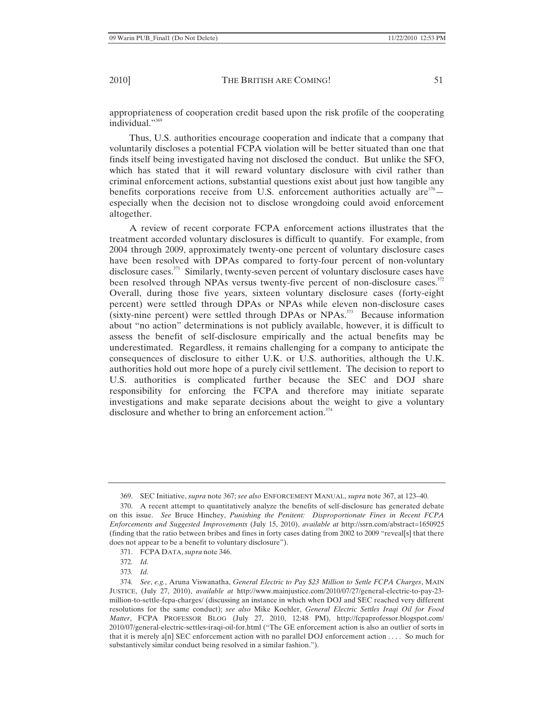appropriateness of cooperation credit based upon the risk profile of the cooperating individual."<sup>369</sup>

Thus, U.S. authorities encourage cooperation and indicate that a company that voluntarily discloses a potential FCPA violation will be better situated than one that finds itself being investigated having not disclosed the conduct. But unlike the SFO, which has stated that it will reward voluntary disclosure with civil rather than criminal enforcement actions, substantial questions exist about just how tangible any benefits corporations receive from U.S. enforcement authorities actually are $370$ especially when the decision not to disclose wrongdoing could avoid enforcement altogether.

A review of recent corporate FCPA enforcement actions illustrates that the treatment accorded voluntary disclosures is difficult to quantify. For example, from 2004 through 2009, approximately twenty-one percent of voluntary disclosure cases have been resolved with DPAs compared to forty-four percent of non-voluntary disclosure cases.<sup>371</sup> Similarly, twenty-seven percent of voluntary disclosure cases have been resolved through NPAs versus twenty-five percent of non-disclosure cases.<sup>372</sup> Overall, during those five years, sixteen voluntary disclosure cases (forty-eight percent) were settled through DPAs or NPAs while eleven non-disclosure cases  $(sixty-nine percent)$  were settled through DPAs or NPAs.<sup>373</sup> Because information about "no action" determinations is not publicly available, however, it is difficult to assess the benefit of self-disclosure empirically and the actual benefits may be underestimated. Regardless, it remains challenging for a company to anticipate the consequences of disclosure to either U.K. or U.S. authorities, although the U.K. authorities hold out more hope of a purely civil settlement. The decision to report to U.S. authorities is complicated further because the SEC and DOJ share responsibility for enforcing the FCPA and therefore may initiate separate investigations and make separate decisions about the weight to give a voluntary disclosure and whether to bring an enforcement action.<sup>374</sup>

<sup>369.</sup> SEC Initiative, *supra* note 367; *see also* ENFORCEMENT MANUAL, *supra* note 367, at 123–40.

<sup>370.</sup> A recent attempt to quantitatively analyze the benefits of self-disclosure has generated debate on this issue. *See* Bruce Hinchey, *Punishing the Penitent: Disproportionate Fines in Recent FCPA Enforcements and Suggested Improvements* (July 15, 2010), *available at* http://ssrn.com/abstract=1650925 (finding that the ratio between bribes and fines in forty cases dating from 2002 to 2009 "reveal[s] that there does not appear to be a benefit to voluntary disclosure").

<sup>371.</sup> FCPA DATA, *supra* note 346.

<sup>372</sup>*. Id.*

<sup>373</sup>*. Id.*

<sup>374</sup>*. See*, *e.g.*, Aruna Viswanatha, *General Electric to Pay \$23 Million to Settle FCPA Charges*, MAIN JUSTICE, (July 27, 2010), *available at* http://www.mainjustice.com/2010/07/27/general-electric-to-pay-23 million-to-settle-fcpa-charges/ (discussing an instance in which when DOJ and SEC reached very different resolutions for the same conduct); *see also* Mike Koehler, *General Electric Settles Iraqi Oil for Food Matter*, FCPA PROFESSOR BLOG (July 27, 2010, 12:48 PM), http://fcpaprofessor.blogspot.com/ 2010/07/general-electric-settles-iraqi-oil-for.html ("The GE enforcement action is also an outlier of sorts in that it is merely a[n] SEC enforcement action with no parallel DOJ enforcement action . . . . So much for substantively similar conduct being resolved in a similar fashion.").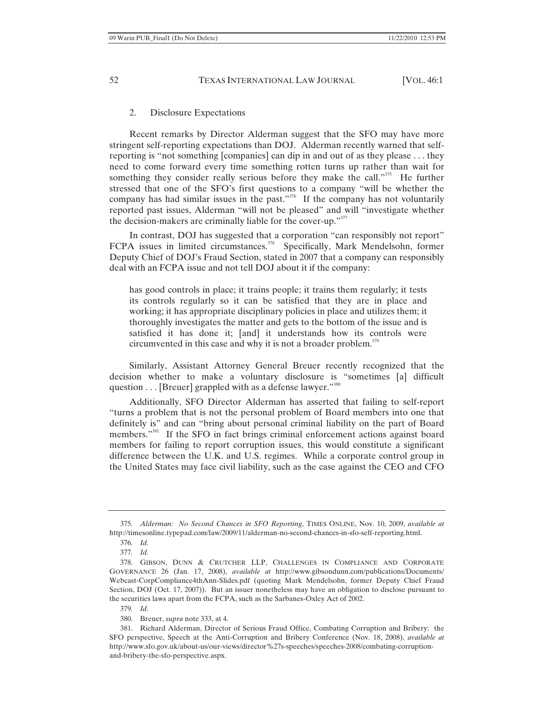### 2. Disclosure Expectations

Recent remarks by Director Alderman suggest that the SFO may have more stringent self-reporting expectations than DOJ. Alderman recently warned that selfreporting is "not something [companies] can dip in and out of as they please . . . they need to come forward every time something rotten turns up rather than wait for something they consider really serious before they make the call."<sup>375</sup> He further stressed that one of the SFO's first questions to a company "will be whether the company has had similar issues in the past."<sup>376</sup> If the company has not voluntarily reported past issues, Alderman "will not be pleased" and will "investigate whether the decision-makers are criminally liable for the cover-up."377

In contrast, DOJ has suggested that a corporation "can responsibly not report" FCPA issues in limited circumstances.<sup>378</sup> Specifically, Mark Mendelsohn, former Deputy Chief of DOJ's Fraud Section, stated in 2007 that a company can responsibly deal with an FCPA issue and not tell DOJ about it if the company:

has good controls in place; it trains people; it trains them regularly; it tests its controls regularly so it can be satisfied that they are in place and working; it has appropriate disciplinary policies in place and utilizes them; it thoroughly investigates the matter and gets to the bottom of the issue and is satisfied it has done it; [and] it understands how its controls were circumvented in this case and why it is not a broader problem. $^{379}$ 

Similarly, Assistant Attorney General Breuer recently recognized that the decision whether to make a voluntary disclosure is "sometimes [a] difficult question . . . [Breuer] grappled with as a defense lawyer."<sup>380</sup>

Additionally, SFO Director Alderman has asserted that failing to self-report "turns a problem that is not the personal problem of Board members into one that definitely is" and can "bring about personal criminal liability on the part of Board members."381 If the SFO in fact brings criminal enforcement actions against board members for failing to report corruption issues, this would constitute a significant difference between the U.K. and U.S. regimes. While a corporate control group in the United States may face civil liability, such as the case against the CEO and CFO

377*. Id.*

<sup>375</sup>*. Alderman: No Second Chances in SFO Reporting*, TIMES ONLINE, Nov. 10, 2009, *available at* http://timesonline.typepad.com/law/2009/11/alderman-no-second-chances-in-sfo-self-reporting.html.

<sup>376</sup>*. Id.*

<sup>378.</sup> GIBSON, DUNN & CRUTCHER LLP, CHALLENGES IN COMPLIANCE AND CORPORATE GOVERNANCE 26 (Jan. 17, 2008), *available at* http://www.gibsondunn.com/publications/Documents/ Webcast-CorpCompliance4thAnn-Slides.pdf (quoting Mark Mendelsohn, former Deputy Chief Fraud Section, DOJ (Oct. 17, 2007)). But an issuer nonetheless may have an obligation to disclose pursuant to the securities laws apart from the FCPA, such as the Sarbanes-Oxley Act of 2002.

<sup>379</sup>*. Id.*

<sup>380.</sup> Breuer, *supra* note 333, at 4.

<sup>381.</sup> Richard Alderman, Director of Serious Fraud Office, Combating Corruption and Bribery: the SFO perspective, Speech at the Anti-Corruption and Bribery Conference (Nov. 18, 2008), *available at* http://www.sfo.gov.uk/about-us/our-views/director%27s-speeches/speeches-2008/combating-corruptionand-bribery-the-sfo-perspective.aspx.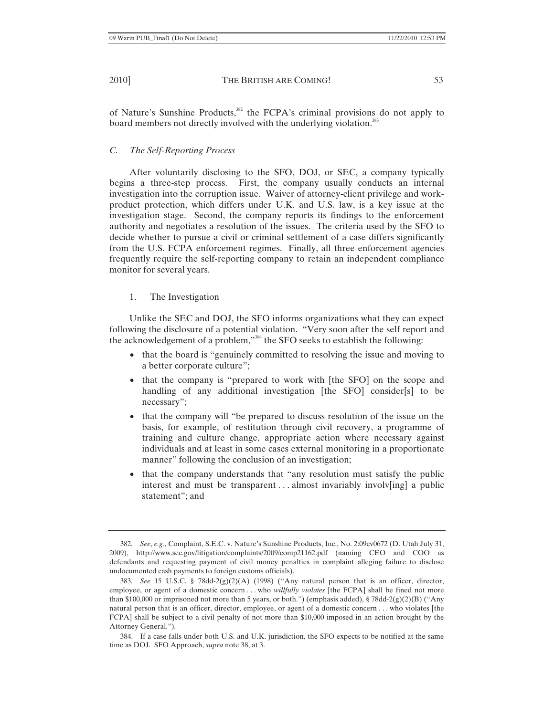of Nature's Sunshine Products,<sup>382</sup> the FCPA's criminal provisions do not apply to board members not directly involved with the underlying violation.<sup>383</sup>

# *C. The Self-Reporting Process*

After voluntarily disclosing to the SFO, DOJ, or SEC, a company typically begins a three-step process. First, the company usually conducts an internal investigation into the corruption issue. Waiver of attorney-client privilege and workproduct protection, which differs under U.K. and U.S. law, is a key issue at the investigation stage. Second, the company reports its findings to the enforcement authority and negotiates a resolution of the issues. The criteria used by the SFO to decide whether to pursue a civil or criminal settlement of a case differs significantly from the U.S. FCPA enforcement regimes. Finally, all three enforcement agencies frequently require the self-reporting company to retain an independent compliance monitor for several years.

# 1. The Investigation

Unlike the SEC and DOJ, the SFO informs organizations what they can expect following the disclosure of a potential violation. "Very soon after the self report and the acknowledgement of a problem,"384 the SFO seeks to establish the following:

- that the board is "genuinely committed to resolving the issue and moving to a better corporate culture";
- that the company is "prepared to work with [the SFO] on the scope and handling of any additional investigation [the SFO] consider[s] to be necessary";
- that the company will "be prepared to discuss resolution of the issue on the basis, for example, of restitution through civil recovery, a programme of training and culture change, appropriate action where necessary against individuals and at least in some cases external monitoring in a proportionate manner" following the conclusion of an investigation;
- that the company understands that "any resolution must satisfy the public interest and must be transparent . . . almost invariably involv[ing] a public statement"; and

<sup>382</sup>*. See*, *e.g.*, Complaint, S.E.C. v. Nature's Sunshine Products, Inc., No. 2:09cv0672 (D. Utah July 31, 2009), http://www.sec.gov/litigation/complaints/2009/comp21162.pdf (naming CEO and COO as defendants and requesting payment of civil money penalties in complaint alleging failure to disclose undocumented cash payments to foreign customs officials).

<sup>383</sup>*. See* 15 U.S.C. § 78dd-2(g)(2)(A) (1998) ("Any natural person that is an officer, director, employee, or agent of a domestic concern . . . who *willfully violates* [the FCPA] shall be fined not more than \$100,000 or imprisoned not more than 5 years, or both.") (emphasis added),  $\S$  78dd-2(g)(2)(B) ("Any natural person that is an officer, director, employee, or agent of a domestic concern . . . who violates [the FCPA] shall be subject to a civil penalty of not more than \$10,000 imposed in an action brought by the Attorney General.").

<sup>384.</sup> If a case falls under both U.S. and U.K. jurisdiction, the SFO expects to be notified at the same time as DOJ. SFO Approach, *supra* note 38, at 3.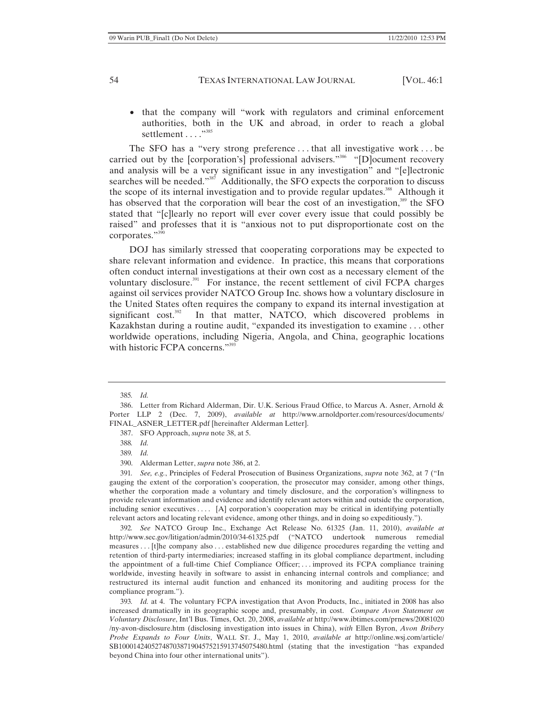• that the company will "work with regulators and criminal enforcement authorities, both in the UK and abroad, in order to reach a global settlement . . . . "<sup>385</sup>

The SFO has a "very strong preference . . . that all investigative work . . . be carried out by the [corporation's] professional advisers."<sup>386</sup> "[D]ocument recovery and analysis will be a very significant issue in any investigation" and "[e]lectronic searches will be needed."<sup>387</sup> Additionally, the SFO expects the corporation to discuss the scope of its internal investigation and to provide regular updates.<sup>388</sup> Although it has observed that the corporation will bear the cost of an investigation,<sup>389</sup> the SFO stated that "[c]learly no report will ever cover every issue that could possibly be raised" and professes that it is "anxious not to put disproportionate cost on the corporates."<sup>390</sup>

DOJ has similarly stressed that cooperating corporations may be expected to share relevant information and evidence. In practice, this means that corporations often conduct internal investigations at their own cost as a necessary element of the voluntary disclosure. $391$  For instance, the recent settlement of civil FCPA charges against oil services provider NATCO Group Inc. shows how a voluntary disclosure in the United States often requires the company to expand its internal investigation at significant  $cost.^{392}$  In that matter, NATCO, which discovered problems in Kazakhstan during a routine audit, "expanded its investigation to examine . . . other worldwide operations, including Nigeria, Angola, and China, geographic locations with historic FCPA concerns."<sup>393</sup>

391*. See, e.g.*, Principles of Federal Prosecution of Business Organizations, *supra* note 362, at 7 ("In gauging the extent of the corporation's cooperation, the prosecutor may consider, among other things, whether the corporation made a voluntary and timely disclosure, and the corporation's willingness to provide relevant information and evidence and identify relevant actors within and outside the corporation, including senior executives . . . . [A] corporation's cooperation may be critical in identifying potentially relevant actors and locating relevant evidence, among other things, and in doing so expeditiously.").

392*. See* NATCO Group Inc., Exchange Act Release No. 61325 (Jan. 11, 2010), *available at* http://www.sec.gov/litigation/admin/2010/34-61325.pdf ("NATCO undertook numerous remedial measures . . . [t]he company also . . . established new due diligence procedures regarding the vetting and retention of third-party intermediaries; increased staffing in its global compliance department, including the appointment of a full-time Chief Compliance Officer; . . . improved its FCPA compliance training worldwide, investing heavily in software to assist in enhancing internal controls and compliance; and restructured its internal audit function and enhanced its monitoring and auditing process for the compliance program.").

393*. Id.* at 4. The voluntary FCPA investigation that Avon Products, Inc., initiated in 2008 has also increased dramatically in its geographic scope and, presumably, in cost. *Compare Avon Statement on Voluntary Disclosure*, Int'l Bus. Times, Oct. 20, 2008, *available at* http://www.ibtimes.com/prnews/20081020 /ny-avon-disclosure.htm (disclosing investigation into issues in China), *with* Ellen Byron, *Avon Bribery Probe Expands to Four Units*, WALL ST. J., May 1, 2010, *available at* http://online.wsj.com/article/ SB10001424052748703871904575215913745075480.html (stating that the investigation "has expanded beyond China into four other international units").

<sup>385</sup>*. Id.*

<sup>386.</sup> Letter from Richard Alderman, Dir. U.K. Serious Fraud Office, to Marcus A. Asner, Arnold & Porter LLP 2 (Dec. 7, 2009), *available at* http://www.arnoldporter.com/resources/documents/ FINAL\_ASNER\_LETTER.pdf [hereinafter Alderman Letter].

<sup>387.</sup> SFO Approach, *supra* note 38, at 5.

<sup>388</sup>*. Id.*

<sup>389</sup>*. Id.*

<sup>390.</sup> Alderman Letter, *supra* note 386, at 2.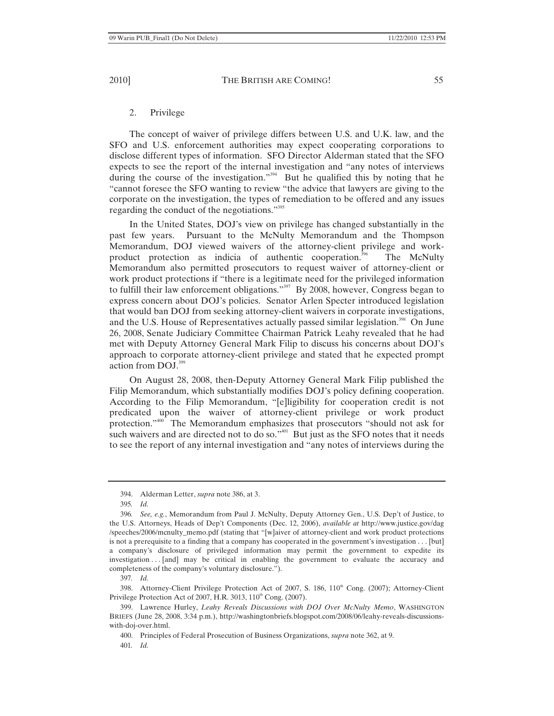### 2. Privilege

The concept of waiver of privilege differs between U.S. and U.K. law, and the SFO and U.S. enforcement authorities may expect cooperating corporations to disclose different types of information. SFO Director Alderman stated that the SFO expects to see the report of the internal investigation and "any notes of interviews during the course of the investigation."<sup>394</sup> But he qualified this by noting that he "cannot foresee the SFO wanting to review "the advice that lawyers are giving to the corporate on the investigation, the types of remediation to be offered and any issues regarding the conduct of the negotiations."395

In the United States, DOJ's view on privilege has changed substantially in the past few years. Pursuant to the McNulty Memorandum and the Thompson Memorandum, DOJ viewed waivers of the attorney-client privilege and workproduct protection as indicia of authentic cooperation.396 The McNulty Memorandum also permitted prosecutors to request waiver of attorney-client or work product protections if "there is a legitimate need for the privileged information to fulfill their law enforcement obligations."<sup>397</sup> By 2008, however, Congress began to express concern about DOJ's policies. Senator Arlen Specter introduced legislation that would ban DOJ from seeking attorney-client waivers in corporate investigations, and the U.S. House of Representatives actually passed similar legislation.<sup>398</sup> On June 26, 2008, Senate Judiciary Committee Chairman Patrick Leahy revealed that he had met with Deputy Attorney General Mark Filip to discuss his concerns about DOJ's approach to corporate attorney-client privilege and stated that he expected prompt action from DOJ.399

On August 28, 2008, then-Deputy Attorney General Mark Filip published the Filip Memorandum, which substantially modifies DOJ's policy defining cooperation. According to the Filip Memorandum, "[e]ligibility for cooperation credit is not predicated upon the waiver of attorney-client privilege or work product protection."400 The Memorandum emphasizes that prosecutors "should not ask for such waivers and are directed not to do so."<sup>401</sup> But just as the SFO notes that it needs to see the report of any internal investigation and "any notes of interviews during the

<sup>394.</sup> Alderman Letter, *supra* note 386, at 3.

<sup>395</sup>*. Id.* 

<sup>396</sup>*. See, e.g.*, Memorandum from Paul J. McNulty, Deputy Attorney Gen., U.S. Dep't of Justice, to the U.S. Attorneys, Heads of Dep't Components (Dec. 12, 2006), *available at* http://www.justice.gov/dag /speeches/2006/mcnulty\_memo.pdf (stating that "[w]aiver of attorney-client and work product protections is not a prerequisite to a finding that a company has cooperated in the government's investigation . . . [but] a company's disclosure of privileged information may permit the government to expedite its investigation . . . [and] may be critical in enabling the government to evaluate the accuracy and completeness of the company's voluntary disclosure.").

<sup>397</sup>*. Id.*

<sup>398.</sup> Attorney-Client Privilege Protection Act of 2007, S.  $186$ ,  $110<sup>th</sup>$  Cong. (2007); Attorney-Client Privilege Protection Act of 2007, H.R. 3013, 110<sup>th</sup> Cong. (2007).

<sup>399.</sup> Lawrence Hurley, *Leahy Reveals Discussions with DOJ Over McNulty Memo*, WASHINGTON BRIEFS (June 28, 2008, 3:34 p.m.), http://washingtonbriefs.blogspot.com/2008/06/leahy-reveals-discussionswith-doj-over.html.

<sup>400.</sup> Principles of Federal Prosecution of Business Organizations, *supra* note 362, at 9.

<sup>401</sup>*. Id.*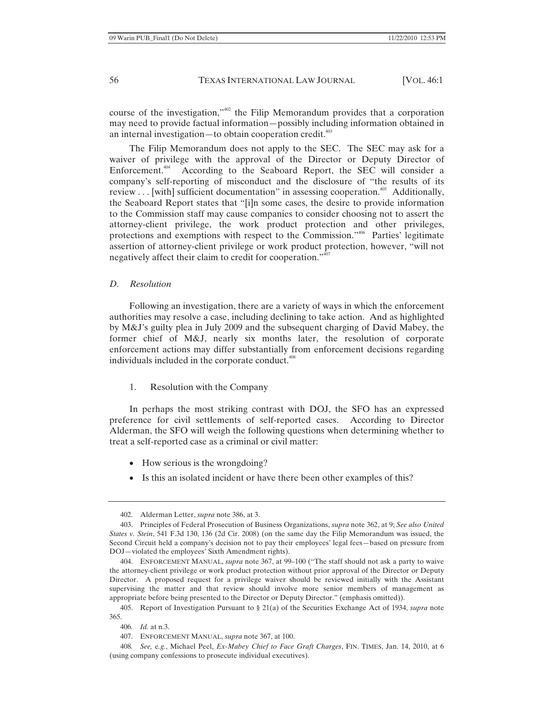course of the investigation,"402 the Filip Memorandum provides that a corporation may need to provide factual information—possibly including information obtained in an internal investigation—to obtain cooperation credit. $403$ 

The Filip Memorandum does not apply to the SEC. The SEC may ask for a waiver of privilege with the approval of the Director or Deputy Director of Enforcement.<sup>404</sup> According to the Seaboard Report, the SEC will consider a company's self-reporting of misconduct and the disclosure of "the results of its review  $\dots$  [with] sufficient documentation" in assessing cooperation.<sup>405</sup> Additionally, the Seaboard Report states that "[i]n some cases, the desire to provide information to the Commission staff may cause companies to consider choosing not to assert the attorney-client privilege, the work product protection and other privileges, protections and exemptions with respect to the Commission."<sup>406</sup> Parties' legitimate assertion of attorney-client privilege or work product protection, however, "will not negatively affect their claim to credit for cooperation."<sup>407</sup>

#### *D. Resolution*

Following an investigation, there are a variety of ways in which the enforcement authorities may resolve a case, including declining to take action. And as highlighted by M&J's guilty plea in July 2009 and the subsequent charging of David Mabey, the former chief of M&J, nearly six months later, the resolution of corporate enforcement actions may differ substantially from enforcement decisions regarding individuals included in the corporate conduct.<sup>408</sup>

1. Resolution with the Company

In perhaps the most striking contrast with DOJ, the SFO has an expressed preference for civil settlements of self-reported cases. According to Director Alderman, the SFO will weigh the following questions when determining whether to treat a self-reported case as a criminal or civil matter:

- How serious is the wrongdoing?
- Is this an isolated incident or have there been other examples of this?

<sup>402.</sup> Alderman Letter, *supra* note 386, at 3.

<sup>403.</sup> Principles of Federal Prosecution of Business Organizations, *supra* note 362, at 9; *See also United States v. Stein*, 541 F.3d 130, 136 (2d Cir. 2008) (on the same day the Filip Memorandum was issued, the Second Circuit held a company's decision not to pay their employees' legal fees—based on pressure from DOJ—violated the employees' Sixth Amendment rights).

<sup>404.</sup> ENFORCEMENT MANUAL, *supra* note 367, at 99–100 ("The staff should not ask a party to waive the attorney-client privilege or work product protection without prior approval of the Director or Deputy Director. A proposed request for a privilege waiver should be reviewed initially with the Assistant supervising the matter and that review should involve more senior members of management as appropriate before being presented to the Director or Deputy Director." (emphasis omitted)).

<sup>405.</sup> Report of Investigation Pursuant to § 21(a) of the Securities Exchange Act of 1934, *supra* note 365.

<sup>406</sup>*. Id.* at n.3.

<sup>407.</sup> ENFORCEMENT MANUAL, *supra* note 367, at 100.

<sup>408</sup>*. See,* e*.g.*, Michael Peel, *Ex-Mabey Chief to Face Graft Charges*, FIN. TIMES, Jan. 14, 2010, at 6 (using company confessions to prosecute individual executives).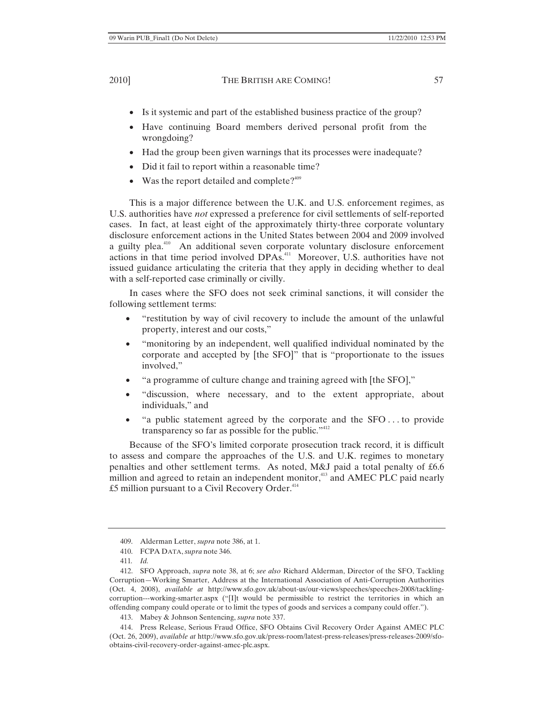- Is it systemic and part of the established business practice of the group?
- x Have continuing Board members derived personal profit from the wrongdoing?
- Had the group been given warnings that its processes were inadequate?
- Did it fail to report within a reasonable time?
- Was the report detailed and complete? $409$

This is a major difference between the U.K. and U.S. enforcement regimes, as U.S. authorities have *not* expressed a preference for civil settlements of self-reported cases. In fact, at least eight of the approximately thirty-three corporate voluntary disclosure enforcement actions in the United States between 2004 and 2009 involved a guilty plea.<sup>410</sup> An additional seven corporate voluntary disclosure enforcement actions in that time period involved DPAs.411 Moreover, U.S. authorities have not issued guidance articulating the criteria that they apply in deciding whether to deal with a self-reported case criminally or civilly.

In cases where the SFO does not seek criminal sanctions, it will consider the following settlement terms:

- "restitution by way of civil recovery to include the amount of the unlawful property, interest and our costs,"
- "monitoring by an independent, well qualified individual nominated by the corporate and accepted by [the SFO]" that is "proportionate to the issues involved,"
- "a programme of culture change and training agreed with [the SFO],"
- "discussion, where necessary, and to the extent appropriate, about individuals," and
- "a public statement agreed by the corporate and the  $SFO \dots$  to provide transparency so far as possible for the public." $412$

Because of the SFO's limited corporate prosecution track record, it is difficult to assess and compare the approaches of the U.S. and U.K. regimes to monetary penalties and other settlement terms. As noted, M&J paid a total penalty of £6.6 million and agreed to retain an independent monitor,<sup>413</sup> and AMEC PLC paid nearly  $£5$  million pursuant to a Civil Recovery Order. $^{414}$ 

<sup>409.</sup> Alderman Letter, *supra* note 386, at 1.

<sup>410.</sup> FCPA DATA, *supra* note 346.

<sup>411</sup>*. Id.*

<sup>412.</sup> SFO Approach, *supra* note 38, at 6; *see also* Richard Alderman, Director of the SFO, Tackling Corruption—Working Smarter, Address at the International Association of Anti-Corruption Authorities (Oct. 4, 2008), *available at* http://www.sfo.gov.uk/about-us/our-views/speeches/speeches-2008/tacklingcorruption---working-smarter.aspx ("[I]t would be permissible to restrict the territories in which an offending company could operate or to limit the types of goods and services a company could offer.").

<sup>413.</sup> Mabey & Johnson Sentencing, *supra* note 337.

<sup>414.</sup> Press Release, Serious Fraud Office, SFO Obtains Civil Recovery Order Against AMEC PLC (Oct. 26, 2009), *available at* http://www.sfo.gov.uk/press-room/latest-press-releases/press-releases-2009/sfoobtains-civil-recovery-order-against-amec-plc.aspx.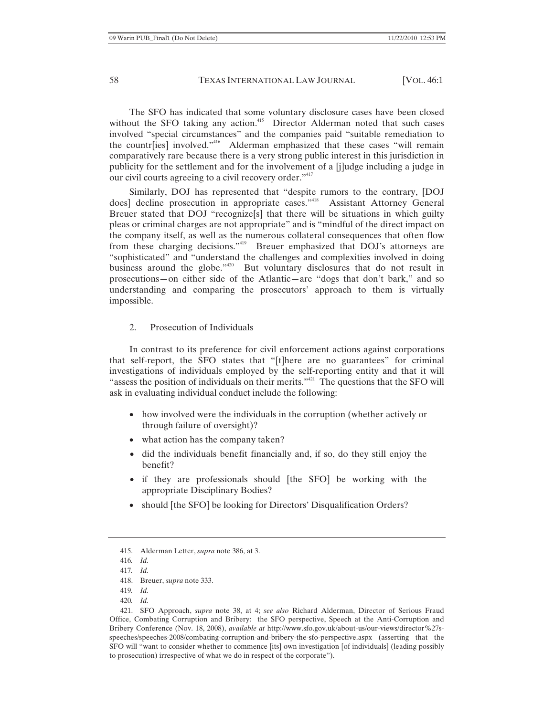The SFO has indicated that some voluntary disclosure cases have been closed without the SFO taking any action.<sup>415</sup> Director Alderman noted that such cases involved "special circumstances" and the companies paid "suitable remediation to the countr[ies] involved."<sup>416</sup> Alderman emphasized that these cases "will remain comparatively rare because there is a very strong public interest in this jurisdiction in publicity for the settlement and for the involvement of a [j]udge including a judge in our civil courts agreeing to a civil recovery order."<sup>417</sup>

Similarly, DOJ has represented that "despite rumors to the contrary, [DOJ does] decline prosecution in appropriate cases."<sup>418</sup> Assistant Attorney General Breuer stated that DOJ "recognize[s] that there will be situations in which guilty pleas or criminal charges are not appropriate" and is "mindful of the direct impact on the company itself, as well as the numerous collateral consequences that often flow from these charging decisions."<sup>419</sup> Breuer emphasized that DOJ's attorneys are "sophisticated" and "understand the challenges and complexities involved in doing business around the globe."<sup>420</sup> But voluntary disclosures that do not result in prosecutions—on either side of the Atlantic—are "dogs that don't bark," and so understanding and comparing the prosecutors' approach to them is virtually impossible.

2. Prosecution of Individuals

In contrast to its preference for civil enforcement actions against corporations that self-report, the SFO states that "[t]here are no guarantees" for criminal investigations of individuals employed by the self-reporting entity and that it will "assess the position of individuals on their merits."<sup>421</sup> The questions that the SFO will ask in evaluating individual conduct include the following:

- how involved were the individuals in the corruption (whether actively or through failure of oversight)?
- what action has the company taken?
- x did the individuals benefit financially and, if so, do they still enjoy the benefit?
- x if they are professionals should [the SFO] be working with the appropriate Disciplinary Bodies?
- should [the SFO] be looking for Directors' Disqualification Orders?

<sup>415.</sup> Alderman Letter, *supra* note 386, at 3.

<sup>416</sup>*. Id.*

<sup>417</sup>*. Id.*

<sup>418.</sup> Breuer, *supra* note 333.

<sup>419</sup>*. Id.*

<sup>420</sup>*. Id.*

<sup>421.</sup> SFO Approach, *supra* note 38, at 4; *see also* Richard Alderman, Director of Serious Fraud Office, Combating Corruption and Bribery: the SFO perspective, Speech at the Anti-Corruption and Bribery Conference (Nov. 18, 2008), *available at* http://www.sfo.gov.uk/about-us/our-views/director%27sspeeches/speeches-2008/combating-corruption-and-bribery-the-sfo-perspective.aspx (asserting that the SFO will "want to consider whether to commence [its] own investigation [of individuals] (leading possibly to prosecution) irrespective of what we do in respect of the corporate").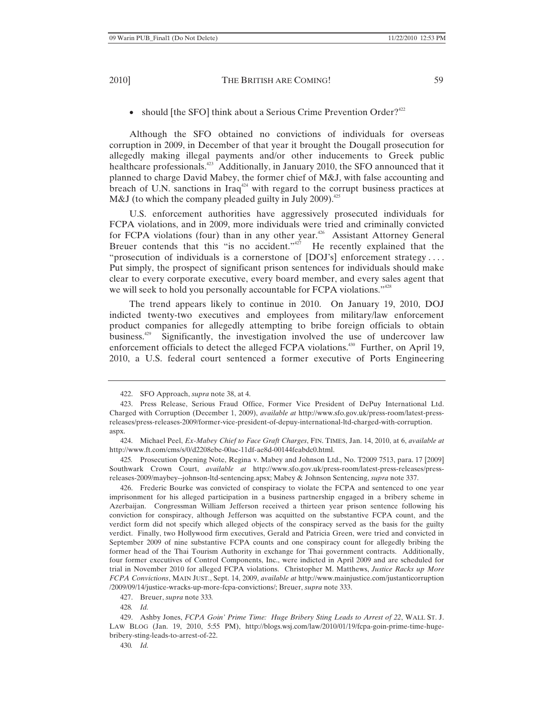• should [the SFO] think about a Serious Crime Prevention Order?<sup>422</sup>

Although the SFO obtained no convictions of individuals for overseas corruption in 2009, in December of that year it brought the Dougall prosecution for allegedly making illegal payments and/or other inducements to Greek public healthcare professionals.<sup>423</sup> Additionally, in January 2010, the SFO announced that it planned to charge David Mabey, the former chief of M&J, with false accounting and breach of U.N. sanctions in Iraq<sup>424</sup> with regard to the corrupt business practices at M&J (to which the company pleaded guilty in July 2009). $425$ 

U.S. enforcement authorities have aggressively prosecuted individuals for FCPA violations, and in 2009, more individuals were tried and criminally convicted for FCPA violations (four) than in any other year.<sup>426</sup> Assistant Attorney General Breuer contends that this "is no accident."<sup>427</sup> He recently explained that the Breuer contends that this "is no accident." $427$ "prosecution of individuals is a cornerstone of [DOJ's] enforcement strategy . . . . Put simply, the prospect of significant prison sentences for individuals should make clear to every corporate executive, every board member, and every sales agent that we will seek to hold you personally accountable for FCPA violations."<sup>428</sup>

The trend appears likely to continue in 2010. On January 19, 2010, DOJ indicted twenty-two executives and employees from military/law enforcement product companies for allegedly attempting to bribe foreign officials to obtain business.429 Significantly, the investigation involved the use of undercover law enforcement officials to detect the alleged FCPA violations.<sup>430</sup> Further, on April 19, 2010, a U.S. federal court sentenced a former executive of Ports Engineering

425*.* Prosecution Opening Note, Regina v. Mabey and Johnson Ltd., No. T2009 7513, para. 17 [2009] Southwark Crown Court, *available at* http://www.sfo.gov.uk/press-room/latest-press-releases/pressreleases-2009/maybey--johnson-ltd-sentencing.apsx; Mabey & Johnson Sentencing, *supra* note 337.

426. Frederic Bourke was convicted of conspiracy to violate the FCPA and sentenced to one year imprisonment for his alleged participation in a business partnership engaged in a bribery scheme in Azerbaijan. Congressman William Jefferson received a thirteen year prison sentence following his conviction for conspiracy, although Jefferson was acquitted on the substantive FCPA count, and the verdict form did not specify which alleged objects of the conspiracy served as the basis for the guilty verdict. Finally, two Hollywood firm executives, Gerald and Patricia Green, were tried and convicted in September 2009 of nine substantive FCPA counts and one conspiracy count for allegedly bribing the former head of the Thai Tourism Authority in exchange for Thai government contracts. Additionally, four former executives of Control Components, Inc., were indicted in April 2009 and are scheduled for trial in November 2010 for alleged FCPA violations. Christopher M. Matthews, *Justice Racks up More FCPA Convictions*, MAIN JUST., Sept. 14, 2009, *available at* http://www.mainjustice.com/justanticorruption /2009/09/14/justice-wracks-up-more-fcpa-convictions/; Breuer, *supra* note 333.

427. Breuer, *supra* note 333*.*

430*. Id.*

<sup>422.</sup> SFO Approach, *supra* note 38, at 4.

<sup>423.</sup> Press Release, Serious Fraud Office, Former Vice President of DePuy International Ltd. Charged with Corruption (December 1, 2009), *available at* http://www.sfo.gov.uk/press-room/latest-pressreleases/press-releases-2009/former-vice-president-of-depuy-international-ltd-charged-with-corruption. aspx.

<sup>424.</sup> Michael Peel, *Ex-Mabey Chief to Face Graft Charges*, FIN. TIMES, Jan. 14, 2010, at 6, *available at* http://www.ft.com/cms/s/0/d2208ebe-00ac-11df-ae8d-00144feabdc0.html.

<sup>428</sup>*. Id.*

<sup>429.</sup> Ashby Jones, *FCPA Goin' Prime Time: Huge Bribery Sting Leads to Arrest of 22*, WALL ST. J. LAW BLOG (Jan. 19, 2010, 5:55 PM), http://blogs.wsj.com/law/2010/01/19/fcpa-goin-prime-time-hugebribery-sting-leads-to-arrest-of-22.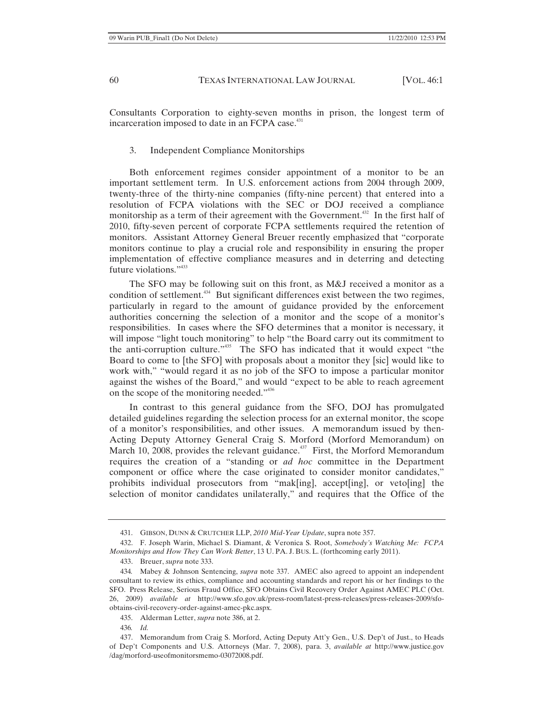Consultants Corporation to eighty-seven months in prison, the longest term of incarceration imposed to date in an FCPA case.<sup>431</sup>

### 3. Independent Compliance Monitorships

Both enforcement regimes consider appointment of a monitor to be an important settlement term. In U.S. enforcement actions from 2004 through 2009, twenty-three of the thirty-nine companies (fifty-nine percent) that entered into a resolution of FCPA violations with the SEC or DOJ received a compliance monitorship as a term of their agreement with the Government.<sup>432</sup> In the first half of 2010, fifty-seven percent of corporate FCPA settlements required the retention of monitors. Assistant Attorney General Breuer recently emphasized that "corporate monitors continue to play a crucial role and responsibility in ensuring the proper implementation of effective compliance measures and in deterring and detecting future violations."<sup>433</sup>

The SFO may be following suit on this front, as M&J received a monitor as a condition of settlement.<sup>434</sup> But significant differences exist between the two regimes, particularly in regard to the amount of guidance provided by the enforcement authorities concerning the selection of a monitor and the scope of a monitor's responsibilities. In cases where the SFO determines that a monitor is necessary, it will impose "light touch monitoring" to help "the Board carry out its commitment to the anti-corruption culture."435 The SFO has indicated that it would expect "the Board to come to [the SFO] with proposals about a monitor they [sic] would like to work with," "would regard it as no job of the SFO to impose a particular monitor against the wishes of the Board," and would "expect to be able to reach agreement on the scope of the monitoring needed."436

In contrast to this general guidance from the SFO, DOJ has promulgated detailed guidelines regarding the selection process for an external monitor, the scope of a monitor's responsibilities, and other issues. A memorandum issued by then-Acting Deputy Attorney General Craig S. Morford (Morford Memorandum) on March 10, 2008, provides the relevant guidance.<sup>437</sup> First, the Morford Memorandum requires the creation of a "standing or *ad hoc* committee in the Department component or office where the case originated to consider monitor candidates," prohibits individual prosecutors from "mak[ing], accept[ing], or veto[ing] the selection of monitor candidates unilaterally," and requires that the Office of the

<sup>431.</sup> GIBSON, DUNN & CRUTCHER LLP, *2010 Mid-Year Update*, supra note 357.

<sup>432.</sup> F. Joseph Warin, Michael S. Diamant, & Veronica S. Root, *Somebody's Watching Me: FCPA Monitorships and How They Can Work Better*, 13 U. PA. J. BUS. L. (forthcoming early 2011).

<sup>433.</sup> Breuer, *supra* note 333.

<sup>434</sup>*.* Mabey & Johnson Sentencing, *supra* note 337. AMEC also agreed to appoint an independent consultant to review its ethics, compliance and accounting standards and report his or her findings to the SFO. Press Release, Serious Fraud Office, SFO Obtains Civil Recovery Order Against AMEC PLC (Oct. 26, 2009) *available at* http://www.sfo.gov.uk/press-room/latest-press-releases/press-releases-2009/sfoobtains-civil-recovery-order-against-amec-pkc.aspx.

<sup>435.</sup> Alderman Letter, *supra* note 386, at 2.

<sup>436</sup>*. Id.*

<sup>437.</sup> Memorandum from Craig S. Morford, Acting Deputy Att'y Gen., U.S. Dep't of Just., to Heads of Dep't Components and U.S. Attorneys (Mar. 7, 2008), para. 3, *available at* http://www.justice.gov /dag/morford-useofmonitorsmemo-03072008.pdf.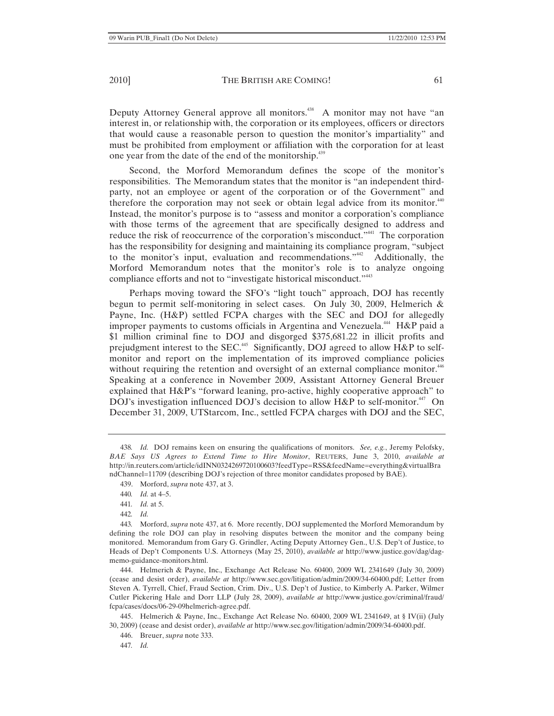Deputy Attorney General approve all monitors.<sup>438</sup> A monitor may not have "an interest in, or relationship with, the corporation or its employees, officers or directors that would cause a reasonable person to question the monitor's impartiality" and must be prohibited from employment or affiliation with the corporation for at least one year from the date of the end of the monitorship.439

Second, the Morford Memorandum defines the scope of the monitor's responsibilities. The Memorandum states that the monitor is "an independent thirdparty, not an employee or agent of the corporation or of the Government" and therefore the corporation may not seek or obtain legal advice from its monitor. $440$ Instead, the monitor's purpose is to "assess and monitor a corporation's compliance with those terms of the agreement that are specifically designed to address and reduce the risk of reoccurrence of the corporation's misconduct."<sup>441</sup> The corporation has the responsibility for designing and maintaining its compliance program, "subject to the monitor's input, evaluation and recommendations."<sup>442</sup> Additionally, the Morford Memorandum notes that the monitor's role is to analyze ongoing compliance efforts and not to "investigate historical misconduct."<sup>443</sup>

Perhaps moving toward the SFO's "light touch" approach, DOJ has recently begun to permit self-monitoring in select cases. On July 30, 2009, Helmerich & Payne, Inc. (H&P) settled FCPA charges with the SEC and DOJ for allegedly improper payments to customs officials in Argentina and Venezuela.<sup>444</sup> H&P paid a \$1 million criminal fine to DOJ and disgorged \$375,681.22 in illicit profits and prejudgment interest to the SEC.<sup>445</sup> Significantly, DOJ agreed to allow H&P to selfmonitor and report on the implementation of its improved compliance policies without requiring the retention and oversight of an external compliance monitor.<sup>446</sup> Speaking at a conference in November 2009, Assistant Attorney General Breuer explained that H&P's "forward leaning, pro-active, highly cooperative approach" to DOJ's investigation influenced DOJ's decision to allow H&P to self-monitor.<sup>447</sup> On December 31, 2009, UTStarcom, Inc., settled FCPA charges with DOJ and the SEC,

- 441*. Id.* at 5.
- 442*. Id.*

444. Helmerich & Payne, Inc., Exchange Act Release No. 60400, 2009 WL 2341649 (July 30, 2009) (cease and desist order), *available at* http://www.sec.gov/litigation/admin/2009/34-60400.pdf; Letter from Steven A. Tyrrell, Chief, Fraud Section, Crim. Div., U.S. Dep't of Justice, to Kimberly A. Parker, Wilmer Cutler Pickering Hale and Dorr LLP (July 28, 2009), *available at* http://www.justice.gov/criminal/fraud/ fcpa/cases/docs/06-29-09helmerich-agree.pdf.

445. Helmerich & Payne, Inc., Exchange Act Release No. 60400, 2009 WL 2341649, at § IV(ii) (July 30, 2009) (cease and desist order), *available at* http://www.sec.gov/litigation/admin/2009/34-60400.pdf.

446. Breuer, *supra* note 333.

447*. Id.*

<sup>438</sup>*. Id.* DOJ remains keen on ensuring the qualifications of monitors. *See, e.g.*, Jeremy Pelofsky, *BAE Says US Agrees to Extend Time to Hire Monitor*, REUTERS, June 3, 2010, *available at*  http://in.reuters.com/article/idINN0324269720100603?feedType=RSS&feedName=everything&virtualBra ndChannel=11709 (describing DOJ's rejection of three monitor candidates proposed by BAE).

<sup>439.</sup> Morford, *supra* note 437, at 3.

<sup>440</sup>*. Id.* at 4–5.

<sup>443</sup>*.* Morford, *supra* note 437, at 6. More recently, DOJ supplemented the Morford Memorandum by defining the role DOJ can play in resolving disputes between the monitor and the company being monitored. Memorandum from Gary G. Grindler, Acting Deputy Attorney Gen., U.S. Dep't of Justice, to Heads of Dep't Components U.S. Attorneys (May 25, 2010), *available at* http://www.justice.gov/dag/dagmemo-guidance-monitors.html.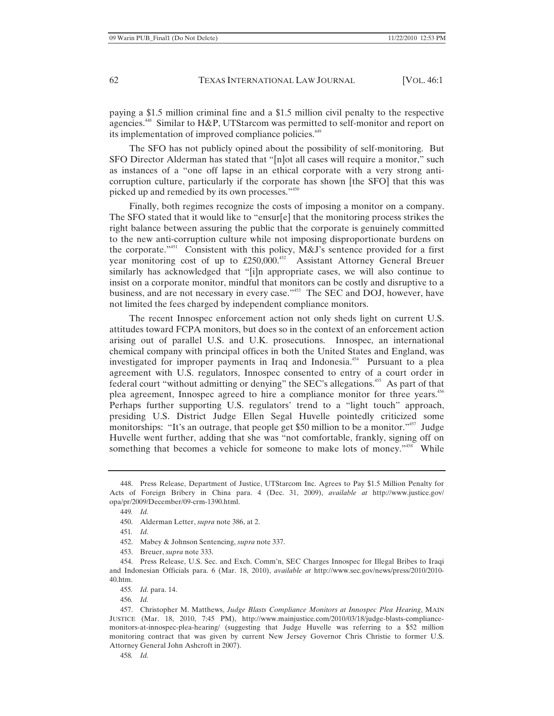paying a \$1.5 million criminal fine and a \$1.5 million civil penalty to the respective agencies.<sup>448</sup> Similar to H&P, UTStarcom was permitted to self-monitor and report on its implementation of improved compliance policies.<sup>449</sup>

The SFO has not publicly opined about the possibility of self-monitoring. But SFO Director Alderman has stated that "[n]ot all cases will require a monitor," such as instances of a "one off lapse in an ethical corporate with a very strong anticorruption culture, particularly if the corporate has shown [the SFO] that this was picked up and remedied by its own processes."<sup>450</sup>

Finally, both regimes recognize the costs of imposing a monitor on a company. The SFO stated that it would like to "ensur[e] that the monitoring process strikes the right balance between assuring the public that the corporate is genuinely committed to the new anti-corruption culture while not imposing disproportionate burdens on the corporate."451 Consistent with this policy, M&J's sentence provided for a first year monitoring cost of up to £250,000.<sup>452</sup> Assistant Attorney General Breuer similarly has acknowledged that "[i]n appropriate cases, we will also continue to insist on a corporate monitor, mindful that monitors can be costly and disruptive to a business, and are not necessary in every case."<sup>453</sup> The SEC and DOJ, however, have not limited the fees charged by independent compliance monitors.

The recent Innospec enforcement action not only sheds light on current U.S. attitudes toward FCPA monitors, but does so in the context of an enforcement action arising out of parallel U.S. and U.K. prosecutions. Innospec, an international chemical company with principal offices in both the United States and England, was investigated for improper payments in Iraq and Indonesia.<sup>454</sup> Pursuant to a plea agreement with U.S. regulators, Innospec consented to entry of a court order in federal court "without admitting or denying" the SEC's allegations.455 As part of that plea agreement, Innospec agreed to hire a compliance monitor for three years.<sup>456</sup> Perhaps further supporting U.S. regulators' trend to a "light touch" approach, presiding U.S. District Judge Ellen Segal Huvelle pointedly criticized some monitorships: "It's an outrage, that people get \$50 million to be a monitor."<sup>457</sup> Judge Huvelle went further, adding that she was "not comfortable, frankly, signing off on something that becomes a vehicle for someone to make lots of money."<sup>458</sup> While

458*. Id.*

<sup>448.</sup> Press Release, Department of Justice, UTStarcom Inc. Agrees to Pay \$1.5 Million Penalty for Acts of Foreign Bribery in China para. 4 (Dec. 31, 2009), *available at* http://www.justice.gov/ opa/pr/2009/December/09-crm-1390.html.

<sup>449</sup>*. Id.*

<sup>450.</sup> Alderman Letter, *supra* note 386, at 2.

<sup>451</sup>*. Id.*

<sup>452.</sup> Mabey & Johnson Sentencing, *supra* note 337.

<sup>453.</sup> Breuer, *supra* note 333.

<sup>454.</sup> Press Release, U.S. Sec. and Exch. Comm'n, SEC Charges Innospec for Illegal Bribes to Iraqi and Indonesian Officials para. 6 (Mar. 18, 2010), *available at* http://www.sec.gov/news/press/2010/2010- 40.htm.

<sup>455</sup>*. Id.* para. 14.

<sup>456</sup>*. Id.*

<sup>457.</sup> Christopher M. Matthews, *Judge Blasts Compliance Monitors at Innospec Plea Hearing*, MAIN JUSTICE (Mar. 18, 2010, 7:45 PM), http://www.mainjustice.com/2010/03/18/judge-blasts-compliancemonitors-at-innospec-plea-hearing/ (suggesting that Judge Huvelle was referring to a \$52 million monitoring contract that was given by current New Jersey Governor Chris Christie to former U.S. Attorney General John Ashcroft in 2007).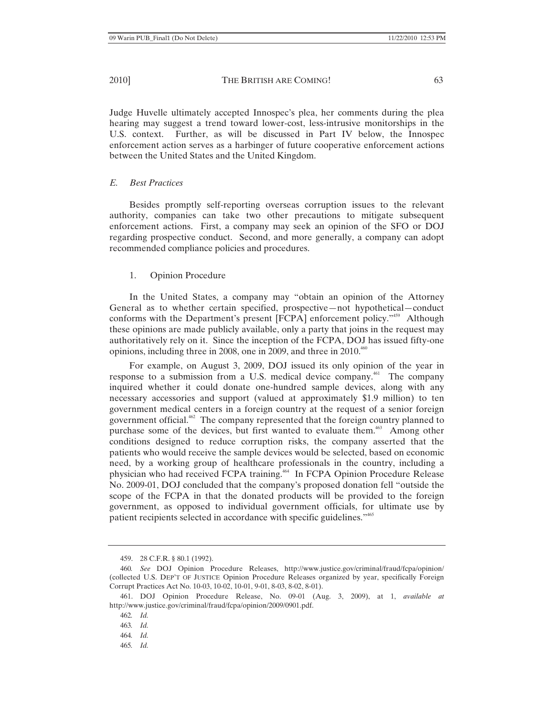Judge Huvelle ultimately accepted Innospec's plea, her comments during the plea hearing may suggest a trend toward lower-cost, less-intrusive monitorships in the U.S. context. Further, as will be discussed in Part IV below, the Innospec enforcement action serves as a harbinger of future cooperative enforcement actions

## *E. Best Practices*

Besides promptly self-reporting overseas corruption issues to the relevant authority, companies can take two other precautions to mitigate subsequent enforcement actions. First, a company may seek an opinion of the SFO or DOJ regarding prospective conduct. Second, and more generally, a company can adopt recommended compliance policies and procedures.

## 1. Opinion Procedure

between the United States and the United Kingdom.

In the United States, a company may "obtain an opinion of the Attorney General as to whether certain specified, prospective—not hypothetical—conduct conforms with the Department's present [FCPA] enforcement policy."<sup>459</sup> Although these opinions are made publicly available, only a party that joins in the request may authoritatively rely on it. Since the inception of the FCPA, DOJ has issued fifty-one opinions, including three in 2008, one in 2009, and three in 2010.<sup>460</sup>

For example, on August 3, 2009, DOJ issued its only opinion of the year in response to a submission from a U.S. medical device company.<sup>461</sup> The company inquired whether it could donate one-hundred sample devices, along with any necessary accessories and support (valued at approximately \$1.9 million) to ten government medical centers in a foreign country at the request of a senior foreign government official.462 The company represented that the foreign country planned to purchase some of the devices, but first wanted to evaluate them.<sup>463</sup> Among other conditions designed to reduce corruption risks, the company asserted that the patients who would receive the sample devices would be selected, based on economic need, by a working group of healthcare professionals in the country, including a physician who had received FCPA training.<sup>464</sup> In FCPA Opinion Procedure Release No. 2009-01, DOJ concluded that the company's proposed donation fell "outside the scope of the FCPA in that the donated products will be provided to the foreign government, as opposed to individual government officials, for ultimate use by patient recipients selected in accordance with specific guidelines."465

<sup>459. 28</sup> C.F.R. § 80.1 (1992).

<sup>460</sup>*. See* DOJ Opinion Procedure Releases, http://www.justice.gov/criminal/fraud/fcpa/opinion/ (collected U.S. DEP'T OF JUSTICE Opinion Procedure Releases organized by year, specifically Foreign Corrupt Practices Act No. 10-03, 10-02, 10-01, 9-01, 8-03, 8-02, 8-01).

<sup>461.</sup> DOJ Opinion Procedure Release, No. 09-01 (Aug. 3, 2009), at 1, *available at*  http://www.justice.gov/criminal/fraud/fcpa/opinion/2009/0901.pdf.

<sup>462</sup>*. Id.*

<sup>463</sup>*. Id.*

<sup>464</sup>*. Id.*

<sup>465</sup>*. Id.*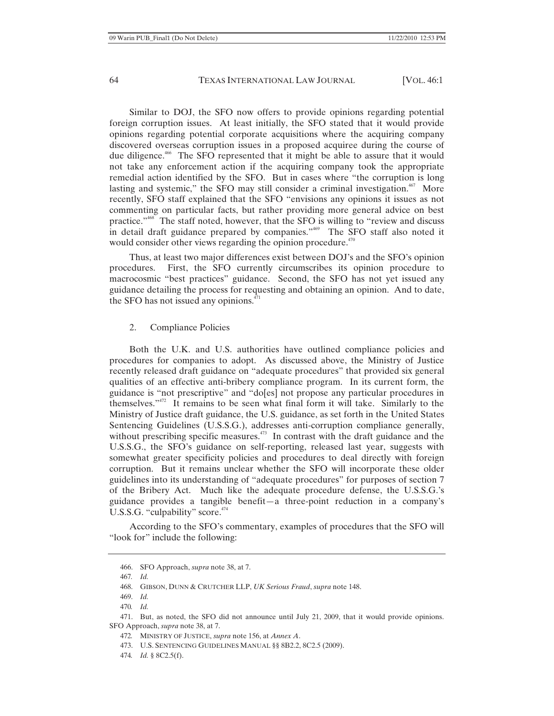Similar to DOJ, the SFO now offers to provide opinions regarding potential foreign corruption issues. At least initially, the SFO stated that it would provide opinions regarding potential corporate acquisitions where the acquiring company discovered overseas corruption issues in a proposed acquiree during the course of due diligence.466 The SFO represented that it might be able to assure that it would not take any enforcement action if the acquiring company took the appropriate remedial action identified by the SFO. But in cases where "the corruption is long lasting and systemic," the SFO may still consider a criminal investigation. $467$  More recently, SFO staff explained that the SFO "envisions any opinions it issues as not commenting on particular facts, but rather providing more general advice on best practice."468 The staff noted, however, that the SFO is willing to "review and discuss in detail draft guidance prepared by companies."<sup>469</sup> The SFO staff also noted it would consider other views regarding the opinion procedure. $470$ 

Thus, at least two major differences exist between DOJ's and the SFO's opinion procedures. First, the SFO currently circumscribes its opinion procedure to macrocosmic "best practices" guidance. Second, the SFO has not yet issued any guidance detailing the process for requesting and obtaining an opinion. And to date, the SFO has not issued any opinions. $471$ 

### 2. Compliance Policies

Both the U.K. and U.S. authorities have outlined compliance policies and procedures for companies to adopt. As discussed above, the Ministry of Justice recently released draft guidance on "adequate procedures" that provided six general qualities of an effective anti-bribery compliance program. In its current form, the guidance is "not prescriptive" and "do[es] not propose any particular procedures in themselves."472 It remains to be seen what final form it will take. Similarly to the Ministry of Justice draft guidance, the U.S. guidance, as set forth in the United States Sentencing Guidelines (U.S.S.G.), addresses anti-corruption compliance generally, without prescribing specific measures.<sup>473</sup> In contrast with the draft guidance and the U.S.S.G., the SFO's guidance on self-reporting, released last year, suggests with somewhat greater specificity policies and procedures to deal directly with foreign corruption. But it remains unclear whether the SFO will incorporate these older guidelines into its understanding of "adequate procedures" for purposes of section 7 of the Bribery Act. Much like the adequate procedure defense, the U.S.S.G.'s guidance provides a tangible benefit—a three-point reduction in a company's U.S.S.G. "culpability" score. $474$ 

According to the SFO's commentary, examples of procedures that the SFO will "look for" include the following:

<sup>466.</sup> SFO Approach, *supra* note 38, at 7.

<sup>467</sup>*. Id.*

<sup>468.</sup> GIBSON, DUNN & CRUTCHER LLP, *UK Serious Fraud*, *supra* note 148.

<sup>469.</sup> *Id.*

<sup>470</sup>*. Id.*

<sup>471.</sup> But, as noted, the SFO did not announce until July 21, 2009, that it would provide opinions. SFO Approach, *supra* note 38, at 7.

<sup>472</sup>*.* MINISTRY OF JUSTICE, *supra* note 156, at *Annex A*.

<sup>473.</sup> U.S. SENTENCING GUIDELINES MANUAL §§ 8B2.2, 8C2.5 (2009).

<sup>474</sup>*. Id.* § 8C2.5(f).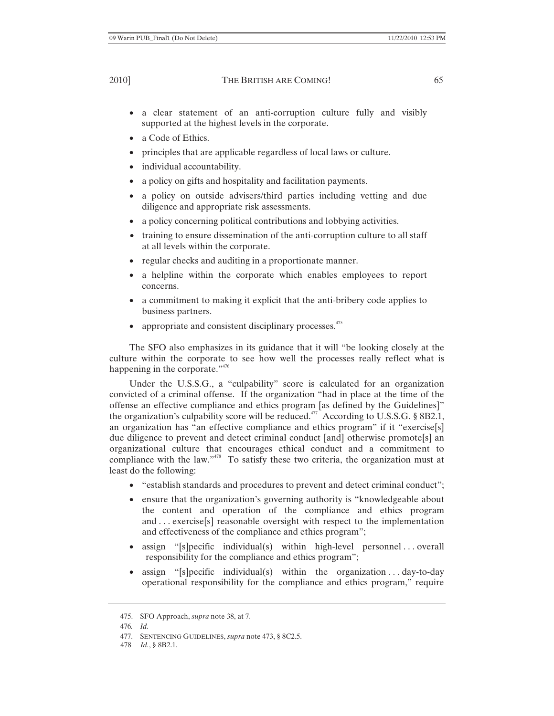- a clear statement of an anti-corruption culture fully and visibly supported at the highest levels in the corporate.
- a Code of Ethics.
- principles that are applicable regardless of local laws or culture.
- individual accountability.
- a policy on gifts and hospitality and facilitation payments.
- a policy on outside advisers/third parties including vetting and due diligence and appropriate risk assessments.
- a policy concerning political contributions and lobbying activities.
- training to ensure dissemination of the anti-corruption culture to all staff at all levels within the corporate.
- regular checks and auditing in a proportionate manner.
- a helpline within the corporate which enables employees to report concerns.
- a commitment to making it explicit that the anti-bribery code applies to business partners.
- appropriate and consistent disciplinary processes. $475$

The SFO also emphasizes in its guidance that it will "be looking closely at the culture within the corporate to see how well the processes really reflect what is happening in the corporate."<sup>476</sup>

Under the U.S.S.G., a "culpability" score is calculated for an organization convicted of a criminal offense. If the organization "had in place at the time of the offense an effective compliance and ethics program [as defined by the Guidelines]" the organization's culpability score will be reduced.<sup> $477$ </sup> According to U.S.S.G. § 8B2.1, an organization has "an effective compliance and ethics program" if it "exercise[s] due diligence to prevent and detect criminal conduct [and] otherwise promote[s] an organizational culture that encourages ethical conduct and a commitment to compliance with the law." $478$  To satisfy these two criteria, the organization must at least do the following:

- "establish standards and procedures to prevent and detect criminal conduct";
- ensure that the organization's governing authority is "knowledgeable about the content and operation of the compliance and ethics program and . . . exercise[s] reasonable oversight with respect to the implementation and effectiveness of the compliance and ethics program";
- assign " $[s]$  pecific individual(s) within high-level personnel . . . overall responsibility for the compliance and ethics program";
- assign "[s]pecific individual(s) within the organization . . . day-to-day operational responsibility for the compliance and ethics program," require

<sup>475.</sup> SFO Approach, *supra* note 38, at 7.

<sup>476</sup>*. Id.*

<sup>477.</sup> SENTENCING GUIDELINES, *supra* note 473, § 8C2.5.

<sup>478</sup> *Id.*, § 8B2.1.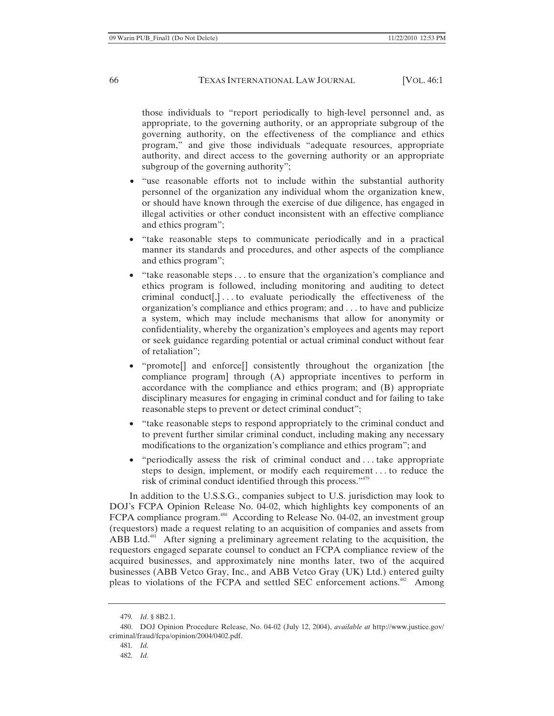those individuals to "report periodically to high-level personnel and, as appropriate, to the governing authority, or an appropriate subgroup of the governing authority, on the effectiveness of the compliance and ethics program," and give those individuals "adequate resources, appropriate authority, and direct access to the governing authority or an appropriate subgroup of the governing authority";

- "use reasonable efforts not to include within the substantial authority personnel of the organization any individual whom the organization knew, or should have known through the exercise of due diligence, has engaged in illegal activities or other conduct inconsistent with an effective compliance and ethics program";
- "take reasonable steps to communicate periodically and in a practical manner its standards and procedures, and other aspects of the compliance and ethics program";
- $\bullet$  "take reasonable steps  $\dots$  to ensure that the organization's compliance and ethics program is followed, including monitoring and auditing to detect criminal conduct[,] . . . to evaluate periodically the effectiveness of the organization's compliance and ethics program; and . . . to have and publicize a system, which may include mechanisms that allow for anonymity or confidentiality, whereby the organization's employees and agents may report or seek guidance regarding potential or actual criminal conduct without fear of retaliation";
- "promote<sup>[]</sup> and enforce<sup>[]</sup> consistently throughout the organization [the compliance program] through (A) appropriate incentives to perform in accordance with the compliance and ethics program; and (B) appropriate disciplinary measures for engaging in criminal conduct and for failing to take reasonable steps to prevent or detect criminal conduct";
- "take reasonable steps to respond appropriately to the criminal conduct and to prevent further similar criminal conduct, including making any necessary modifications to the organization's compliance and ethics program"; and
- $\bullet$  "periodically assess the risk of criminal conduct and ... take appropriate steps to design, implement, or modify each requirement . . . to reduce the risk of criminal conduct identified through this process."479

In addition to the U.S.S.G., companies subject to U.S. jurisdiction may look to DOJ's FCPA Opinion Release No. 04-02, which highlights key components of an FCPA compliance program.<sup>480</sup> According to Release No. 04-02, an investment group (requestors) made a request relating to an acquisition of companies and assets from ABB Ltd.<sup>481</sup> After signing a preliminary agreement relating to the acquisition, the requestors engaged separate counsel to conduct an FCPA compliance review of the acquired businesses, and approximately nine months later, two of the acquired businesses (ABB Vetco Gray, Inc., and ABB Vetco Gray (UK) Ltd.) entered guilty pleas to violations of the FCPA and settled SEC enforcement actions.<sup>482</sup> Among

<sup>479</sup>*. Id.* § 8B2.1.

<sup>480.</sup> DOJ Opinion Procedure Release, No. 04-02 (July 12, 2004), *available at* http://www.justice.gov/ criminal/fraud/fcpa/opinion/2004/0402.pdf.

<sup>481</sup>*. Id.*

<sup>482</sup>*. Id.*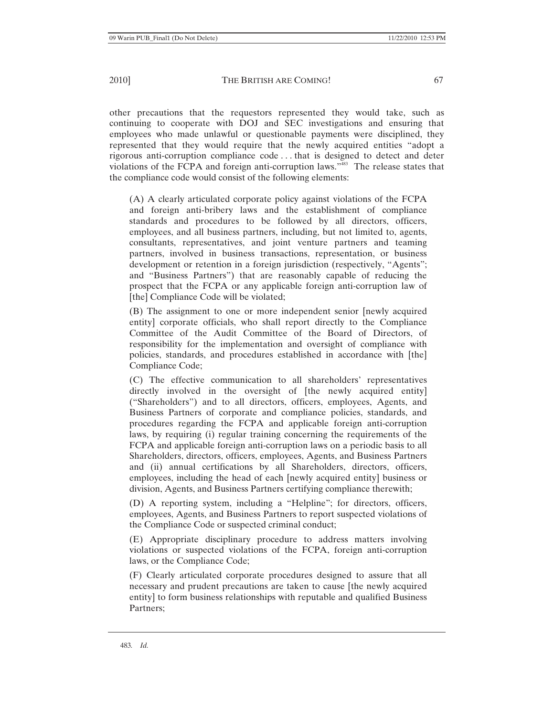other precautions that the requestors represented they would take, such as continuing to cooperate with DOJ and SEC investigations and ensuring that employees who made unlawful or questionable payments were disciplined, they represented that they would require that the newly acquired entities "adopt a rigorous anti-corruption compliance code . . . that is designed to detect and deter violations of the FCPA and foreign anti-corruption laws.<sup>3483</sup> The release states that the compliance code would consist of the following elements:

(A) A clearly articulated corporate policy against violations of the FCPA and foreign anti-bribery laws and the establishment of compliance standards and procedures to be followed by all directors, officers, employees, and all business partners, including, but not limited to, agents, consultants, representatives, and joint venture partners and teaming partners, involved in business transactions, representation, or business development or retention in a foreign jurisdiction (respectively, "Agents"; and "Business Partners") that are reasonably capable of reducing the prospect that the FCPA or any applicable foreign anti-corruption law of [the] Compliance Code will be violated;

(B) The assignment to one or more independent senior [newly acquired entity] corporate officials, who shall report directly to the Compliance Committee of the Audit Committee of the Board of Directors, of responsibility for the implementation and oversight of compliance with policies, standards, and procedures established in accordance with [the] Compliance Code;

(C) The effective communication to all shareholders' representatives directly involved in the oversight of [the newly acquired entity] ("Shareholders") and to all directors, officers, employees, Agents, and Business Partners of corporate and compliance policies, standards, and procedures regarding the FCPA and applicable foreign anti-corruption laws, by requiring (i) regular training concerning the requirements of the FCPA and applicable foreign anti-corruption laws on a periodic basis to all Shareholders, directors, officers, employees, Agents, and Business Partners and (ii) annual certifications by all Shareholders, directors, officers, employees, including the head of each [newly acquired entity] business or division, Agents, and Business Partners certifying compliance therewith;

(D) A reporting system, including a "Helpline"; for directors, officers, employees, Agents, and Business Partners to report suspected violations of the Compliance Code or suspected criminal conduct;

(E) Appropriate disciplinary procedure to address matters involving violations or suspected violations of the FCPA, foreign anti-corruption laws, or the Compliance Code;

(F) Clearly articulated corporate procedures designed to assure that all necessary and prudent precautions are taken to cause [the newly acquired entity] to form business relationships with reputable and qualified Business Partners;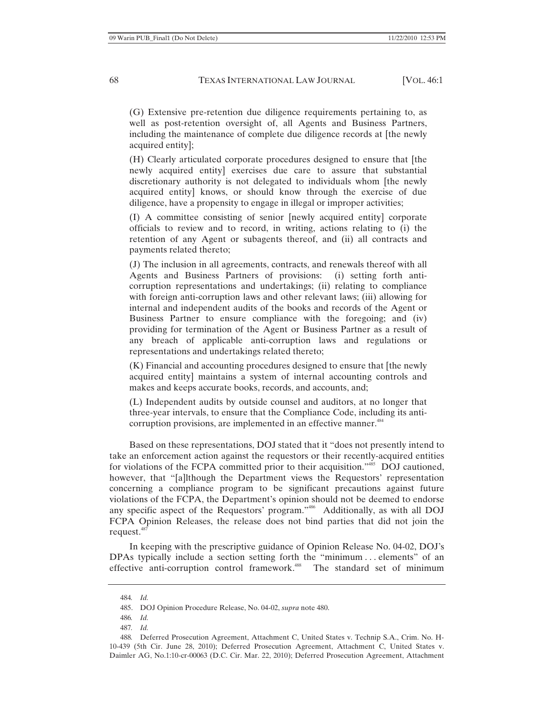(G) Extensive pre-retention due diligence requirements pertaining to, as well as post-retention oversight of, all Agents and Business Partners, including the maintenance of complete due diligence records at [the newly acquired entity];

(H) Clearly articulated corporate procedures designed to ensure that [the newly acquired entity] exercises due care to assure that substantial discretionary authority is not delegated to individuals whom [the newly acquired entity] knows, or should know through the exercise of due diligence, have a propensity to engage in illegal or improper activities;

(I) A committee consisting of senior [newly acquired entity] corporate officials to review and to record, in writing, actions relating to (i) the retention of any Agent or subagents thereof, and (ii) all contracts and payments related thereto;

(J) The inclusion in all agreements, contracts, and renewals thereof with all Agents and Business Partners of provisions: (i) setting forth anticorruption representations and undertakings; (ii) relating to compliance with foreign anti-corruption laws and other relevant laws; (iii) allowing for internal and independent audits of the books and records of the Agent or Business Partner to ensure compliance with the foregoing; and (iv) providing for termination of the Agent or Business Partner as a result of any breach of applicable anti-corruption laws and regulations or representations and undertakings related thereto;

(K) Financial and accounting procedures designed to ensure that [the newly acquired entity] maintains a system of internal accounting controls and makes and keeps accurate books, records, and accounts, and;

(L) Independent audits by outside counsel and auditors, at no longer that three-year intervals, to ensure that the Compliance Code, including its anticorruption provisions, are implemented in an effective manner.<sup>484</sup>

Based on these representations, DOJ stated that it "does not presently intend to take an enforcement action against the requestors or their recently-acquired entities for violations of the FCPA committed prior to their acquisition."<sup>485</sup> DOJ cautioned, however, that "[a]lthough the Department views the Requestors' representation concerning a compliance program to be significant precautions against future violations of the FCPA, the Department's opinion should not be deemed to endorse any specific aspect of the Requestors' program."<sup>486</sup> Additionally, as with all DOJ FCPA Opinion Releases, the release does not bind parties that did not join the request.<sup>487</sup>

In keeping with the prescriptive guidance of Opinion Release No. 04-02, DOJ's DPAs typically include a section setting forth the "minimum . . . elements" of an effective anti-corruption control framework.<sup>488</sup> The standard set of minimum

<sup>484</sup>*. Id.*

<sup>485.</sup> DOJ Opinion Procedure Release, No. 04-02, *supra* note 480.

<sup>486</sup>*. Id.*

<sup>487</sup>*. Id.*

<sup>488</sup>*.* Deferred Prosecution Agreement, Attachment C, United States v. Technip S.A., Crim. No. H-10-439 (5th Cir. June 28, 2010); Deferred Prosecution Agreement, Attachment C, United States v. Daimler AG, No.1:10-cr-00063 (D.C. Cir. Mar. 22, 2010); Deferred Prosecution Agreement, Attachment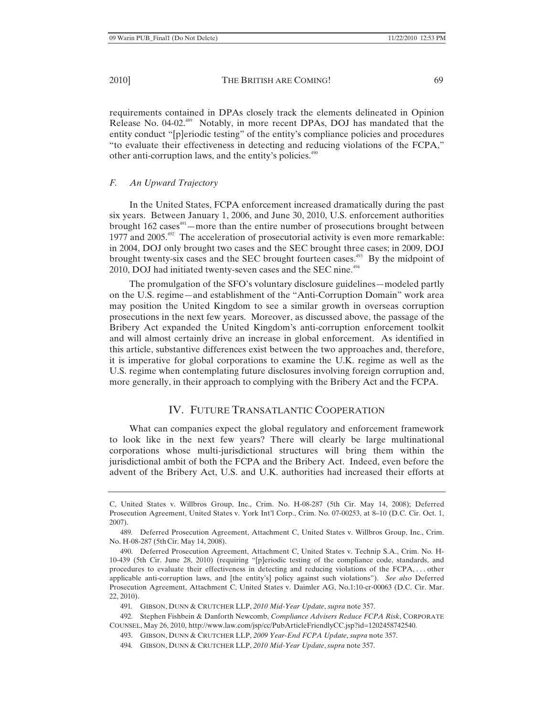requirements contained in DPAs closely track the elements delineated in Opinion Release No. 04-02.489 Notably, in more recent DPAs, DOJ has mandated that the entity conduct "[p]eriodic testing" of the entity's compliance policies and procedures "to evaluate their effectiveness in detecting and reducing violations of the FCPA," other anti-corruption laws, and the entity's policies.<sup>490</sup>

## *F. An Upward Trajectory*

In the United States, FCPA enforcement increased dramatically during the past six years. Between January 1, 2006, and June 30, 2010, U.S. enforcement authorities brought  $162 \text{ cases}^{491}$  —more than the entire number of prosecutions brought between 1977 and 2005. $492$  The acceleration of prosecutorial activity is even more remarkable: in 2004, DOJ only brought two cases and the SEC brought three cases; in 2009, DOJ brought twenty-six cases and the SEC brought fourteen cases.<sup>493</sup> By the midpoint of 2010, DOJ had initiated twenty-seven cases and the SEC nine.<sup>494</sup>

The promulgation of the SFO's voluntary disclosure guidelines—modeled partly on the U.S. regime—and establishment of the "Anti-Corruption Domain" work area may position the United Kingdom to see a similar growth in overseas corruption prosecutions in the next few years. Moreover, as discussed above, the passage of the Bribery Act expanded the United Kingdom's anti-corruption enforcement toolkit and will almost certainly drive an increase in global enforcement. As identified in this article, substantive differences exist between the two approaches and, therefore, it is imperative for global corporations to examine the U.K. regime as well as the U.S. regime when contemplating future disclosures involving foreign corruption and, more generally, in their approach to complying with the Bribery Act and the FCPA.

# IV. FUTURE TRANSATLANTIC COOPERATION

What can companies expect the global regulatory and enforcement framework to look like in the next few years? There will clearly be large multinational corporations whose multi-jurisdictional structures will bring them within the jurisdictional ambit of both the FCPA and the Bribery Act. Indeed, even before the advent of the Bribery Act, U.S. and U.K. authorities had increased their efforts at

C, United States v. Willbros Group, Inc., Crim. No. H-08-287 (5th Cir. May 14, 2008); Deferred Prosecution Agreement, United States v. York Int'l Corp., Crim. No. 07-00253, at 8–10 (D.C. Cir. Oct. 1, 2007).

<sup>489</sup>*.* Deferred Prosecution Agreement, Attachment C, United States v. Willbros Group, Inc., Crim. No. H-08-287 (5thCir. May 14, 2008).

<sup>490.</sup> Deferred Prosecution Agreement, Attachment C, United States v. Technip S.A., Crim. No. H-10-439 (5th Cir. June 28, 2010) (requiring "[p]eriodic testing of the compliance code, standards, and procedures to evaluate their effectiveness in detecting and reducing violations of the FCPA, . . . other applicable anti-corruption laws, and [the entity's] policy against such violations"). *See also* Deferred Prosecution Agreement, Attachment C, United States v. Daimler AG, No.1:10-cr-00063 (D.C. Cir. Mar. 22, 2010).

<sup>491</sup>*.* GIBSON, DUNN & CRUTCHER LLP, *2010 Mid-Year Update*, *supra* note 357.

<sup>492.</sup> Stephen Fishbein & Danforth Newcomb, *Compliance Advisers Reduce FCPA Risk*, CORPORATE COUNSEL, May 26, 2010, http://www.law.com/jsp/cc/PubArticleFriendlyCC.jsp?id=1202458742540.

<sup>493.</sup> GIBSON, DUNN & CRUTCHER LLP, *2009 Year-End FCPA Update*, *supra* note 357.

<sup>494</sup>*.* GIBSON, DUNN & CRUTCHER LLP, *2010 Mid-Year Update*, *supra* note 357.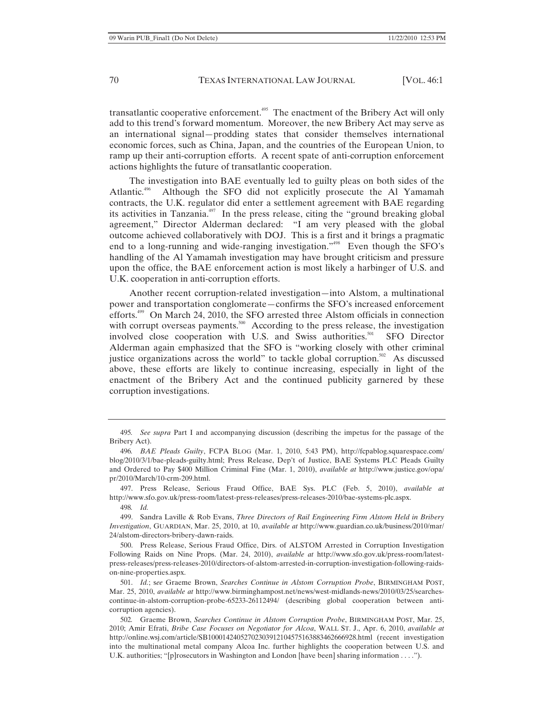transatlantic cooperative enforcement.<sup>495</sup> The enactment of the Bribery Act will only add to this trend's forward momentum. Moreover, the new Bribery Act may serve as an international signal—prodding states that consider themselves international economic forces, such as China, Japan, and the countries of the European Union, to ramp up their anti-corruption efforts. A recent spate of anti-corruption enforcement actions highlights the future of transatlantic cooperation.

The investigation into BAE eventually led to guilty pleas on both sides of the Atlantic.<sup>496</sup> Although the SFO did not explicitly prosecute the Al Yamamah contracts, the U.K. regulator did enter a settlement agreement with BAE regarding its activities in Tanzania.<sup> $497$ </sup> In the press release, citing the "ground breaking global agreement," Director Alderman declared: "I am very pleased with the global outcome achieved collaboratively with DOJ. This is a first and it brings a pragmatic end to a long-running and wide-ranging investigation."<sup>498</sup> Even though the SFO's handling of the Al Yamamah investigation may have brought criticism and pressure upon the office, the BAE enforcement action is most likely a harbinger of U.S. and U.K. cooperation in anti-corruption efforts.

Another recent corruption-related investigation—into Alstom, a multinational power and transportation conglomerate—confirms the SFO's increased enforcement efforts.499 On March 24, 2010, the SFO arrested three Alstom officials in connection with corrupt overseas payments.<sup>500</sup> According to the press release, the investigation involved close cooperation with U.S. and Swiss authorities.<sup>501</sup> SFO Director Alderman again emphasized that the SFO is "working closely with other criminal justice organizations across the world" to tackle global corruption.<sup>502</sup> As discussed above, these efforts are likely to continue increasing, especially in light of the enactment of the Bribery Act and the continued publicity garnered by these corruption investigations.

497. Press Release, Serious Fraud Office, BAE Sys. PLC (Feb. 5, 2010), *available at* http://www.sfo.gov.uk/press-room/latest-press-releases/press-releases-2010/bae-systems-plc.aspx.

498*. Id.*

500. Press Release, Serious Fraud Office, Dirs. of ALSTOM Arrested in Corruption Investigation Following Raids on Nine Props. (Mar. 24, 2010), *available at* http://www.sfo.gov.uk/press-room/latestpress-releases/press-releases-2010/directors-of-alstom-arrested-in-corruption-investigation-following-raidson-nine-properties.aspx.

501. *Id.*; s*ee* Graeme Brown, *Searches Continue in Alstom Corruption Probe*, BIRMINGHAM POST, Mar. 25, 2010, *available at* http://www.birminghampost.net/news/west-midlands-news/2010/03/25/searchescontinue-in-alstom-corruption-probe-65233-26112494/ (describing global cooperation between anticorruption agencies).

<sup>495</sup>*. See supra* Part I and accompanying discussion (describing the impetus for the passage of the Bribery Act).

<sup>496</sup>*. BAE Pleads Guilty*, FCPA BLOG (Mar. 1, 2010, 5:43 PM), http://fcpablog.squarespace.com/ blog/2010/3/1/bae-pleads-guilty.html; Press Release, Dep't of Justice, BAE Systems PLC Pleads Guilty and Ordered to Pay \$400 Million Criminal Fine (Mar. 1, 2010), *available at* http://www.justice.gov/opa/ pr/2010/March/10-crm-209.html.

<sup>499.</sup> Sandra Laville & Rob Evans, *Three Directors of Rail Engineering Firm Alstom Held in Bribery Investigation*, GUARDIAN, Mar. 25, 2010, at 10, *available at* http://www.guardian.co.uk/business/2010/mar/ 24/alstom-directors-bribery-dawn-raids.

<sup>502</sup>*.* Graeme Brown, *Searches Continue in Alstom Corruption Probe*, BIRMINGHAM POST, Mar. 25, 2010; Amir Efrati, *Bribe Case Focuses on Negotiator for Alcoa*, WALL ST. J., Apr. 6, 2010, *available at* http://online.wsj.com/article/SB10001424052702303912104575163883462666928.html (recent investigation into the multinational metal company Alcoa Inc. further highlights the cooperation between U.S. and U.K. authorities; "[p]rosecutors in Washington and London [have been] sharing information . . . .").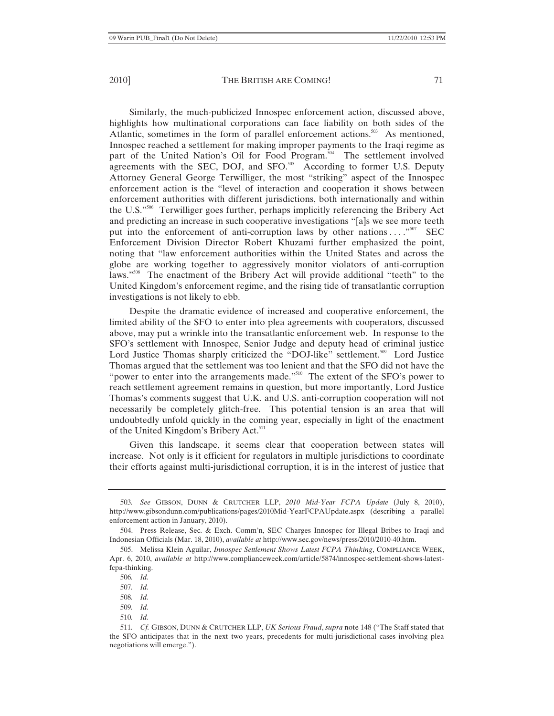Similarly, the much-publicized Innospec enforcement action, discussed above, highlights how multinational corporations can face liability on both sides of the Atlantic, sometimes in the form of parallel enforcement actions.<sup>503</sup> As mentioned, Innospec reached a settlement for making improper payments to the Iraqi regime as part of the United Nation's Oil for Food Program.<sup>504</sup> The settlement involved agreements with the SEC, DOJ, and SFO.<sup>505</sup> According to former U.S. Deputy Attorney General George Terwilliger, the most "striking" aspect of the Innospec enforcement action is the "level of interaction and cooperation it shows between enforcement authorities with different jurisdictions, both internationally and within the U.S."506 Terwilliger goes further, perhaps implicitly referencing the Bribery Act and predicting an increase in such cooperative investigations "[a]s we see more teeth put into the enforcement of anti-corruption laws by other nations  $\dots$ <sup>507</sup> SEC Enforcement Division Director Robert Khuzami further emphasized the point, noting that "law enforcement authorities within the United States and across the globe are working together to aggressively monitor violators of anti-corruption laws."<sup>508</sup> The enactment of the Bribery Act will provide additional "teeth" to the United Kingdom's enforcement regime, and the rising tide of transatlantic corruption investigations is not likely to ebb.

Despite the dramatic evidence of increased and cooperative enforcement, the limited ability of the SFO to enter into plea agreements with cooperators, discussed above, may put a wrinkle into the transatlantic enforcement web. In response to the SFO's settlement with Innospec, Senior Judge and deputy head of criminal justice Lord Justice Thomas sharply criticized the "DOJ-like" settlement.<sup>509</sup> Lord Justice Thomas argued that the settlement was too lenient and that the SFO did not have the "power to enter into the arrangements made."<sup>510</sup> The extent of the SFO's power to reach settlement agreement remains in question, but more importantly, Lord Justice Thomas's comments suggest that U.K. and U.S. anti-corruption cooperation will not necessarily be completely glitch-free. This potential tension is an area that will undoubtedly unfold quickly in the coming year, especially in light of the enactment of the United Kingdom's Bribery Act.<sup>511</sup>

Given this landscape, it seems clear that cooperation between states will increase. Not only is it efficient for regulators in multiple jurisdictions to coordinate their efforts against multi-jurisdictional corruption, it is in the interest of justice that

- 509*. Id.*
- 510*. Id.*

<sup>503</sup>*. See* GIBSON, DUNN & CRUTCHER LLP, *2010 Mid-Year FCPA Update* (July 8, 2010), http://www.gibsondunn.com/publications/pages/2010Mid-YearFCPAUpdate.aspx (describing a parallel enforcement action in January, 2010).

<sup>504.</sup> Press Release, Sec. & Exch. Comm'n, SEC Charges Innospec for Illegal Bribes to Iraqi and Indonesian Officials (Mar. 18, 2010), *available at* http://www.sec.gov/news/press/2010/2010-40.htm.

<sup>505.</sup> Melissa Klein Aguilar, *Innospec Settlement Shows Latest FCPA Thinking*, COMPLIANCE WEEK, Apr. 6, 2010, *available at* http://www.complianceweek.com/article/5874/innospec-settlement-shows-latestfcpa-thinking.

<sup>506</sup>*. Id.*

<sup>507</sup>*. Id.*

<sup>508</sup>*. Id.*

<sup>511</sup>*. Cf.* GIBSON, DUNN & CRUTCHER LLP, *UK Serious Fraud*, *supra* note 148 ("The Staff stated that the SFO anticipates that in the next two years, precedents for multi-jurisdictional cases involving plea negotiations will emerge.").